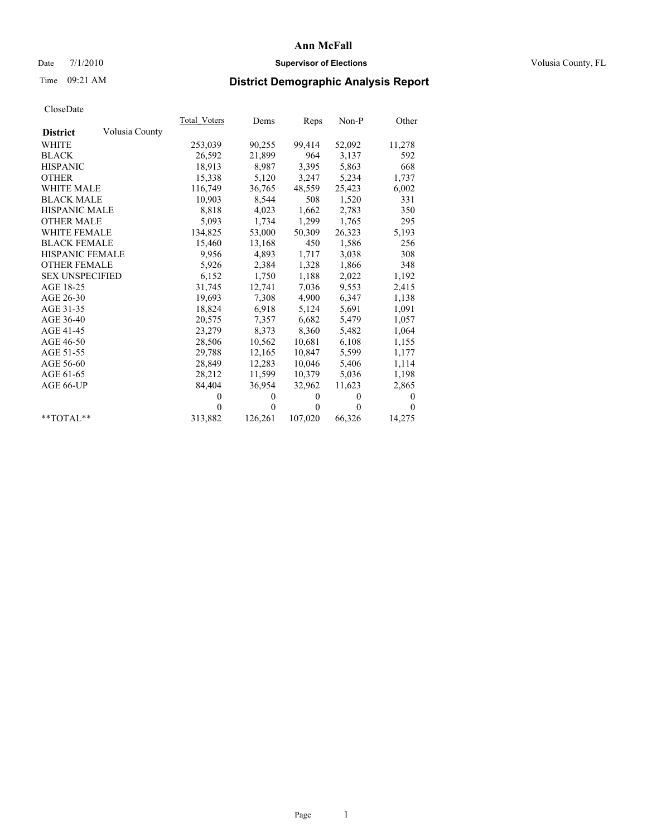#### Date  $7/1/2010$  **Supervisor of Elections Supervisor of Elections** Volusia County, FL

# Time 09:21 AM **District Demographic Analysis Report**

|                                   | <b>Total Voters</b> | Dems         | Reps         | Non-P        | Other        |
|-----------------------------------|---------------------|--------------|--------------|--------------|--------------|
| Volusia County<br><b>District</b> |                     |              |              |              |              |
| <b>WHITE</b>                      | 253,039             | 90,255       | 99,414       | 52,092       | 11,278       |
| <b>BLACK</b>                      | 26,592              | 21,899       | 964          | 3,137        | 592          |
| <b>HISPANIC</b>                   | 18,913              | 8,987        | 3,395        | 5,863        | 668          |
| <b>OTHER</b>                      | 15,338              | 5,120        | 3,247        | 5,234        | 1,737        |
| <b>WHITE MALE</b>                 | 116,749             | 36,765       | 48.559       | 25,423       | 6,002        |
| <b>BLACK MALE</b>                 | 10,903              | 8,544        | 508          | 1,520        | 331          |
| <b>HISPANIC MALE</b>              | 8,818               | 4,023        | 1,662        | 2,783        | 350          |
| <b>OTHER MALE</b>                 | 5,093               | 1,734        | 1,299        | 1,765        | 295          |
| <b>WHITE FEMALE</b>               | 134,825             | 53,000       | 50,309       | 26,323       | 5,193        |
| <b>BLACK FEMALE</b>               | 15,460              | 13,168       | 450          | 1,586        | 256          |
| <b>HISPANIC FEMALE</b>            | 9,956               | 4,893        | 1,717        | 3,038        | 308          |
| <b>OTHER FEMALE</b>               | 5,926               | 2,384        | 1,328        | 1,866        | 348          |
| <b>SEX UNSPECIFIED</b>            | 6,152               | 1,750        | 1,188        | 2,022        | 1,192        |
| AGE 18-25                         | 31,745              | 12,741       | 7,036        | 9,553        | 2,415        |
| AGE 26-30                         | 19,693              | 7,308        | 4,900        | 6,347        | 1,138        |
| AGE 31-35                         | 18,824              | 6,918        | 5,124        | 5,691        | 1,091        |
| AGE 36-40                         | 20,575              | 7,357        | 6,682        | 5,479        | 1,057        |
| AGE 41-45                         | 23,279              | 8,373        | 8,360        | 5,482        | 1,064        |
| AGE 46-50                         | 28,506              | 10,562       | 10,681       | 6,108        | 1,155        |
| AGE 51-55                         | 29,788              | 12,165       | 10,847       | 5,599        | 1,177        |
| AGE 56-60                         | 28,849              | 12,283       | 10,046       | 5,406        | 1,114        |
| AGE 61-65                         | 28,212              | 11,599       | 10,379       | 5,036        | 1,198        |
| AGE 66-UP                         | 84,404              | 36,954       | 32,962       | 11,623       | 2,865        |
|                                   | $\mathbf{0}$        | $\mathbf{0}$ | $\mathbf{0}$ | $\mathbf{0}$ | $\mathbf{0}$ |
|                                   | $\theta$            | $\theta$     | $\theta$     | $\theta$     | $\Omega$     |
| $*$ $TOTAI.**$                    | 313,882             | 126,261      | 107,020      | 66,326       | 14,275       |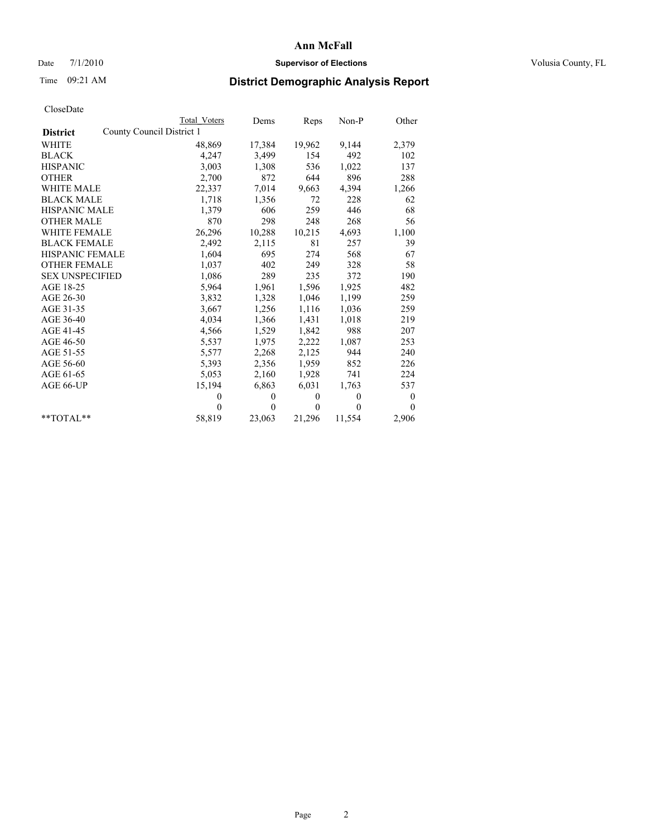#### Date  $7/1/2010$  **Supervisor of Elections Supervisor of Elections** Volusia County, FL

# Time 09:21 AM **District Demographic Analysis Report**

|                                              | Total Voters | Dems         | Reps     | $Non-P$      | Other            |  |  |
|----------------------------------------------|--------------|--------------|----------|--------------|------------------|--|--|
| County Council District 1<br><b>District</b> |              |              |          |              |                  |  |  |
| <b>WHITE</b>                                 | 48,869       | 17,384       | 19,962   | 9,144        | 2,379            |  |  |
| <b>BLACK</b>                                 | 4,247        | 3,499        | 154      | 492          | 102              |  |  |
| <b>HISPANIC</b>                              | 3,003        | 1,308        | 536      | 1,022        | 137              |  |  |
| <b>OTHER</b>                                 | 2,700        | 872          | 644      | 896          | 288              |  |  |
| <b>WHITE MALE</b>                            | 22,337       | 7,014        | 9,663    | 4,394        | 1,266            |  |  |
| <b>BLACK MALE</b>                            | 1,718        | 1,356        | 72       | 228          | 62               |  |  |
| <b>HISPANIC MALE</b>                         | 1,379        | 606          | 259      | 446          | 68               |  |  |
| <b>OTHER MALE</b>                            | 870          | 298          | 248      | 268          | 56               |  |  |
| <b>WHITE FEMALE</b>                          | 26,296       | 10,288       | 10,215   | 4,693        | 1,100            |  |  |
| <b>BLACK FEMALE</b>                          | 2,492        | 2,115        | 81       | 257          | 39               |  |  |
| HISPANIC FEMALE                              | 1,604        | 695          | 274      | 568          | 67               |  |  |
| <b>OTHER FEMALE</b>                          | 1,037        | 402          | 249      | 328          | 58               |  |  |
| <b>SEX UNSPECIFIED</b>                       | 1,086        | 289          | 235      | 372          | 190              |  |  |
| AGE 18-25                                    | 5,964        | 1,961        | 1,596    | 1,925        | 482              |  |  |
| AGE 26-30                                    | 3,832        | 1,328        | 1,046    | 1,199        | 259              |  |  |
| AGE 31-35                                    | 3,667        | 1,256        | 1,116    | 1,036        | 259              |  |  |
| AGE 36-40                                    | 4,034        | 1,366        | 1,431    | 1,018        | 219              |  |  |
| AGE 41-45                                    | 4,566        | 1,529        | 1,842    | 988          | 207              |  |  |
| AGE 46-50                                    | 5,537        | 1,975        | 2,222    | 1,087        | 253              |  |  |
| AGE 51-55                                    | 5,577        | 2,268        | 2,125    | 944          | 240              |  |  |
| AGE 56-60                                    | 5,393        | 2,356        | 1,959    | 852          | 226              |  |  |
| AGE 61-65                                    | 5,053        | 2,160        | 1,928    | 741          | 224              |  |  |
| AGE 66-UP                                    | 15,194       | 6,863        | 6,031    | 1,763        | 537              |  |  |
|                                              | $\theta$     | $\mathbf{0}$ | $\theta$ | $\mathbf{0}$ | $\boldsymbol{0}$ |  |  |
|                                              | $\theta$     | $\theta$     | $\theta$ | $\theta$     | $\theta$         |  |  |
| $*$ $TOTAI.**$                               | 58,819       | 23,063       | 21,296   | 11,554       | 2,906            |  |  |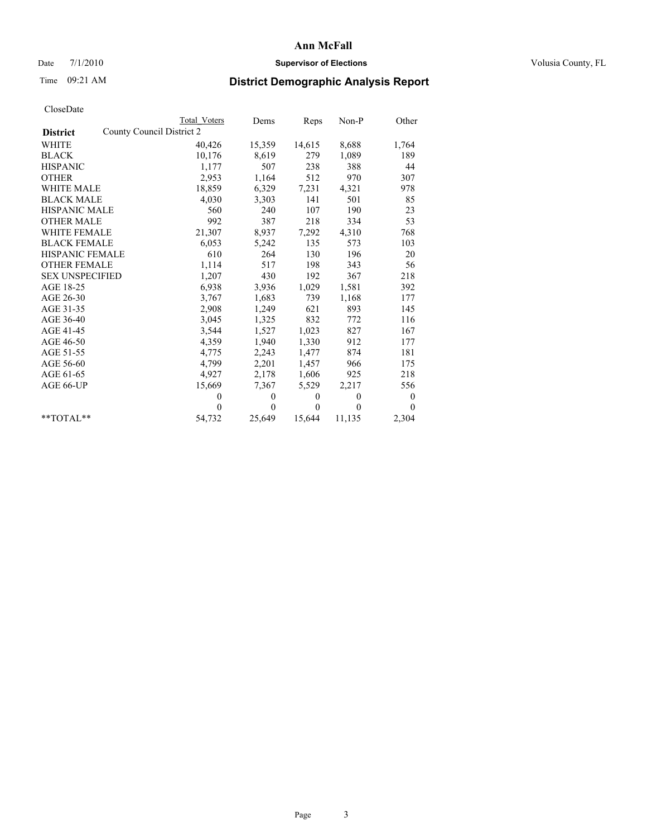#### Date  $7/1/2010$  **Supervisor of Elections Supervisor of Elections** Volusia County, FL

# Time 09:21 AM **District Demographic Analysis Report**

|                        | <b>Total Voters</b>       | Dems         | Reps         | Non-P        | Other            |
|------------------------|---------------------------|--------------|--------------|--------------|------------------|
| <b>District</b>        | County Council District 2 |              |              |              |                  |
| WHITE                  | 40,426                    | 15,359       | 14,615       | 8,688        | 1,764            |
| <b>BLACK</b>           | 10,176                    | 8,619        | 279          | 1,089        | 189              |
| <b>HISPANIC</b>        | 1,177                     | 507          | 238          | 388          | 44               |
| <b>OTHER</b>           | 2,953                     | 1,164        | 512          | 970          | 307              |
| <b>WHITE MALE</b>      | 18,859                    | 6,329        | 7,231        | 4,321        | 978              |
| <b>BLACK MALE</b>      | 4,030                     | 3,303        | 141          | 501          | 85               |
| <b>HISPANIC MALE</b>   | 560                       | 240          | 107          | 190          | 23               |
| <b>OTHER MALE</b>      | 992                       | 387          | 218          | 334          | 53               |
| WHITE FEMALE           | 21,307                    | 8,937        | 7,292        | 4,310        | 768              |
| <b>BLACK FEMALE</b>    | 6,053                     | 5,242        | 135          | 573          | 103              |
| HISPANIC FEMALE        | 610                       | 264          | 130          | 196          | 20               |
| <b>OTHER FEMALE</b>    | 1,114                     | 517          | 198          | 343          | 56               |
| <b>SEX UNSPECIFIED</b> | 1,207                     | 430          | 192          | 367          | 218              |
| AGE 18-25              | 6,938                     | 3,936        | 1,029        | 1,581        | 392              |
| AGE 26-30              | 3.767                     | 1,683        | 739          | 1,168        | 177              |
| AGE 31-35              | 2,908                     | 1,249        | 621          | 893          | 145              |
| AGE 36-40              | 3,045                     | 1,325        | 832          | 772          | 116              |
| AGE 41-45              | 3,544                     | 1,527        | 1,023        | 827          | 167              |
| AGE 46-50              | 4,359                     | 1,940        | 1,330        | 912          | 177              |
| AGE 51-55              | 4,775                     | 2,243        | 1,477        | 874          | 181              |
| AGE 56-60              | 4,799                     | 2,201        | 1,457        | 966          | 175              |
| AGE 61-65              | 4,927                     | 2,178        | 1,606        | 925          | 218              |
| AGE 66-UP              | 15,669                    | 7,367        | 5,529        | 2,217        | 556              |
|                        | $\theta$                  | $\mathbf{0}$ | $\mathbf{0}$ | $\mathbf{0}$ | $\boldsymbol{0}$ |
|                        | $\theta$                  | $\theta$     | $\Omega$     | $\theta$     | $\theta$         |
| $*$ $TOTAI.**$         | 54,732                    | 25,649       | 15,644       | 11,135       | 2,304            |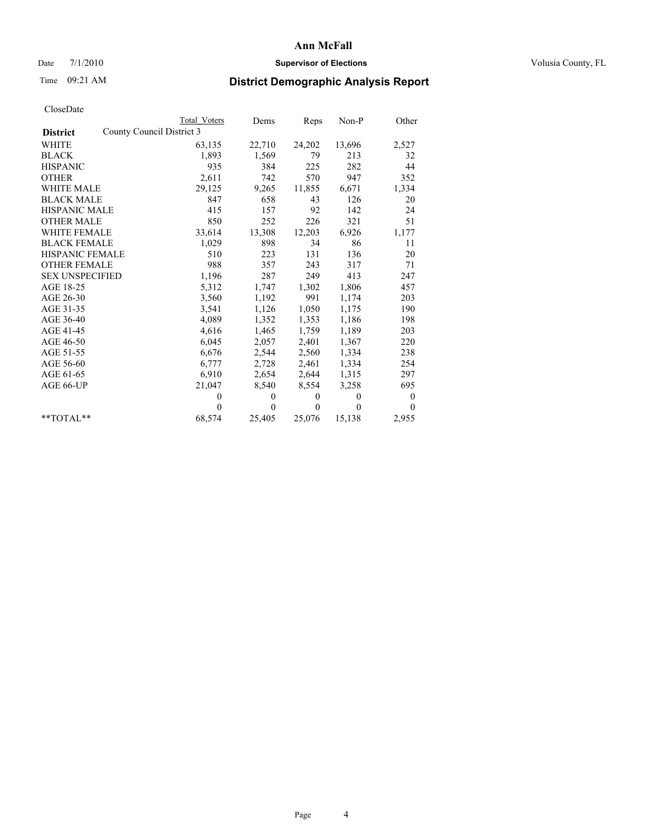#### Date  $7/1/2010$  **Supervisor of Elections Supervisor of Elections** Volusia County, FL

# Time 09:21 AM **District Demographic Analysis Report**

|                                              | Total Voters | Dems         | Reps         | $Non-P$      | Other    |  |  |
|----------------------------------------------|--------------|--------------|--------------|--------------|----------|--|--|
| County Council District 3<br><b>District</b> |              |              |              |              |          |  |  |
| <b>WHITE</b>                                 | 63,135       | 22,710       | 24,202       | 13,696       | 2,527    |  |  |
| <b>BLACK</b>                                 | 1,893        | 1,569        | 79           | 213          | 32       |  |  |
| <b>HISPANIC</b>                              | 935          | 384          | 225          | 282          | 44       |  |  |
| <b>OTHER</b>                                 | 2,611        | 742          | 570          | 947          | 352      |  |  |
| <b>WHITE MALE</b>                            | 29,125       | 9,265        | 11,855       | 6,671        | 1,334    |  |  |
| <b>BLACK MALE</b>                            | 847          | 658          | 43           | 126          | 20       |  |  |
| <b>HISPANIC MALE</b>                         | 415          | 157          | 92           | 142          | 24       |  |  |
| <b>OTHER MALE</b>                            | 850          | 252          | 226          | 321          | 51       |  |  |
| <b>WHITE FEMALE</b>                          | 33,614       | 13,308       | 12,203       | 6,926        | 1,177    |  |  |
| <b>BLACK FEMALE</b>                          | 1,029        | 898          | 34           | 86           | 11       |  |  |
| HISPANIC FEMALE                              | 510          | 223          | 131          | 136          | 20       |  |  |
| <b>OTHER FEMALE</b>                          | 988          | 357          | 243          | 317          | 71       |  |  |
| <b>SEX UNSPECIFIED</b>                       | 1,196        | 287          | 249          | 413          | 247      |  |  |
| AGE 18-25                                    | 5,312        | 1,747        | 1,302        | 1,806        | 457      |  |  |
| AGE 26-30                                    | 3,560        | 1,192        | 991          | 1,174        | 203      |  |  |
| AGE 31-35                                    | 3,541        | 1,126        | 1,050        | 1,175        | 190      |  |  |
| AGE 36-40                                    | 4,089        | 1,352        | 1,353        | 1,186        | 198      |  |  |
| AGE 41-45                                    | 4,616        | 1,465        | 1,759        | 1,189        | 203      |  |  |
| AGE 46-50                                    | 6,045        | 2,057        | 2,401        | 1,367        | 220      |  |  |
| AGE 51-55                                    | 6,676        | 2,544        | 2,560        | 1,334        | 238      |  |  |
| AGE 56-60                                    | 6,777        | 2,728        | 2,461        | 1,334        | 254      |  |  |
| AGE 61-65                                    | 6,910        | 2,654        | 2,644        | 1,315        | 297      |  |  |
| AGE 66-UP                                    | 21,047       | 8,540        | 8,554        | 3,258        | 695      |  |  |
|                                              | $\theta$     | $\theta$     | $\mathbf{0}$ | $\mathbf{0}$ | $\bf{0}$ |  |  |
|                                              | $\theta$     | $\mathbf{0}$ | $\theta$     | $\theta$     | $\theta$ |  |  |
| $*$ $TOTAI.**$                               | 68,574       | 25,405       | 25,076       | 15,138       | 2,955    |  |  |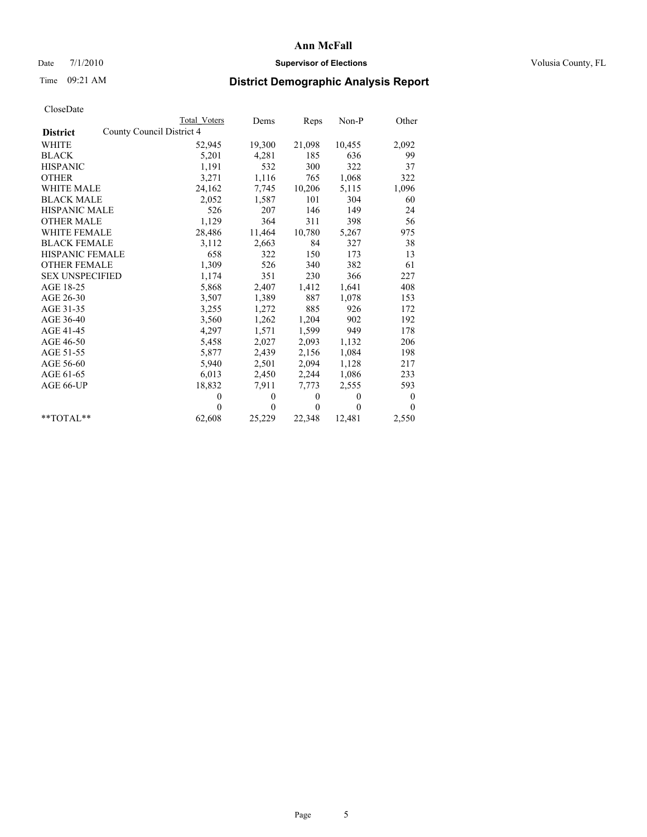#### Date  $7/1/2010$  **Supervisor of Elections Supervisor of Elections** Volusia County, FL

# Time 09:21 AM **District Demographic Analysis Report**

|                                              | Total Voters | Dems         | Reps         | $Non-P$      | Other    |  |  |
|----------------------------------------------|--------------|--------------|--------------|--------------|----------|--|--|
| County Council District 4<br><b>District</b> |              |              |              |              |          |  |  |
| <b>WHITE</b>                                 | 52,945       | 19,300       | 21,098       | 10,455       | 2,092    |  |  |
| <b>BLACK</b>                                 | 5,201        | 4,281        | 185          | 636          | 99       |  |  |
| <b>HISPANIC</b>                              | 1,191        | 532          | 300          | 322          | 37       |  |  |
| <b>OTHER</b>                                 | 3,271        | 1,116        | 765          | 1,068        | 322      |  |  |
| <b>WHITE MALE</b>                            | 24,162       | 7,745        | 10,206       | 5,115        | 1,096    |  |  |
| <b>BLACK MALE</b>                            | 2,052        | 1,587        | 101          | 304          | 60       |  |  |
| <b>HISPANIC MALE</b>                         | 526          | 207          | 146          | 149          | 24       |  |  |
| <b>OTHER MALE</b>                            | 1,129        | 364          | 311          | 398          | 56       |  |  |
| <b>WHITE FEMALE</b>                          | 28,486       | 11,464       | 10,780       | 5,267        | 975      |  |  |
| <b>BLACK FEMALE</b>                          | 3,112        | 2,663        | 84           | 327          | 38       |  |  |
| HISPANIC FEMALE                              | 658          | 322          | 150          | 173          | 13       |  |  |
| <b>OTHER FEMALE</b>                          | 1,309        | 526          | 340          | 382          | 61       |  |  |
| <b>SEX UNSPECIFIED</b>                       | 1,174        | 351          | 230          | 366          | 227      |  |  |
| AGE 18-25                                    | 5,868        | 2,407        | 1,412        | 1,641        | 408      |  |  |
| AGE 26-30                                    | 3,507        | 1,389        | 887          | 1,078        | 153      |  |  |
| AGE 31-35                                    | 3,255        | 1,272        | 885          | 926          | 172      |  |  |
| AGE 36-40                                    | 3,560        | 1,262        | 1,204        | 902          | 192      |  |  |
| AGE 41-45                                    | 4,297        | 1,571        | 1,599        | 949          | 178      |  |  |
| AGE 46-50                                    | 5,458        | 2,027        | 2,093        | 1,132        | 206      |  |  |
| AGE 51-55                                    | 5,877        | 2,439        | 2,156        | 1,084        | 198      |  |  |
| AGE 56-60                                    | 5,940        | 2,501        | 2,094        | 1,128        | 217      |  |  |
| AGE 61-65                                    | 6,013        | 2,450        | 2,244        | 1,086        | 233      |  |  |
| AGE 66-UP                                    | 18,832       | 7,911        | 7,773        | 2,555        | 593      |  |  |
|                                              | $\theta$     | $\mathbf{0}$ | $\mathbf{0}$ | $\mathbf{0}$ | $\bf{0}$ |  |  |
|                                              | $\theta$     | $\theta$     | $\theta$     | $\theta$     | $\theta$ |  |  |
| $*$ $TOTAI.**$                               | 62,608       | 25,229       | 22,348       | 12,481       | 2,550    |  |  |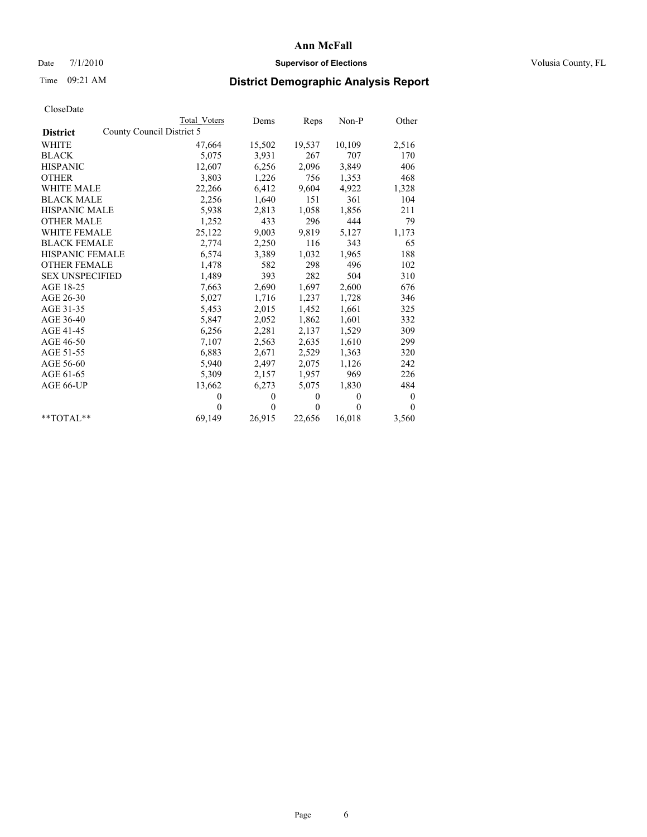### Date 7/1/2010 **Supervisor of Elections Supervisor of Elections** Volusia County, FL

# Time 09:21 AM **District Demographic Analysis Report**

|                                              | Total Voters | Dems         | Reps         | Non-P    | Other    |
|----------------------------------------------|--------------|--------------|--------------|----------|----------|
| County Council District 5<br><b>District</b> |              |              |              |          |          |
| WHITE                                        | 47,664       | 15,502       | 19,537       | 10,109   | 2,516    |
| <b>BLACK</b>                                 | 5,075        | 3,931        | 267          | 707      | 170      |
| <b>HISPANIC</b>                              | 12,607       | 6,256        | 2,096        | 3,849    | 406      |
| <b>OTHER</b>                                 | 3,803        | 1,226        | 756          | 1,353    | 468      |
| <b>WHITE MALE</b>                            | 22,266       | 6,412        | 9,604        | 4,922    | 1,328    |
| <b>BLACK MALE</b>                            | 2,256        | 1,640        | 151          | 361      | 104      |
| <b>HISPANIC MALE</b>                         | 5,938        | 2,813        | 1,058        | 1,856    | 211      |
| <b>OTHER MALE</b>                            | 1,252        | 433          | 296          | 444      | 79       |
| <b>WHITE FEMALE</b>                          | 25,122       | 9,003        | 9,819        | 5,127    | 1,173    |
| <b>BLACK FEMALE</b>                          | 2,774        | 2,250        | 116          | 343      | 65       |
| HISPANIC FEMALE                              | 6,574        | 3,389        | 1,032        | 1,965    | 188      |
| <b>OTHER FEMALE</b>                          | 1,478        | 582          | 298          | 496      | 102      |
| <b>SEX UNSPECIFIED</b>                       | 1,489        | 393          | 282          | 504      | 310      |
| AGE 18-25                                    | 7,663        | 2,690        | 1,697        | 2,600    | 676      |
| AGE 26-30                                    | 5,027        | 1,716        | 1,237        | 1,728    | 346      |
| AGE 31-35                                    | 5,453        | 2,015        | 1,452        | 1,661    | 325      |
| AGE 36-40                                    | 5,847        | 2,052        | 1,862        | 1,601    | 332      |
| AGE 41-45                                    | 6,256        | 2,281        | 2,137        | 1,529    | 309      |
| AGE 46-50                                    | 7,107        | 2,563        | 2,635        | 1,610    | 299      |
| AGE 51-55                                    | 6,883        | 2,671        | 2,529        | 1,363    | 320      |
| AGE 56-60                                    | 5,940        | 2,497        | 2,075        | 1,126    | 242      |
| AGE 61-65                                    | 5,309        | 2,157        | 1,957        | 969      | 226      |
| AGE 66-UP                                    | 13,662       | 6,273        | 5,075        | 1,830    | 484      |
|                                              | $\theta$     | $\mathbf{0}$ | $\mathbf{0}$ | $\theta$ | $\bf{0}$ |
|                                              | $\theta$     | $\theta$     | $\theta$     | $\theta$ | $\theta$ |
| $*$ $TOTAI.**$                               | 69,149       | 26,915       | 22,656       | 16,018   | 3,560    |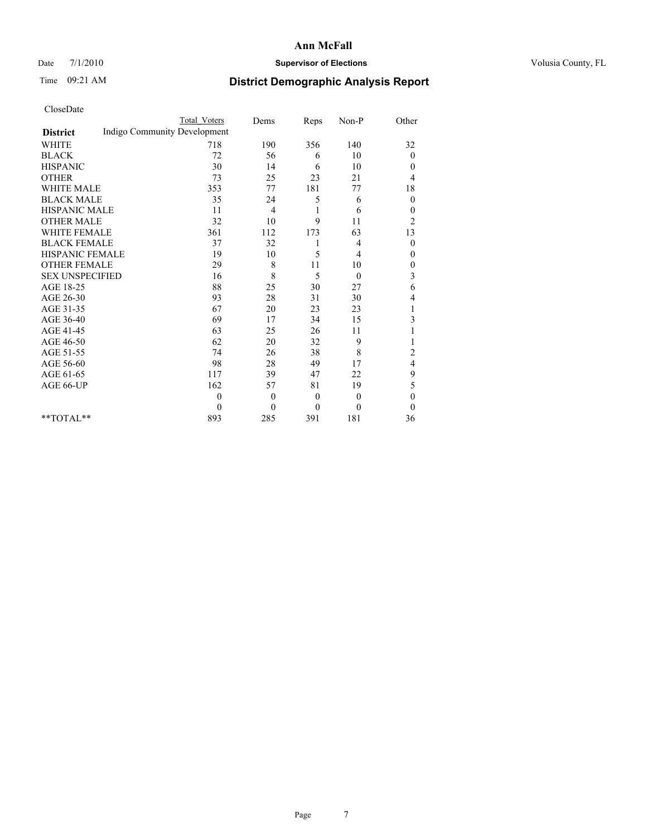#### Date  $7/1/2010$  **Supervisor of Elections Supervisor of Elections** Volusia County, FL

# Time 09:21 AM **District Demographic Analysis Report**

|                                                 | <b>Total Voters</b> | Dems           | Reps           | Non-P          | Other            |
|-------------------------------------------------|---------------------|----------------|----------------|----------------|------------------|
| Indigo Community Development<br><b>District</b> |                     |                |                |                |                  |
| <b>WHITE</b>                                    | 718                 | 190            | 356            | 140            | 32               |
| <b>BLACK</b>                                    | 72                  | 56             | 6              | 10             | $\overline{0}$   |
| <b>HISPANIC</b>                                 | 30                  | 14             | 6              | 10             | $\mathbf{0}$     |
| <b>OTHER</b>                                    | 73                  | 25             | 23             | 21             | 4                |
| <b>WHITE MALE</b>                               | 353                 | 77             | 181            | 77             | 18               |
| <b>BLACK MALE</b>                               | 35                  | 24             | 5              | 6              | $\theta$         |
| HISPANIC MALE                                   | 11                  | 4              | 1              | 6              | $\boldsymbol{0}$ |
| <b>OTHER MALE</b>                               | 32                  | 10             | 9              | 11             | $\overline{c}$   |
| <b>WHITE FEMALE</b>                             | 361                 | 112            | 173            | 63             | 13               |
| <b>BLACK FEMALE</b>                             | 37                  | 32             | 1              | 4              | $\boldsymbol{0}$ |
| HISPANIC FEMALE                                 | 19                  | 10             | 5              | $\overline{4}$ | $\mathbf{0}$     |
| <b>OTHER FEMALE</b>                             | 29                  | 8              | 11             | 10             | $\boldsymbol{0}$ |
| <b>SEX UNSPECIFIED</b>                          | 16                  | 8              | 5              | $\theta$       | 3                |
| AGE 18-25                                       | 88                  | 25             | 30             | 27             | 6                |
| AGE 26-30                                       | 93                  | 28             | 31             | 30             | 4                |
| AGE 31-35                                       | 67                  | 20             | 23             | 23             |                  |
| AGE 36-40                                       | 69                  | 17             | 34             | 15             | 3                |
| AGE 41-45                                       | 63                  | 25             | 26             | 11             |                  |
| AGE 46-50                                       | 62                  | 20             | 32             | 9              |                  |
| AGE 51-55                                       | 74                  | 26             | 38             | 8              | 2                |
| AGE 56-60                                       | 98                  | 28             | 49             | 17             | 4                |
| AGE 61-65                                       | 117                 | 39             | 47             | 22             | 9                |
| AGE 66-UP                                       | 162                 | 57             | 81             | 19             | 5                |
|                                                 | $\theta$            | $\overline{0}$ | $\theta$       | $\mathbf{0}$   | $\theta$         |
|                                                 | $\theta$            | $\mathbf{0}$   | $\overline{0}$ | $\theta$       | $\theta$         |
| $*$ $TOTAI.**$                                  | 893                 | 285            | 391            | 181            | 36               |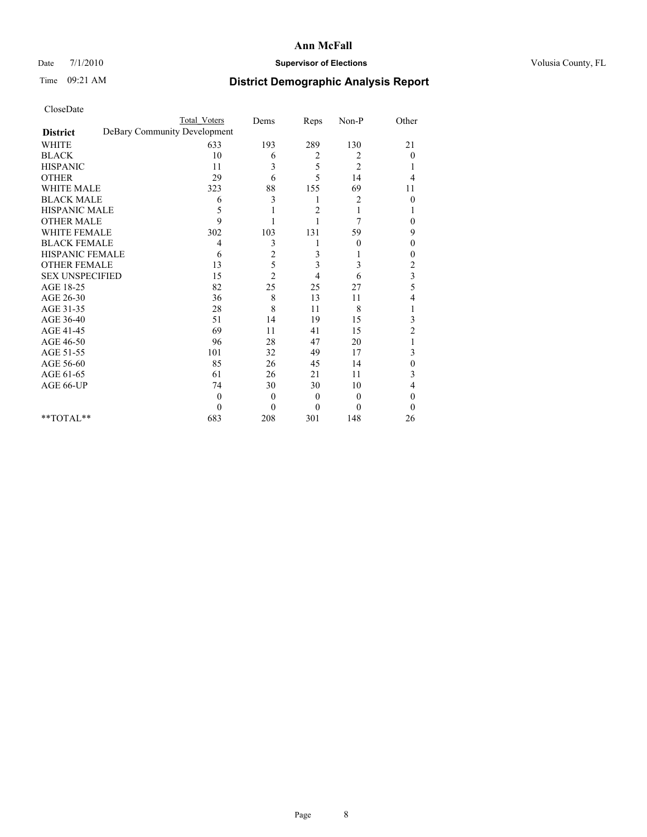#### Date  $7/1/2010$  **Supervisor of Elections Supervisor of Elections** Volusia County, FL

# Time 09:21 AM **District Demographic Analysis Report**

|                        | Total Voters                 | Dems             | Reps     | Non-P          | Other          |
|------------------------|------------------------------|------------------|----------|----------------|----------------|
| <b>District</b>        | DeBary Community Development |                  |          |                |                |
| <b>WHITE</b>           | 633                          | 193              | 289      | 130            | 21             |
| <b>BLACK</b>           | 10                           | 6                | 2        | 2              | $\overline{0}$ |
| <b>HISPANIC</b>        | 11                           | 3                | 5        | 2              |                |
| <b>OTHER</b>           | 29                           | 6                | 5        | 14             | 4              |
| <b>WHITE MALE</b>      | 323                          | 88               | 155      | 69             | 11             |
| <b>BLACK MALE</b>      | 6                            | 3                | 1        | 2              | $\theta$       |
| <b>HISPANIC MALE</b>   | 5                            |                  | 2        | 1              |                |
| <b>OTHER MALE</b>      | 9                            |                  |          | 7              | $\theta$       |
| WHITE FEMALE           | 302                          | 103              | 131      | 59             | 9              |
| <b>BLACK FEMALE</b>    | 4                            | 3                |          | $\theta$       | $\theta$       |
| HISPANIC FEMALE        | 6                            | $\overline{c}$   | 3        |                | 0              |
| <b>OTHER FEMALE</b>    | 13                           | 5                | 3        | 3              | $\overline{c}$ |
| <b>SEX UNSPECIFIED</b> | 15                           | $\overline{2}$   | 4        | 6              | 3              |
| AGE 18-25              | 82                           | 25               | 25       | 27             | 5              |
| AGE 26-30              | 36                           | 8                | 13       | 11             | 4              |
| AGE 31-35              | 28                           | 8                | 11       | 8              |                |
| AGE 36-40              | 51                           | 14               | 19       | 15             | 3              |
| AGE 41-45              | 69                           | 11               | 41       | 15             | $\overline{c}$ |
| AGE 46-50              | 96                           | 28               | 47       | 20             |                |
| AGE 51-55              | 101                          | 32               | 49       | 17             | 3              |
| AGE 56-60              | 85                           | 26               | 45       | 14             | $\theta$       |
| AGE 61-65              | 61                           | 26               | 21       | 11             | 3              |
| AGE 66-UP              | 74                           | 30               | 30       | 10             | 4              |
|                        | $\Omega$                     | $\boldsymbol{0}$ | $\theta$ | $\overline{0}$ | $\theta$       |
|                        | $\Omega$                     | $\overline{0}$   | $\Omega$ | $\theta$       | $\Omega$       |
| $*$ TOTAL $*$          | 683                          | 208              | 301      | 148            | 26             |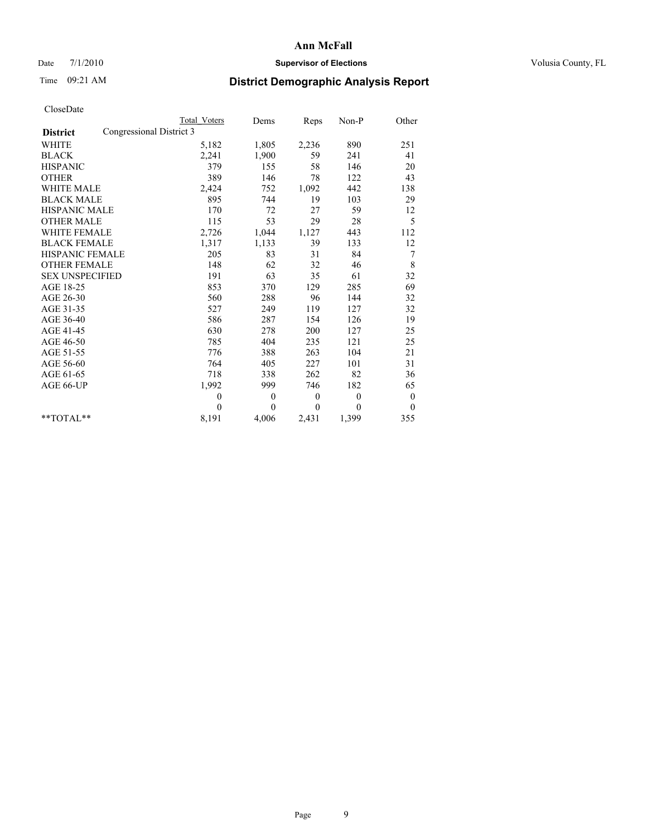#### Date  $7/1/2010$  **Supervisor of Elections Supervisor of Elections** Volusia County, FL

# Time 09:21 AM **District Demographic Analysis Report**

|                                             | Total Voters | Dems         | Reps     | $Non-P$      | Other        |
|---------------------------------------------|--------------|--------------|----------|--------------|--------------|
| Congressional District 3<br><b>District</b> |              |              |          |              |              |
| <b>WHITE</b>                                | 5,182        | 1,805        | 2,236    | 890          | 251          |
| <b>BLACK</b>                                | 2,241        | 1,900        | 59       | 241          | 41           |
| <b>HISPANIC</b>                             | 379          | 155          | 58       | 146          | 20           |
| <b>OTHER</b>                                | 389          | 146          | 78       | 122          | 43           |
| <b>WHITE MALE</b>                           | 2,424        | 752          | 1,092    | 442          | 138          |
| <b>BLACK MALE</b>                           | 895          | 744          | 19       | 103          | 29           |
| <b>HISPANIC MALE</b>                        | 170          | 72           | 27       | 59           | 12           |
| <b>OTHER MALE</b>                           | 115          | 53           | 29       | 28           | 5            |
| <b>WHITE FEMALE</b>                         | 2,726        | 1,044        | 1,127    | 443          | 112          |
| <b>BLACK FEMALE</b>                         | 1,317        | 1,133        | 39       | 133          | 12           |
| HISPANIC FEMALE                             | 205          | 83           | 31       | 84           | 7            |
| <b>OTHER FEMALE</b>                         | 148          | 62           | 32       | 46           | 8            |
| <b>SEX UNSPECIFIED</b>                      | 191          | 63           | 35       | 61           | 32           |
| AGE 18-25                                   | 853          | 370          | 129      | 285          | 69           |
| AGE 26-30                                   | 560          | 288          | 96       | 144          | 32           |
| AGE 31-35                                   | 527          | 249          | 119      | 127          | 32           |
| AGE 36-40                                   | 586          | 287          | 154      | 126          | 19           |
| AGE 41-45                                   | 630          | 278          | 200      | 127          | 25           |
| AGE 46-50                                   | 785          | 404          | 235      | 121          | 25           |
| AGE 51-55                                   | 776          | 388          | 263      | 104          | 21           |
| AGE 56-60                                   | 764          | 405          | 227      | 101          | 31           |
| AGE 61-65                                   | 718          | 338          | 262      | 82           | 36           |
| AGE 66-UP                                   | 1,992        | 999          | 746      | 182          | 65           |
|                                             | $\mathbf{0}$ | $\mathbf{0}$ | $\theta$ | $\mathbf{0}$ | $\mathbf{0}$ |
|                                             | $\theta$     | $\theta$     | $\theta$ | $\theta$     | $\mathbf{0}$ |
| $*$ $TOTAI.**$                              | 8,191        | 4,006        | 2,431    | 1,399        | 355          |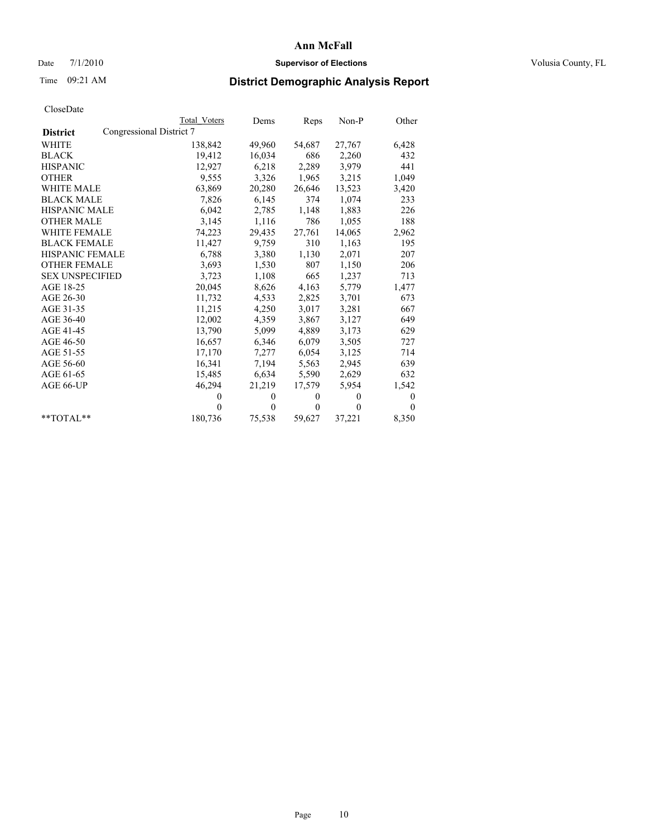### Date 7/1/2010 **Supervisor of Elections Supervisor of Elections** Volusia County, FL

# Time 09:21 AM **District Demographic Analysis Report**

|                        |                          | Total Voters | Dems         | Reps         | $Non-P$      | Other        |
|------------------------|--------------------------|--------------|--------------|--------------|--------------|--------------|
| <b>District</b>        | Congressional District 7 |              |              |              |              |              |
| WHITE                  |                          | 138,842      | 49,960       | 54,687       | 27,767       | 6,428        |
| <b>BLACK</b>           |                          | 19,412       | 16,034       | 686          | 2,260        | 432          |
| <b>HISPANIC</b>        |                          | 12,927       | 6,218        | 2,289        | 3,979        | 441          |
| <b>OTHER</b>           |                          | 9,555        | 3,326        | 1,965        | 3,215        | 1,049        |
| <b>WHITE MALE</b>      |                          | 63,869       | 20,280       | 26,646       | 13,523       | 3,420        |
| <b>BLACK MALE</b>      |                          | 7,826        | 6,145        | 374          | 1,074        | 233          |
| <b>HISPANIC MALE</b>   |                          | 6,042        | 2,785        | 1,148        | 1,883        | 226          |
| <b>OTHER MALE</b>      |                          | 3,145        | 1,116        | 786          | 1,055        | 188          |
| <b>WHITE FEMALE</b>    |                          | 74,223       | 29,435       | 27,761       | 14,065       | 2,962        |
| <b>BLACK FEMALE</b>    |                          | 11,427       | 9,759        | 310          | 1,163        | 195          |
| HISPANIC FEMALE        |                          | 6,788        | 3,380        | 1,130        | 2,071        | 207          |
| <b>OTHER FEMALE</b>    |                          | 3,693        | 1,530        | 807          | 1,150        | 206          |
| <b>SEX UNSPECIFIED</b> |                          | 3,723        | 1,108        | 665          | 1,237        | 713          |
| AGE 18-25              |                          | 20,045       | 8,626        | 4,163        | 5,779        | 1,477        |
| AGE 26-30              |                          | 11,732       | 4,533        | 2,825        | 3,701        | 673          |
| AGE 31-35              |                          | 11,215       | 4,250        | 3,017        | 3,281        | 667          |
| AGE 36-40              |                          | 12,002       | 4,359        | 3,867        | 3,127        | 649          |
| AGE 41-45              |                          | 13,790       | 5,099        | 4,889        | 3,173        | 629          |
| AGE 46-50              |                          | 16,657       | 6,346        | 6,079        | 3,505        | 727          |
| AGE 51-55              |                          | 17,170       | 7,277        | 6,054        | 3,125        | 714          |
| AGE 56-60              |                          | 16,341       | 7,194        | 5,563        | 2,945        | 639          |
| AGE 61-65              |                          | 15,485       | 6,634        | 5,590        | 2,629        | 632          |
| AGE 66-UP              |                          | 46,294       | 21,219       | 17,579       | 5,954        | 1,542        |
|                        |                          | $\theta$     | $\mathbf{0}$ | $\mathbf{0}$ | $\mathbf{0}$ | $\mathbf{0}$ |
|                        |                          | $\theta$     | $\theta$     | $\mathbf{0}$ | $\theta$     | $\theta$     |
| $*$ $TOTAI.**$         |                          | 180,736      | 75,538       | 59,627       | 37,221       | 8,350        |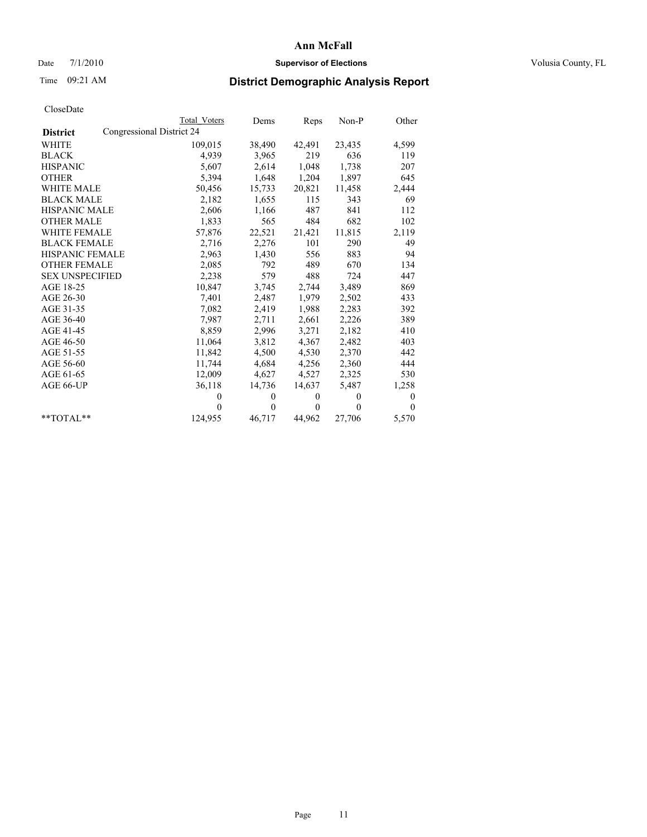### Date 7/1/2010 **Supervisor of Elections Supervisor of Elections** Volusia County, FL

# Time 09:21 AM **District Demographic Analysis Report**

|                        |                           | Total Voters | Dems           | Reps         | Non-P        | Other        |  |  |
|------------------------|---------------------------|--------------|----------------|--------------|--------------|--------------|--|--|
| <b>District</b>        | Congressional District 24 |              |                |              |              |              |  |  |
| WHITE                  |                           | 109,015      | 38,490         | 42,491       | 23,435       | 4,599        |  |  |
| <b>BLACK</b>           |                           | 4,939        | 3,965          | 219          | 636          | 119          |  |  |
| <b>HISPANIC</b>        |                           | 5,607        | 2,614          | 1,048        | 1,738        | 207          |  |  |
| <b>OTHER</b>           |                           | 5,394        | 1,648          | 1,204        | 1,897        | 645          |  |  |
| <b>WHITE MALE</b>      |                           | 50,456       | 15,733         | 20,821       | 11,458       | 2,444        |  |  |
| <b>BLACK MALE</b>      |                           | 2,182        | 1,655          | 115          | 343          | 69           |  |  |
| HISPANIC MALE          |                           | 2,606        | 1,166          | 487          | 841          | 112          |  |  |
| <b>OTHER MALE</b>      |                           | 1,833        | 565            | 484          | 682          | 102          |  |  |
| <b>WHITE FEMALE</b>    |                           | 57,876       | 22,521         | 21,421       | 11,815       | 2,119        |  |  |
| <b>BLACK FEMALE</b>    |                           | 2,716        | 2,276          | 101          | 290          | 49           |  |  |
| HISPANIC FEMALE        |                           | 2,963        | 1,430          | 556          | 883          | 94           |  |  |
| <b>OTHER FEMALE</b>    |                           | 2,085        | 792            | 489          | 670          | 134          |  |  |
| <b>SEX UNSPECIFIED</b> |                           | 2,238        | 579            | 488          | 724          | 447          |  |  |
| AGE 18-25              |                           | 10,847       | 3,745          | 2,744        | 3,489        | 869          |  |  |
| AGE 26-30              |                           | 7,401        | 2,487          | 1,979        | 2,502        | 433          |  |  |
| AGE 31-35              |                           | 7,082        | 2,419          | 1,988        | 2,283        | 392          |  |  |
| AGE 36-40              |                           | 7,987        | 2,711          | 2,661        | 2,226        | 389          |  |  |
| AGE 41-45              |                           | 8,859        | 2,996          | 3,271        | 2,182        | 410          |  |  |
| AGE 46-50              |                           | 11,064       | 3,812          | 4,367        | 2,482        | 403          |  |  |
| AGE 51-55              |                           | 11,842       | 4,500          | 4,530        | 2,370        | 442          |  |  |
| AGE 56-60              |                           | 11,744       | 4,684          | 4,256        | 2,360        | 444          |  |  |
| AGE 61-65              |                           | 12,009       | 4,627          | 4,527        | 2,325        | 530          |  |  |
| AGE 66-UP              |                           | 36,118       | 14,736         | 14,637       | 5,487        | 1,258        |  |  |
|                        |                           | $\theta$     | $\mathbf{0}$   | $\mathbf{0}$ | $\mathbf{0}$ | $\mathbf{0}$ |  |  |
|                        |                           | $\theta$     | $\overline{0}$ | $\mathbf{0}$ | $\Omega$     | $\theta$     |  |  |
| $*$ $TOTAI.**$         |                           | 124,955      | 46,717         | 44,962       | 27,706       | 5,570        |  |  |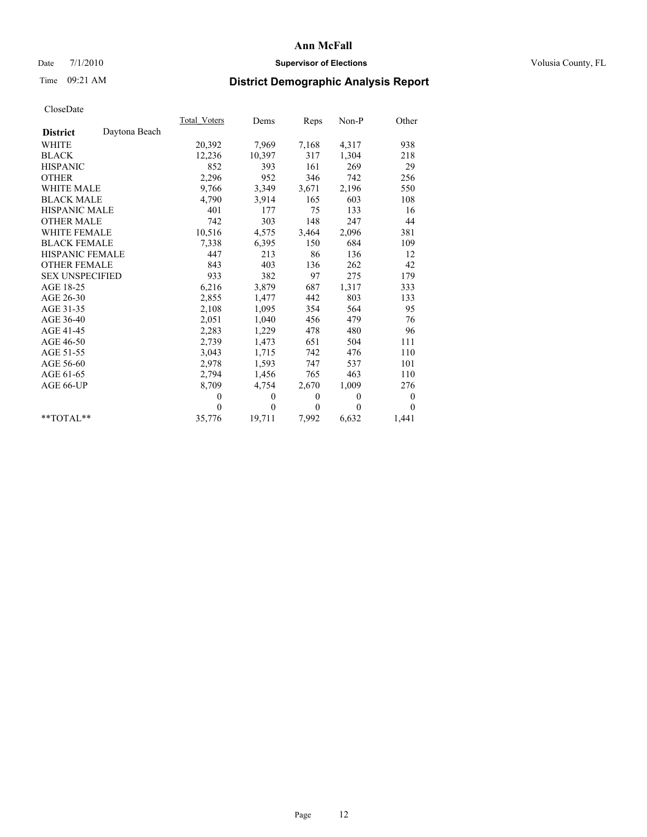### Date 7/1/2010 **Supervisor of Elections Supervisor of Elections** Volusia County, FL

# Time 09:21 AM **District Demographic Analysis Report**

|                                  | Total Voters | Dems           | Reps         | Non-P        | Other            |
|----------------------------------|--------------|----------------|--------------|--------------|------------------|
| Daytona Beach<br><b>District</b> |              |                |              |              |                  |
| <b>WHITE</b>                     | 20,392       | 7,969          | 7,168        | 4,317        | 938              |
| <b>BLACK</b>                     | 12,236       | 10,397         | 317          | 1,304        | 218              |
| <b>HISPANIC</b>                  | 852          | 393            | 161          | 269          | 29               |
| <b>OTHER</b>                     | 2,296        | 952            | 346          | 742          | 256              |
| WHITE MALE                       | 9,766        | 3,349          | 3,671        | 2,196        | 550              |
| <b>BLACK MALE</b>                | 4,790        | 3,914          | 165          | 603          | 108              |
| <b>HISPANIC MALE</b>             | 401          | 177            | 75           | 133          | 16               |
| <b>OTHER MALE</b>                | 742          | 303            | 148          | 247          | 44               |
| <b>WHITE FEMALE</b>              | 10,516       | 4,575          | 3,464        | 2,096        | 381              |
| <b>BLACK FEMALE</b>              | 7,338        | 6,395          | 150          | 684          | 109              |
| <b>HISPANIC FEMALE</b>           | 447          | 213            | 86           | 136          | 12               |
| <b>OTHER FEMALE</b>              | 843          | 403            | 136          | 262          | 42               |
| <b>SEX UNSPECIFIED</b>           | 933          | 382            | 97           | 275          | 179              |
| AGE 18-25                        | 6,216        | 3,879          | 687          | 1,317        | 333              |
| AGE 26-30                        | 2,855        | 1,477          | 442          | 803          | 133              |
| AGE 31-35                        | 2,108        | 1,095          | 354          | 564          | 95               |
| AGE 36-40                        | 2,051        | 1,040          | 456          | 479          | 76               |
| AGE 41-45                        | 2,283        | 1,229          | 478          | 480          | 96               |
| AGE 46-50                        | 2,739        | 1,473          | 651          | 504          | 111              |
| AGE 51-55                        | 3,043        | 1,715          | 742          | 476          | 110              |
| AGE 56-60                        | 2,978        | 1,593          | 747          | 537          | 101              |
| AGE 61-65                        | 2,794        | 1,456          | 765          | 463          | 110              |
| AGE 66-UP                        | 8,709        | 4,754          | 2,670        | 1,009        | 276              |
|                                  | $\mathbf{0}$ | $\overline{0}$ | $\mathbf{0}$ | $\theta$     | $\boldsymbol{0}$ |
|                                  | $\mathbf{0}$ | $\theta$       | $\mathbf{0}$ | $\mathbf{0}$ | $\overline{0}$   |
| $**TOTAI.**$                     | 35,776       | 19,711         | 7,992        | 6,632        | 1,441            |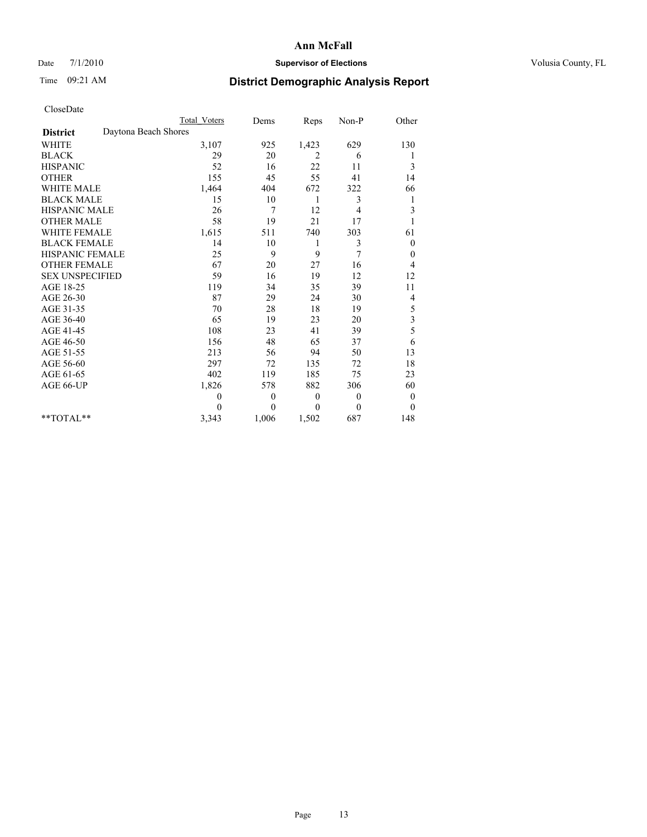### Date 7/1/2010 **Supervisor of Elections Supervisor of Elections** Volusia County, FL

## Time 09:21 AM **District Demographic Analysis Report**

|                                         | <b>Total Voters</b> | Dems             | Reps         | Non-P          | Other            |
|-----------------------------------------|---------------------|------------------|--------------|----------------|------------------|
| Daytona Beach Shores<br><b>District</b> |                     |                  |              |                |                  |
| <b>WHITE</b>                            | 3,107               | 925              | 1,423        | 629            | 130              |
| <b>BLACK</b>                            | 29                  | 20               | 2            | 6              |                  |
| <b>HISPANIC</b>                         | 52                  | 16               | 22           | 11             | 3                |
| <b>OTHER</b>                            | 155                 | 45               | 55           | 41             | 14               |
| <b>WHITE MALE</b>                       | 1,464               | 404              | 672          | 322            | 66               |
| <b>BLACK MALE</b>                       | 15                  | 10               | 1            | 3              | 1                |
| HISPANIC MALE                           | 26                  | $\overline{7}$   | 12           | 4              | 3                |
| <b>OTHER MALE</b>                       | 58                  | 19               | 21           | 17             |                  |
| <b>WHITE FEMALE</b>                     | 1,615               | 511              | 740          | 303            | 61               |
| <b>BLACK FEMALE</b>                     | 14                  | 10               | 1            | 3              | $\boldsymbol{0}$ |
| HISPANIC FEMALE                         | 25                  | 9                | 9            | 7              | $\theta$         |
| <b>OTHER FEMALE</b>                     | 67                  | 20               | 27           | 16             | 4                |
| <b>SEX UNSPECIFIED</b>                  | 59                  | 16               | 19           | 12             | 12               |
| AGE 18-25                               | 119                 | 34               | 35           | 39             | 11               |
| AGE 26-30                               | 87                  | 29               | 24           | 30             | 4                |
| AGE 31-35                               | 70                  | 28               | 18           | 19             | 5                |
| AGE 36-40                               | 65                  | 19               | 23           | 20             | 3                |
| AGE 41-45                               | 108                 | 23               | 41           | 39             | 5                |
| AGE 46-50                               | 156                 | 48               | 65           | 37             | 6                |
| AGE 51-55                               | 213                 | 56               | 94           | 50             | 13               |
| AGE 56-60                               | 297                 | 72               | 135          | 72             | 18               |
| AGE 61-65                               | 402                 | 119              | 185          | 75             | 23               |
| AGE 66-UP                               | 1,826               | 578              | 882          | 306            | 60               |
|                                         | $\theta$            | $\boldsymbol{0}$ | $\mathbf{0}$ | $\overline{0}$ | $\boldsymbol{0}$ |
|                                         | $\Omega$            | $\theta$         | $\Omega$     | $\theta$       | $\theta$         |
| $*$ $TOTAI.**$                          | 3,343               | 1,006            | 1,502        | 687            | 148              |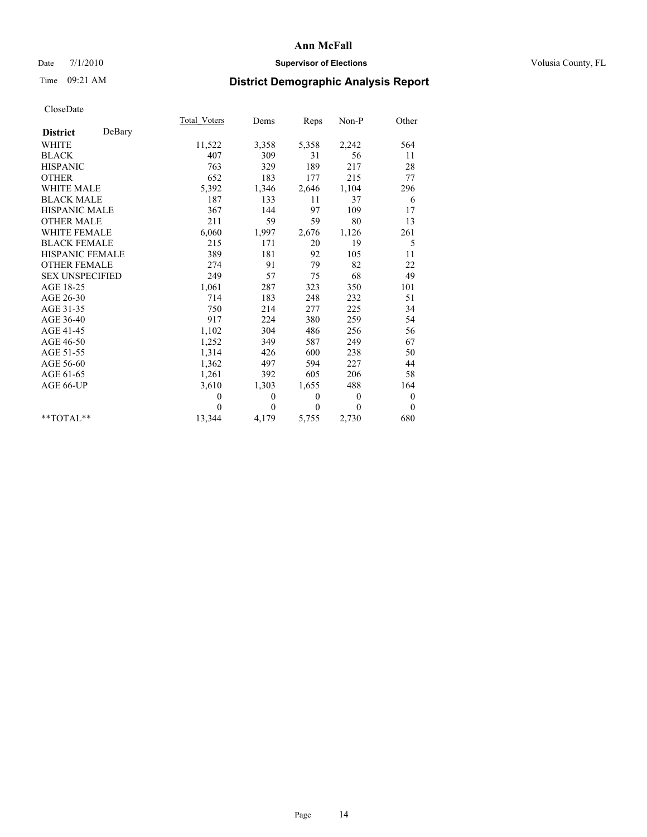### Date 7/1/2010 **Supervisor of Elections Supervisor of Elections** Volusia County, FL

## Time 09:21 AM **District Demographic Analysis Report**

|                           | Total Voters | Dems     | Reps         | Non-P          | Other            |  |
|---------------------------|--------------|----------|--------------|----------------|------------------|--|
| DeBary<br><b>District</b> |              |          |              |                |                  |  |
| <b>WHITE</b>              | 11,522       | 3,358    | 5,358        | 2,242          | 564              |  |
| <b>BLACK</b>              | 407          | 309      | 31           | 56             | 11               |  |
| <b>HISPANIC</b>           | 763          | 329      | 189          | 217            | 28               |  |
| <b>OTHER</b>              | 652          | 183      | 177          | 215            | 77               |  |
| <b>WHITE MALE</b>         | 5,392        | 1,346    | 2,646        | 1,104          | 296              |  |
| <b>BLACK MALE</b>         | 187          | 133      | 11           | 37             | 6                |  |
| <b>HISPANIC MALE</b>      | 367          | 144      | 97           | 109            | 17               |  |
| <b>OTHER MALE</b>         | 211          | 59       | 59           | 80             | 13               |  |
| WHITE FEMALE              | 6,060        | 1,997    | 2,676        | 1,126          | 261              |  |
| <b>BLACK FEMALE</b>       | 215          | 171      | 20           | 19             | 5                |  |
| HISPANIC FEMALE           | 389          | 181      | 92           | 105            | 11               |  |
| <b>OTHER FEMALE</b>       | 274          | 91       | 79           | 82             | 22               |  |
| <b>SEX UNSPECIFIED</b>    | 249          | 57       | 75           | 68             | 49               |  |
| AGE 18-25                 | 1,061        | 287      | 323          | 350            | 101              |  |
| AGE 26-30                 | 714          | 183      | 248          | 232            | 51               |  |
| AGE 31-35                 | 750          | 214      | 277          | 225            | 34               |  |
| AGE 36-40                 | 917          | 224      | 380          | 259            | 54               |  |
| AGE 41-45                 | 1,102        | 304      | 486          | 256            | 56               |  |
| AGE 46-50                 | 1,252        | 349      | 587          | 249            | 67               |  |
| AGE 51-55                 | 1,314        | 426      | 600          | 238            | 50               |  |
| AGE 56-60                 | 1,362        | 497      | 594          | 227            | 44               |  |
| AGE 61-65                 | 1,261        | 392      | 605          | 206            | 58               |  |
| AGE 66-UP                 | 3,610        | 1,303    | 1,655        | 488            | 164              |  |
|                           | $\theta$     | $\theta$ | $\mathbf{0}$ | $\overline{0}$ | $\boldsymbol{0}$ |  |
|                           | $\theta$     | $\theta$ | $\theta$     | $\theta$       | $\mathbf{0}$     |  |
| $*$ $TOTAI.**$            | 13,344       | 4,179    | 5,755        | 2,730          | 680              |  |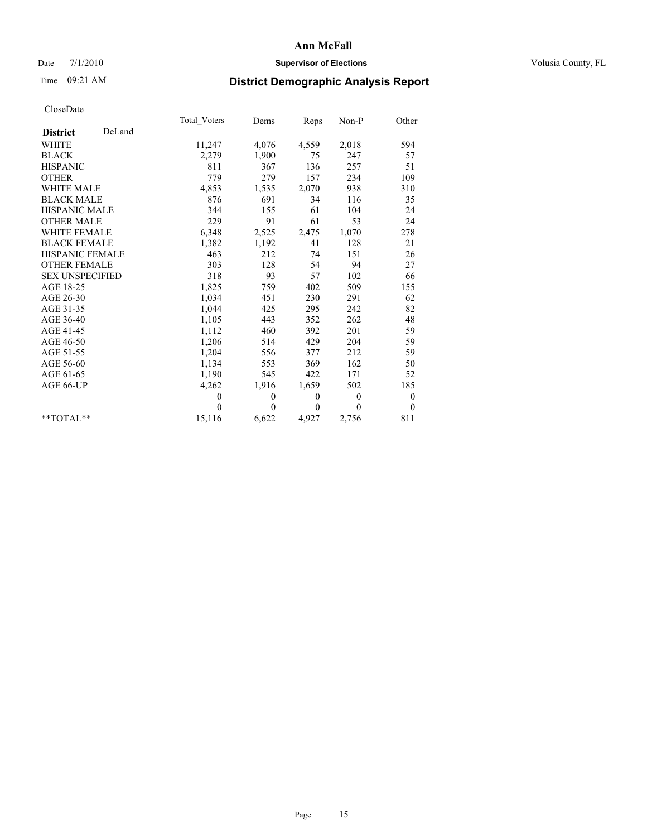### Date 7/1/2010 **Supervisor of Elections Supervisor of Elections** Volusia County, FL

## Time 09:21 AM **District Demographic Analysis Report**

|                           | Total Voters | Dems     | Reps         | $Non-P$  | Other            |  |
|---------------------------|--------------|----------|--------------|----------|------------------|--|
| DeLand<br><b>District</b> |              |          |              |          |                  |  |
| <b>WHITE</b>              | 11,247       | 4,076    | 4,559        | 2,018    | 594              |  |
| <b>BLACK</b>              | 2,279        | 1,900    | 75           | 247      | 57               |  |
| <b>HISPANIC</b>           | 811          | 367      | 136          | 257      | 51               |  |
| <b>OTHER</b>              | 779          | 279      | 157          | 234      | 109              |  |
| <b>WHITE MALE</b>         | 4,853        | 1,535    | 2,070        | 938      | 310              |  |
| <b>BLACK MALE</b>         | 876          | 691      | 34           | 116      | 35               |  |
| <b>HISPANIC MALE</b>      | 344          | 155      | 61           | 104      | 24               |  |
| <b>OTHER MALE</b>         | 229          | 91       | 61           | 53       | 24               |  |
| WHITE FEMALE              | 6,348        | 2,525    | 2,475        | 1,070    | 278              |  |
| <b>BLACK FEMALE</b>       | 1,382        | 1,192    | 41           | 128      | 21               |  |
| HISPANIC FEMALE           | 463          | 212      | 74           | 151      | 26               |  |
| <b>OTHER FEMALE</b>       | 303          | 128      | 54           | 94       | 27               |  |
| <b>SEX UNSPECIFIED</b>    | 318          | 93       | 57           | 102      | 66               |  |
| AGE 18-25                 | 1,825        | 759      | 402          | 509      | 155              |  |
| AGE 26-30                 | 1,034        | 451      | 230          | 291      | 62               |  |
| AGE 31-35                 | 1,044        | 425      | 295          | 242      | 82               |  |
| AGE 36-40                 | 1,105        | 443      | 352          | 262      | 48               |  |
| AGE 41-45                 | 1,112        | 460      | 392          | 201      | 59               |  |
| AGE 46-50                 | 1,206        | 514      | 429          | 204      | 59               |  |
| AGE 51-55                 | 1,204        | 556      | 377          | 212      | 59               |  |
| AGE 56-60                 | 1,134        | 553      | 369          | 162      | 50               |  |
| AGE 61-65                 | 1,190        | 545      | 422          | 171      | 52               |  |
| AGE 66-UP                 | 4,262        | 1,916    | 1,659        | 502      | 185              |  |
|                           | $\mathbf{0}$ | $\theta$ | $\mathbf{0}$ | $\theta$ | $\boldsymbol{0}$ |  |
|                           | $\theta$     | $\theta$ | $\mathbf{0}$ | $\theta$ | $\mathbf{0}$     |  |
| $*$ $TOTAI.**$            | 15,116       | 6,622    | 4,927        | 2,756    | 811              |  |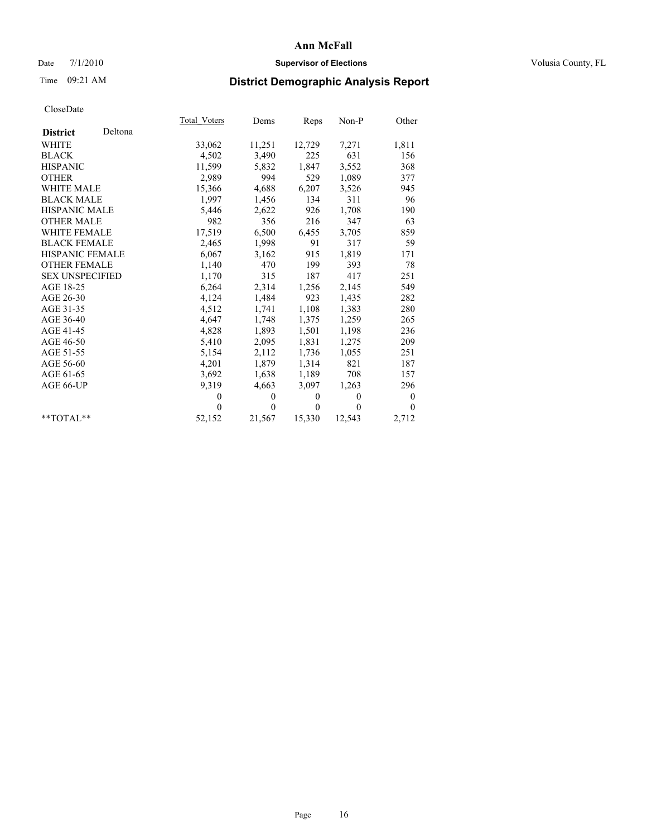### Date 7/1/2010 **Supervisor of Elections Supervisor of Elections** Volusia County, FL

# Time 09:21 AM **District Demographic Analysis Report**

|                        |         | Total Voters | Dems         | Reps         | $Non-P$      | Other          |  |
|------------------------|---------|--------------|--------------|--------------|--------------|----------------|--|
| <b>District</b>        | Deltona |              |              |              |              |                |  |
| <b>WHITE</b>           |         | 33,062       | 11,251       | 12,729       | 7,271        | 1,811          |  |
| <b>BLACK</b>           |         | 4,502        | 3,490        | 225          | 631          | 156            |  |
| <b>HISPANIC</b>        |         | 11,599       | 5,832        | 1,847        | 3,552        | 368            |  |
| <b>OTHER</b>           |         | 2,989        | 994          | 529          | 1,089        | 377            |  |
| <b>WHITE MALE</b>      |         | 15,366       | 4,688        | 6,207        | 3,526        | 945            |  |
| <b>BLACK MALE</b>      |         | 1,997        | 1,456        | 134          | 311          | 96             |  |
| <b>HISPANIC MALE</b>   |         | 5,446        | 2,622        | 926          | 1,708        | 190            |  |
| <b>OTHER MALE</b>      |         | 982          | 356          | 216          | 347          | 63             |  |
| <b>WHITE FEMALE</b>    |         | 17,519       | 6,500        | 6,455        | 3,705        | 859            |  |
| <b>BLACK FEMALE</b>    |         | 2,465        | 1,998        | 91           | 317          | 59             |  |
| HISPANIC FEMALE        |         | 6,067        | 3,162        | 915          | 1,819        | 171            |  |
| <b>OTHER FEMALE</b>    |         | 1,140        | 470          | 199          | 393          | 78             |  |
| <b>SEX UNSPECIFIED</b> |         | 1,170        | 315          | 187          | 417          | 251            |  |
| AGE 18-25              |         | 6,264        | 2,314        | 1,256        | 2,145        | 549            |  |
| AGE 26-30              |         | 4,124        | 1,484        | 923          | 1,435        | 282            |  |
| AGE 31-35              |         | 4,512        | 1,741        | 1,108        | 1,383        | 280            |  |
| AGE 36-40              |         | 4,647        | 1,748        | 1,375        | 1,259        | 265            |  |
| AGE 41-45              |         | 4,828        | 1,893        | 1,501        | 1,198        | 236            |  |
| AGE 46-50              |         | 5,410        | 2,095        | 1,831        | 1,275        | 209            |  |
| AGE 51-55              |         | 5,154        | 2,112        | 1,736        | 1,055        | 251            |  |
| AGE 56-60              |         | 4,201        | 1,879        | 1,314        | 821          | 187            |  |
| AGE 61-65              |         | 3,692        | 1,638        | 1,189        | 708          | 157            |  |
| AGE 66-UP              |         | 9,319        | 4,663        | 3,097        | 1,263        | 296            |  |
|                        |         | $\mathbf{0}$ | $\mathbf{0}$ | $\mathbf{0}$ | $\mathbf{0}$ | $\overline{0}$ |  |
|                        |         | $\theta$     | $\theta$     | $\mathbf{0}$ | $\mathbf{0}$ | $\theta$       |  |
| $*$ $TOTAI.**$         |         | 52,152       | 21,567       | 15,330       | 12,543       | 2,712          |  |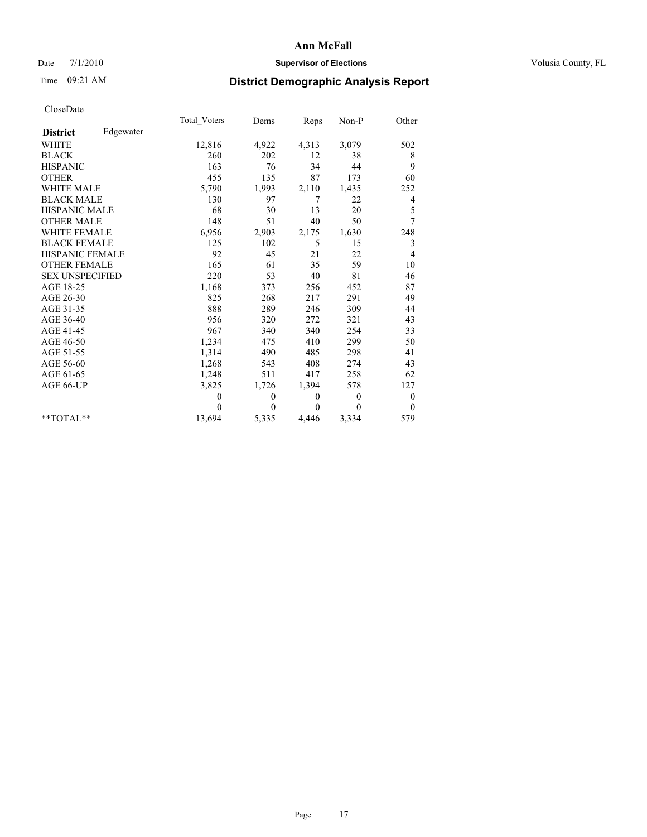### Date 7/1/2010 **Supervisor of Elections Supervisor of Elections** Volusia County, FL

# Time 09:21 AM **District Demographic Analysis Report**

|                        |           | Total Voters | Dems     | Reps     | Non-P        | Other          |
|------------------------|-----------|--------------|----------|----------|--------------|----------------|
| <b>District</b>        | Edgewater |              |          |          |              |                |
| <b>WHITE</b>           |           | 12,816       | 4,922    | 4,313    | 3,079        | 502            |
| <b>BLACK</b>           |           | 260          | 202      | 12       | 38           | 8              |
| <b>HISPANIC</b>        |           | 163          | 76       | 34       | 44           | 9              |
| <b>OTHER</b>           |           | 455          | 135      | 87       | 173          | 60             |
| <b>WHITE MALE</b>      |           | 5,790        | 1,993    | 2,110    | 1,435        | 252            |
| <b>BLACK MALE</b>      |           | 130          | 97       | 7        | 22           | 4              |
| <b>HISPANIC MALE</b>   |           | 68           | 30       | 13       | 20           | 5              |
| <b>OTHER MALE</b>      |           | 148          | 51       | 40       | 50           | 7              |
| <b>WHITE FEMALE</b>    |           | 6,956        | 2,903    | 2,175    | 1,630        | 248            |
| <b>BLACK FEMALE</b>    |           | 125          | 102      | 5        | 15           | 3              |
| HISPANIC FEMALE        |           | 92           | 45       | 21       | 22           | 4              |
| <b>OTHER FEMALE</b>    |           | 165          | 61       | 35       | 59           | 10             |
| <b>SEX UNSPECIFIED</b> |           | 220          | 53       | 40       | 81           | 46             |
| AGE 18-25              |           | 1,168        | 373      | 256      | 452          | 87             |
| AGE 26-30              |           | 825          | 268      | 217      | 291          | 49             |
| AGE 31-35              |           | 888          | 289      | 246      | 309          | 44             |
| AGE 36-40              |           | 956          | 320      | 272      | 321          | 43             |
| AGE 41-45              |           | 967          | 340      | 340      | 254          | 33             |
| AGE 46-50              |           | 1,234        | 475      | 410      | 299          | 50             |
| AGE 51-55              |           | 1,314        | 490      | 485      | 298          | 41             |
| AGE 56-60              |           | 1,268        | 543      | 408      | 274          | 43             |
| AGE 61-65              |           | 1,248        | 511      | 417      | 258          | 62             |
| AGE 66-UP              |           | 3,825        | 1,726    | 1,394    | 578          | 127            |
|                        |           | $\theta$     | $\theta$ | $\theta$ | $\theta$     | $\overline{0}$ |
|                        |           | $\theta$     | $\theta$ | $\theta$ | $\mathbf{0}$ | $\overline{0}$ |
| $**TOTAI.**$           |           | 13,694       | 5,335    | 4,446    | 3,334        | 579            |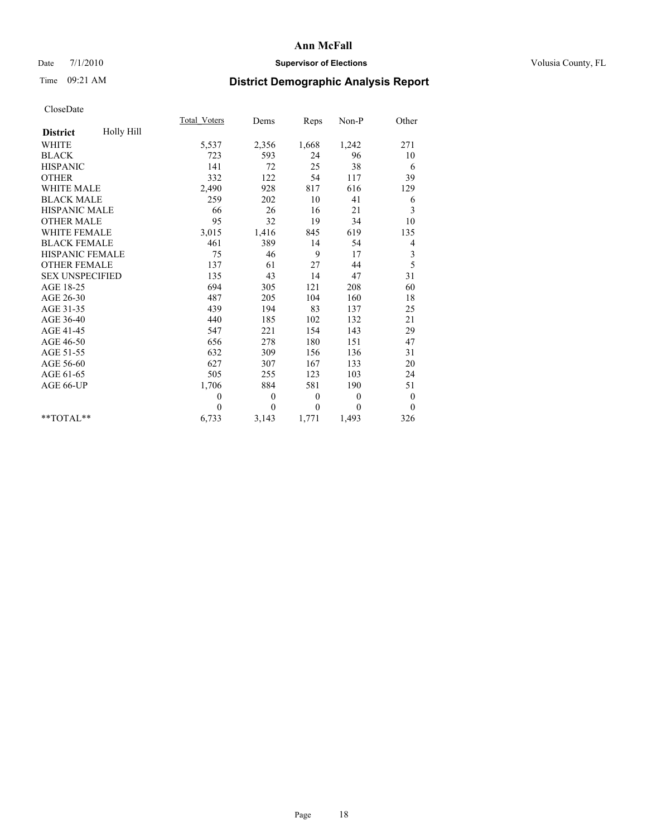### Date 7/1/2010 **Supervisor of Elections Supervisor of Elections** Volusia County, FL

# Time 09:21 AM **District Demographic Analysis Report**

|                               | Total Voters | Dems     | Reps         | $Non-P$        | Other            |  |
|-------------------------------|--------------|----------|--------------|----------------|------------------|--|
| Holly Hill<br><b>District</b> |              |          |              |                |                  |  |
| <b>WHITE</b>                  | 5,537        | 2,356    | 1,668        | 1,242          | 271              |  |
| <b>BLACK</b>                  | 723          | 593      | 24           | 96             | 10               |  |
| <b>HISPANIC</b>               | 141          | 72       | 25           | 38             | 6                |  |
| <b>OTHER</b>                  | 332          | 122      | 54           | 117            | 39               |  |
| <b>WHITE MALE</b>             | 2,490        | 928      | 817          | 616            | 129              |  |
| <b>BLACK MALE</b>             | 259          | 202      | 10           | 41             | 6                |  |
| <b>HISPANIC MALE</b>          | 66           | 26       | 16           | 21             | 3                |  |
| <b>OTHER MALE</b>             | 95           | 32       | 19           | 34             | 10               |  |
| WHITE FEMALE                  | 3,015        | 1,416    | 845          | 619            | 135              |  |
| <b>BLACK FEMALE</b>           | 461          | 389      | 14           | 54             | 4                |  |
| HISPANIC FEMALE               | 75           | 46       | 9            | 17             | 3                |  |
| <b>OTHER FEMALE</b>           | 137          | 61       | 27           | 44             | 5                |  |
| <b>SEX UNSPECIFIED</b>        | 135          | 43       | 14           | 47             | 31               |  |
| AGE 18-25                     | 694          | 305      | 121          | 208            | 60               |  |
| AGE 26-30                     | 487          | 205      | 104          | 160            | 18               |  |
| AGE 31-35                     | 439          | 194      | 83           | 137            | 25               |  |
| AGE 36-40                     | 440          | 185      | 102          | 132            | 21               |  |
| AGE 41-45                     | 547          | 221      | 154          | 143            | 29               |  |
| AGE 46-50                     | 656          | 278      | 180          | 151            | 47               |  |
| AGE 51-55                     | 632          | 309      | 156          | 136            | 31               |  |
| AGE 56-60                     | 627          | 307      | 167          | 133            | 20               |  |
| AGE 61-65                     | 505          | 255      | 123          | 103            | 24               |  |
| AGE 66-UP                     | 1,706        | 884      | 581          | 190            | 51               |  |
|                               | $\theta$     | $\theta$ | $\mathbf{0}$ | $\overline{0}$ | $\boldsymbol{0}$ |  |
|                               | $\theta$     | $\theta$ | $\mathbf{0}$ | $\theta$       | $\overline{0}$   |  |
| $*$ $TOTAI.**$                | 6,733        | 3,143    | 1,771        | 1,493          | 326              |  |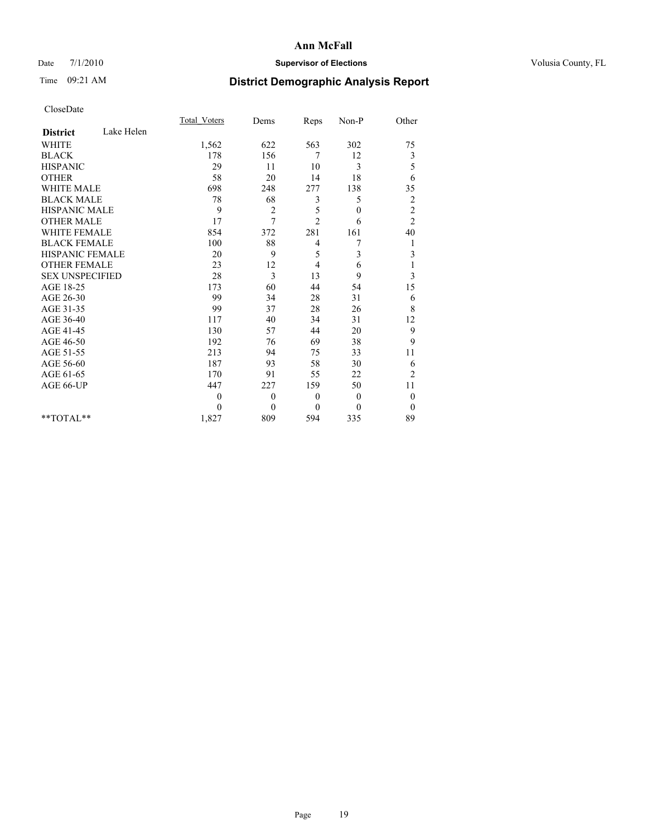### Date 7/1/2010 **Supervisor of Elections Supervisor of Elections** Volusia County, FL

## Time 09:21 AM **District Demographic Analysis Report**

|                        |            | <b>Total Voters</b> | Dems           | Reps           | Non-P        | Other            |  |
|------------------------|------------|---------------------|----------------|----------------|--------------|------------------|--|
| <b>District</b>        | Lake Helen |                     |                |                |              |                  |  |
| <b>WHITE</b>           |            | 1,562               | 622            | 563            | 302          | 75               |  |
| <b>BLACK</b>           |            | 178                 | 156            | 7              | 12           | 3                |  |
| <b>HISPANIC</b>        |            | 29                  | 11             | 10             | 3            | 5                |  |
| <b>OTHER</b>           |            | 58                  | 20             | 14             | 18           | 6                |  |
| <b>WHITE MALE</b>      |            | 698                 | 248            | 277            | 138          | 35               |  |
| <b>BLACK MALE</b>      |            | 78                  | 68             | 3              | 5            | $\overline{c}$   |  |
| <b>HISPANIC MALE</b>   |            | 9                   | $\overline{2}$ | 5              | $\mathbf{0}$ | $\overline{c}$   |  |
| <b>OTHER MALE</b>      |            | 17                  | 7              | $\overline{c}$ | 6            | $\overline{2}$   |  |
| <b>WHITE FEMALE</b>    |            | 854                 | 372            | 281            | 161          | 40               |  |
| <b>BLACK FEMALE</b>    |            | 100                 | 88             | 4              | 7            | 1                |  |
| HISPANIC FEMALE        |            | 20                  | 9              | 5              | 3            | $\mathfrak{Z}$   |  |
| <b>OTHER FEMALE</b>    |            | 23                  | 12             | 4              | 6            | 1                |  |
| <b>SEX UNSPECIFIED</b> |            | 28                  | 3              | 13             | 9            | 3                |  |
| AGE 18-25              |            | 173                 | 60             | 44             | 54           | 15               |  |
| AGE 26-30              |            | 99                  | 34             | 28             | 31           | 6                |  |
| AGE 31-35              |            | 99                  | 37             | 28             | 26           | 8                |  |
| AGE 36-40              |            | 117                 | 40             | 34             | 31           | 12               |  |
| AGE 41-45              |            | 130                 | 57             | 44             | 20           | 9                |  |
| AGE 46-50              |            | 192                 | 76             | 69             | 38           | 9                |  |
| AGE 51-55              |            | 213                 | 94             | 75             | 33           | 11               |  |
| AGE 56-60              |            | 187                 | 93             | 58             | 30           | 6                |  |
| AGE 61-65              |            | 170                 | 91             | 55             | 22           | $\overline{2}$   |  |
| AGE 66-UP              |            | 447                 | 227            | 159            | 50           | 11               |  |
|                        |            | $\theta$            | $\theta$       | $\theta$       | $\theta$     | $\boldsymbol{0}$ |  |
|                        |            | $\theta$            | $\mathbf{0}$   | $\theta$       | $\theta$     | $\theta$         |  |
| $*$ $TOTAI.**$         |            | 1,827               | 809            | 594            | 335          | 89               |  |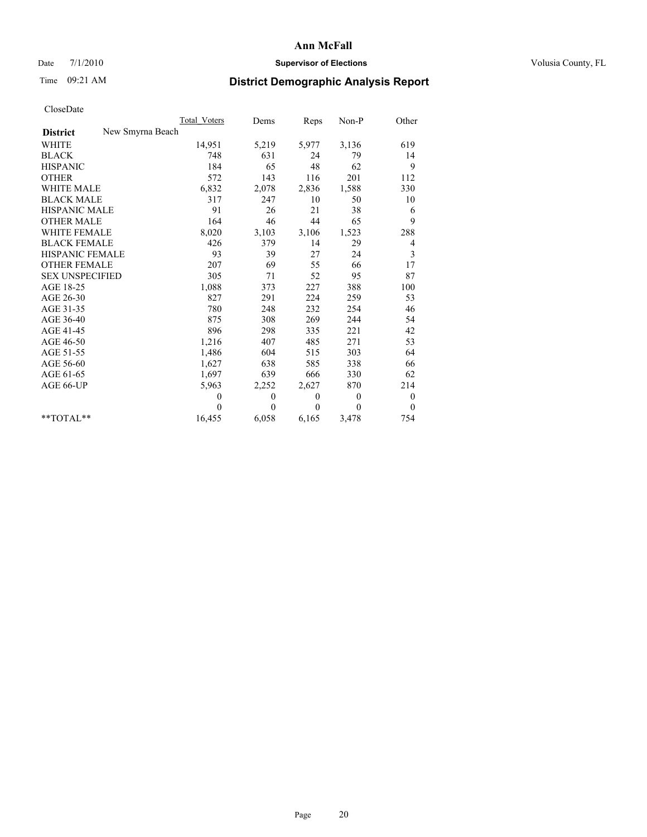### Date 7/1/2010 **Supervisor of Elections Supervisor of Elections** Volusia County, FL

# Time 09:21 AM **District Demographic Analysis Report**

|                                     | Total Voters | Dems         | Reps         | $Non-P$        | Other            |
|-------------------------------------|--------------|--------------|--------------|----------------|------------------|
| New Smyrna Beach<br><b>District</b> |              |              |              |                |                  |
| <b>WHITE</b>                        | 14,951       | 5,219        | 5,977        | 3,136          | 619              |
| <b>BLACK</b>                        | 748          | 631          | 24           | 79             | 14               |
| <b>HISPANIC</b>                     | 184          | 65           | 48           | 62             | 9                |
| <b>OTHER</b>                        | 572          | 143          | 116          | 201            | 112              |
| <b>WHITE MALE</b>                   | 6,832        | 2,078        | 2,836        | 1,588          | 330              |
| <b>BLACK MALE</b>                   | 317          | 247          | 10           | 50             | 10               |
| <b>HISPANIC MALE</b>                | 91           | 26           | 21           | 38             | 6                |
| <b>OTHER MALE</b>                   | 164          | 46           | 44           | 65             | 9                |
| <b>WHITE FEMALE</b>                 | 8,020        | 3,103        | 3,106        | 1,523          | 288              |
| <b>BLACK FEMALE</b>                 | 426          | 379          | 14           | 29             | 4                |
| HISPANIC FEMALE                     | 93           | 39           | 27           | 24             | 3                |
| <b>OTHER FEMALE</b>                 | 207          | 69           | 55           | 66             | 17               |
| <b>SEX UNSPECIFIED</b>              | 305          | 71           | 52           | 95             | 87               |
| AGE 18-25                           | 1,088        | 373          | 227          | 388            | 100              |
| AGE 26-30                           | 827          | 291          | 224          | 259            | 53               |
| AGE 31-35                           | 780          | 248          | 232          | 254            | 46               |
| AGE 36-40                           | 875          | 308          | 269          | 244            | 54               |
| AGE 41-45                           | 896          | 298          | 335          | 221            | 42               |
| AGE 46-50                           | 1,216        | 407          | 485          | 271            | 53               |
| AGE 51-55                           | 1,486        | 604          | 515          | 303            | 64               |
| AGE 56-60                           | 1,627        | 638          | 585          | 338            | 66               |
| AGE 61-65                           | 1,697        | 639          | 666          | 330            | 62               |
| AGE 66-UP                           | 5,963        | 2,252        | 2,627        | 870            | 214              |
|                                     | $\theta$     | $\mathbf{0}$ | $\mathbf{0}$ | $\overline{0}$ | $\boldsymbol{0}$ |
|                                     | $\theta$     | $\theta$     | $\theta$     | $\theta$       | $\theta$         |
| $*$ TOTAL $*$                       | 16,455       | 6,058        | 6,165        | 3,478          | 754              |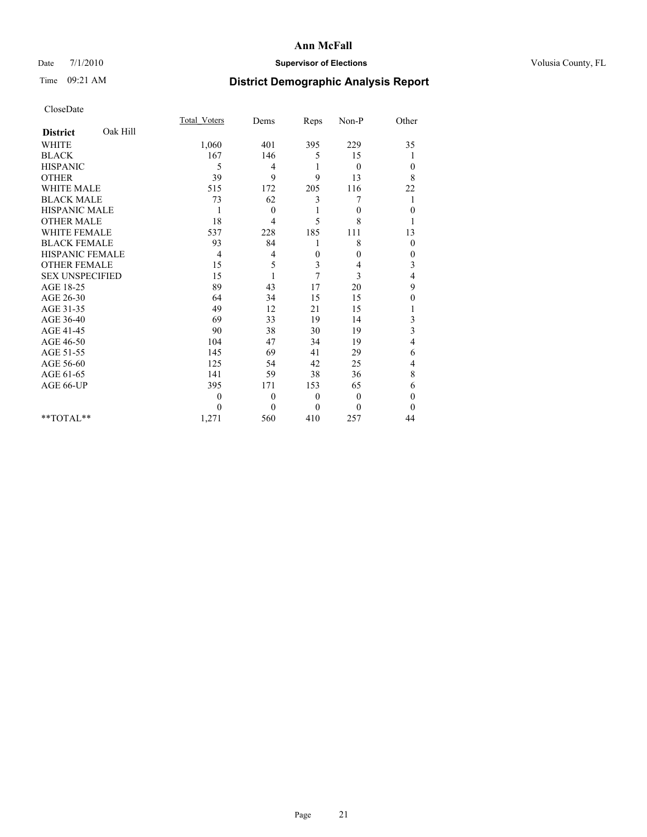### Date 7/1/2010 **Supervisor of Elections Supervisor of Elections** Volusia County, FL

# Time 09:21 AM **District Demographic Analysis Report**

|                        |          | <b>Total Voters</b> | Dems         | Reps         | Non-P          | Other    |
|------------------------|----------|---------------------|--------------|--------------|----------------|----------|
| <b>District</b>        | Oak Hill |                     |              |              |                |          |
| <b>WHITE</b>           |          | 1,060               | 401          | 395          | 229            | 35       |
| <b>BLACK</b>           |          | 167                 | 146          | 5            | 15             |          |
| <b>HISPANIC</b>        |          | 5                   | 4            | 1            | $\overline{0}$ | $\theta$ |
| <b>OTHER</b>           |          | 39                  | 9            | 9            | 13             | 8        |
| <b>WHITE MALE</b>      |          | 515                 | 172          | 205          | 116            | 22       |
| <b>BLACK MALE</b>      |          | 73                  | 62           | 3            | 7              | 1        |
| <b>HISPANIC MALE</b>   |          | $\mathbf{1}$        | $\mathbf{0}$ |              | $\theta$       | $\theta$ |
| <b>OTHER MALE</b>      |          | 18                  | 4            | 5            | 8              |          |
| <b>WHITE FEMALE</b>    |          | 537                 | 228          | 185          | 111            | 13       |
| <b>BLACK FEMALE</b>    |          | 93                  | 84           |              | 8              | $\theta$ |
| HISPANIC FEMALE        |          | $\overline{4}$      | 4            | 0            | $\theta$       | $\theta$ |
| <b>OTHER FEMALE</b>    |          | 15                  | 5            | 3            | 4              | 3        |
| <b>SEX UNSPECIFIED</b> |          | 15                  |              | 7            | 3              | 4        |
| AGE 18-25              |          | 89                  | 43           | 17           | 20             | 9        |
| AGE 26-30              |          | 64                  | 34           | 15           | 15             | $\theta$ |
| AGE 31-35              |          | 49                  | 12           | 21           | 15             |          |
| AGE 36-40              |          | 69                  | 33           | 19           | 14             | 3        |
| AGE 41-45              |          | 90                  | 38           | 30           | 19             | 3        |
| AGE 46-50              |          | 104                 | 47           | 34           | 19             | 4        |
| AGE 51-55              |          | 145                 | 69           | 41           | 29             | 6        |
| AGE 56-60              |          | 125                 | 54           | 42           | 25             | 4        |
| AGE 61-65              |          | 141                 | 59           | 38           | 36             | 8        |
| AGE 66-UP              |          | 395                 | 171          | 153          | 65             | 6        |
|                        |          | $\overline{0}$      | $\theta$     | $\mathbf{0}$ | $\theta$       | $\theta$ |
|                        |          | $\Omega$            | $\theta$     | $\theta$     | $\theta$       | $\Omega$ |
| $*$ $TOTAI.**$         |          | 1,271               | 560          | 410          | 257            | 44       |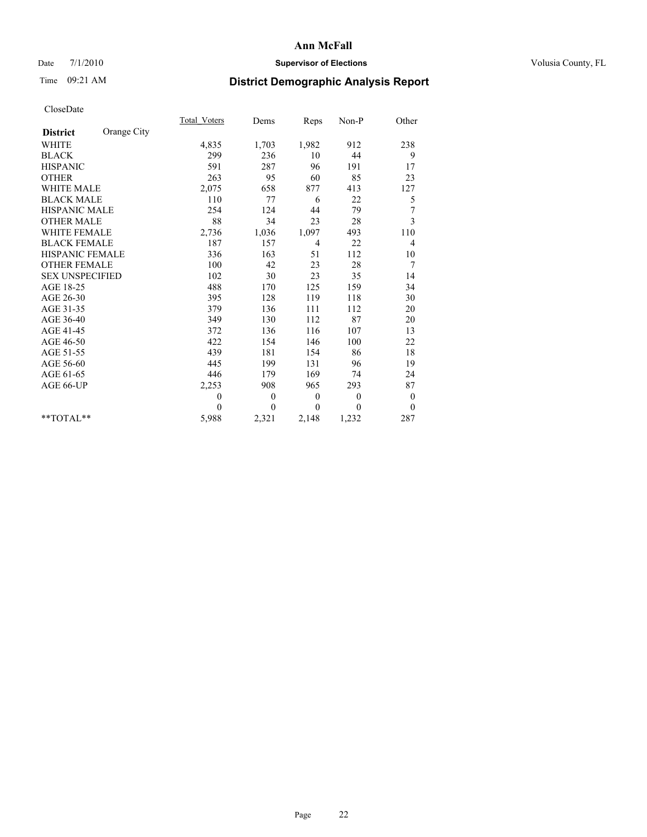### Date 7/1/2010 **Supervisor of Elections Supervisor of Elections** Volusia County, FL

# Time 09:21 AM **District Demographic Analysis Report**

|                        |             | <b>Total Voters</b> | Dems         | Reps         | $Non-P$  | Other            |
|------------------------|-------------|---------------------|--------------|--------------|----------|------------------|
| <b>District</b>        | Orange City |                     |              |              |          |                  |
| <b>WHITE</b>           |             | 4,835               | 1,703        | 1,982        | 912      | 238              |
| <b>BLACK</b>           |             | 299                 | 236          | 10           | 44       | 9                |
| <b>HISPANIC</b>        |             | 591                 | 287          | 96           | 191      | 17               |
| <b>OTHER</b>           |             | 263                 | 95           | 60           | 85       | 23               |
| <b>WHITE MALE</b>      |             | 2,075               | 658          | 877          | 413      | 127              |
| <b>BLACK MALE</b>      |             | 110                 | 77           | 6            | 22       | 5                |
| <b>HISPANIC MALE</b>   |             | 254                 | 124          | 44           | 79       | 7                |
| <b>OTHER MALE</b>      |             | 88                  | 34           | 23           | 28       | 3                |
| WHITE FEMALE           |             | 2,736               | 1,036        | 1,097        | 493      | 110              |
| <b>BLACK FEMALE</b>    |             | 187                 | 157          | 4            | 22       | 4                |
| HISPANIC FEMALE        |             | 336                 | 163          | 51           | 112      | 10               |
| <b>OTHER FEMALE</b>    |             | 100                 | 42           | 23           | 28       | 7                |
| <b>SEX UNSPECIFIED</b> |             | 102                 | 30           | 23           | 35       | 14               |
| AGE 18-25              |             | 488                 | 170          | 125          | 159      | 34               |
| AGE 26-30              |             | 395                 | 128          | 119          | 118      | 30               |
| AGE 31-35              |             | 379                 | 136          | 111          | 112      | 20               |
| AGE 36-40              |             | 349                 | 130          | 112          | 87       | 20               |
| AGE 41-45              |             | 372                 | 136          | 116          | 107      | 13               |
| AGE 46-50              |             | 422                 | 154          | 146          | 100      | 22               |
| AGE 51-55              |             | 439                 | 181          | 154          | 86       | 18               |
| AGE 56-60              |             | 445                 | 199          | 131          | 96       | 19               |
| AGE 61-65              |             | 446                 | 179          | 169          | 74       | 24               |
| AGE 66-UP              |             | 2,253               | 908          | 965          | 293      | 87               |
|                        |             | $\theta$            | $\mathbf{0}$ | $\mathbf{0}$ | $\theta$ | $\boldsymbol{0}$ |
|                        |             | $\Omega$            | $\theta$     | $\theta$     | $\theta$ | $\theta$         |
| $*$ $TOTAI.**$         |             | 5,988               | 2,321        | 2,148        | 1,232    | 287              |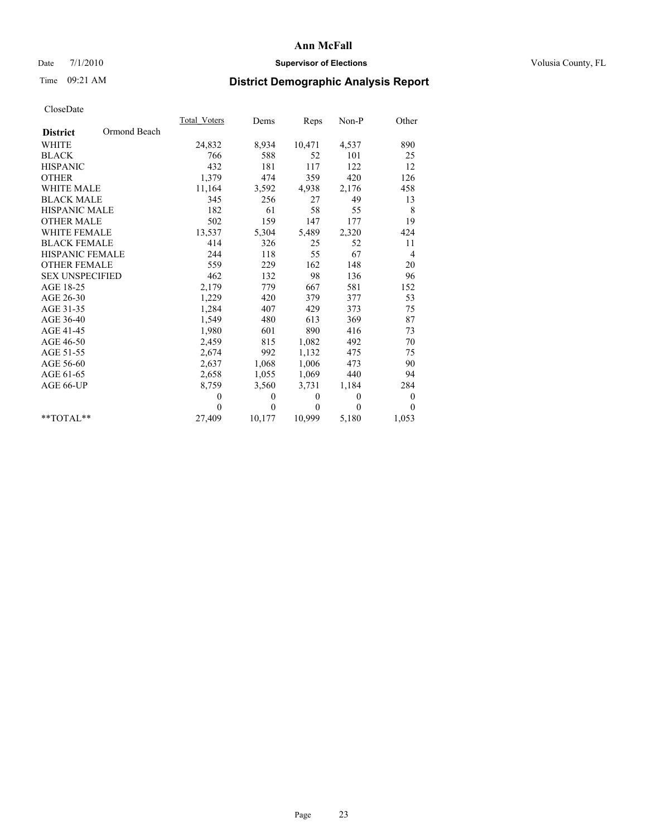### Date 7/1/2010 **Supervisor of Elections Supervisor of Elections** Volusia County, FL

## Time 09:21 AM **District Demographic Analysis Report**

|                                 | Total Voters | Dems     | <b>Reps</b>  | Non-P        | Other        |  |
|---------------------------------|--------------|----------|--------------|--------------|--------------|--|
| Ormond Beach<br><b>District</b> |              |          |              |              |              |  |
| <b>WHITE</b>                    | 24,832       | 8,934    | 10,471       | 4,537        | 890          |  |
| <b>BLACK</b>                    | 766          | 588      | 52           | 101          | 25           |  |
| <b>HISPANIC</b>                 | 432          | 181      | 117          | 122          | 12           |  |
| <b>OTHER</b>                    | 1,379        | 474      | 359          | 420          | 126          |  |
| WHITE MALE                      | 11,164       | 3,592    | 4,938        | 2,176        | 458          |  |
| <b>BLACK MALE</b>               | 345          | 256      | 27           | 49           | 13           |  |
| <b>HISPANIC MALE</b>            | 182          | 61       | 58           | 55           | 8            |  |
| <b>OTHER MALE</b>               | 502          | 159      | 147          | 177          | 19           |  |
| <b>WHITE FEMALE</b>             | 13,537       | 5,304    | 5,489        | 2,320        | 424          |  |
| <b>BLACK FEMALE</b>             | 414          | 326      | 25           | 52           | 11           |  |
| <b>HISPANIC FEMALE</b>          | 244          | 118      | 55           | 67           | 4            |  |
| <b>OTHER FEMALE</b>             | 559          | 229      | 162          | 148          | 20           |  |
| <b>SEX UNSPECIFIED</b>          | 462          | 132      | 98           | 136          | 96           |  |
| AGE 18-25                       | 2,179        | 779      | 667          | 581          | 152          |  |
| AGE 26-30                       | 1,229        | 420      | 379          | 377          | 53           |  |
| AGE 31-35                       | 1,284        | 407      | 429          | 373          | 75           |  |
| AGE 36-40                       | 1,549        | 480      | 613          | 369          | 87           |  |
| AGE 41-45                       | 1,980        | 601      | 890          | 416          | 73           |  |
| AGE 46-50                       | 2,459        | 815      | 1,082        | 492          | 70           |  |
| AGE 51-55                       | 2,674        | 992      | 1,132        | 475          | 75           |  |
| AGE 56-60                       | 2,637        | 1,068    | 1,006        | 473          | 90           |  |
| AGE 61-65                       | 2,658        | 1,055    | 1,069        | 440          | 94           |  |
| AGE 66-UP                       | 8,759        | 3,560    | 3,731        | 1,184        | 284          |  |
|                                 | $\theta$     | 0        | $\mathbf{0}$ | $\mathbf{0}$ | $\mathbf{0}$ |  |
|                                 | $\theta$     | $\theta$ | $\Omega$     | $\theta$     | $\Omega$     |  |
| $*$ $TOTAI.**$                  | 27,409       | 10,177   | 10,999       | 5,180        | 1,053        |  |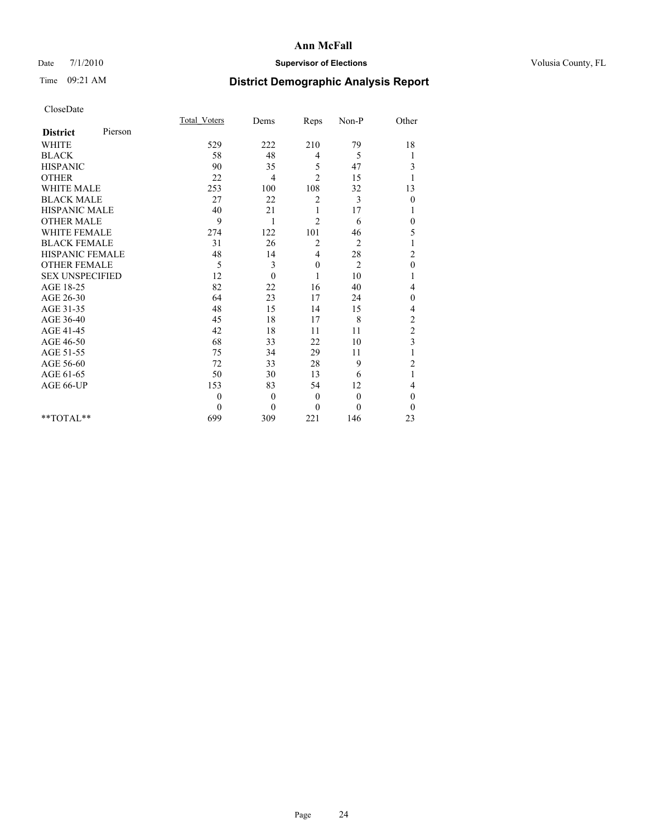### Date 7/1/2010 **Supervisor of Elections Supervisor of Elections** Volusia County, FL

# Time 09:21 AM **District Demographic Analysis Report**

|                        |         | <b>Total Voters</b> | Dems         | Reps           | Non-P          | Other          |  |
|------------------------|---------|---------------------|--------------|----------------|----------------|----------------|--|
| <b>District</b>        | Pierson |                     |              |                |                |                |  |
| <b>WHITE</b>           |         | 529                 | 222          | 210            | 79             | 18             |  |
| <b>BLACK</b>           |         | 58                  | 48           | 4              | 5              | 1              |  |
| <b>HISPANIC</b>        |         | 90                  | 35           | 5              | 47             | 3              |  |
| <b>OTHER</b>           |         | 22                  | 4            | $\overline{c}$ | 15             |                |  |
| <b>WHITE MALE</b>      |         | 253                 | 100          | 108            | 32             | 13             |  |
| <b>BLACK MALE</b>      |         | 27                  | 22           | $\overline{c}$ | 3              | $\mathbf{0}$   |  |
| <b>HISPANIC MALE</b>   |         | 40                  | 21           | 1              | 17             |                |  |
| <b>OTHER MALE</b>      |         | 9                   | 1            | $\overline{2}$ | 6              | 0              |  |
| <b>WHITE FEMALE</b>    |         | 274                 | 122          | 101            | 46             | 5              |  |
| <b>BLACK FEMALE</b>    |         | 31                  | 26           | 2              | $\overline{2}$ |                |  |
| HISPANIC FEMALE        |         | 48                  | 14           | 4              | 28             | $\overline{c}$ |  |
| <b>OTHER FEMALE</b>    |         | 5                   | 3            | $\mathbf{0}$   | $\overline{2}$ | $\mathbf{0}$   |  |
| <b>SEX UNSPECIFIED</b> |         | 12                  | $\mathbf{0}$ | 1              | 10             |                |  |
| AGE 18-25              |         | 82                  | 22           | 16             | 40             | 4              |  |
| AGE 26-30              |         | 64                  | 23           | 17             | 24             | $\overline{0}$ |  |
| AGE 31-35              |         | 48                  | 15           | 14             | 15             | 4              |  |
| AGE 36-40              |         | 45                  | 18           | 17             | 8              | $\overline{c}$ |  |
| AGE 41-45              |         | 42                  | 18           | 11             | 11             | $\overline{c}$ |  |
| AGE 46-50              |         | 68                  | 33           | 22             | 10             | $\overline{3}$ |  |
| AGE 51-55              |         | 75                  | 34           | 29             | 11             |                |  |
| AGE 56-60              |         | 72                  | 33           | 28             | 9              | $\overline{c}$ |  |
| AGE 61-65              |         | 50                  | 30           | 13             | 6              | 1              |  |
| AGE 66-UP              |         | 153                 | 83           | 54             | 12             | 4              |  |
|                        |         | $\mathbf{0}$        | $\theta$     | $\mathbf{0}$   | $\mathbf{0}$   | $\overline{0}$ |  |
|                        |         | $\theta$            | $\theta$     | $\theta$       | $\theta$       | $\theta$       |  |
| $*$ TOTAL $*$          |         | 699                 | 309          | 221            | 146            | 23             |  |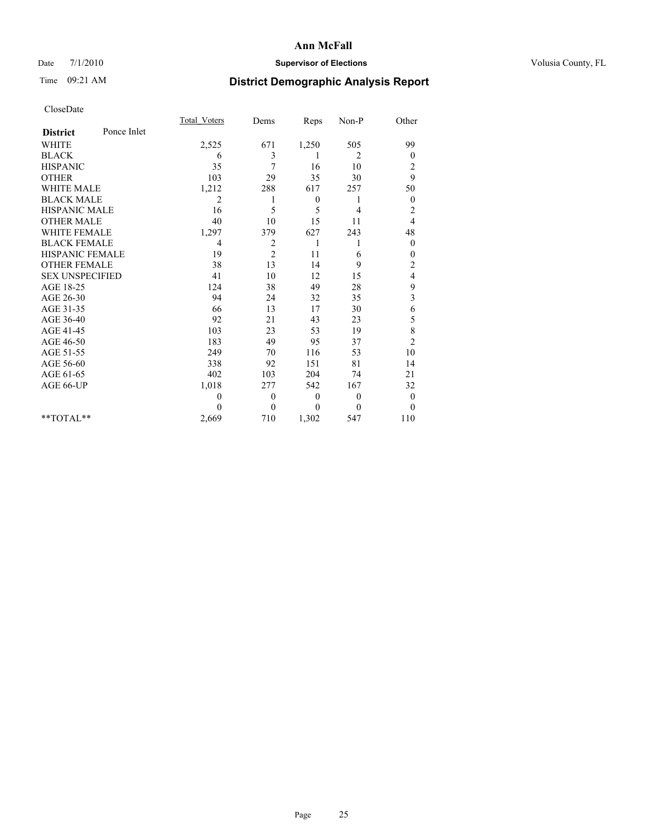### Date 7/1/2010 **Supervisor of Elections Supervisor of Elections** Volusia County, FL

# Time 09:21 AM **District Demographic Analysis Report**

|                        |             | <b>Total Voters</b> | Dems           | Reps         | Non-P          | Other                   |
|------------------------|-------------|---------------------|----------------|--------------|----------------|-------------------------|
| <b>District</b>        | Ponce Inlet |                     |                |              |                |                         |
| <b>WHITE</b>           |             | 2,525               | 671            | 1,250        | 505            | 99                      |
| <b>BLACK</b>           |             | 6                   | 3              | 1            | 2              | $\theta$                |
| <b>HISPANIC</b>        |             | 35                  | 7              | 16           | 10             | $\overline{\mathbf{c}}$ |
| <b>OTHER</b>           |             | 103                 | 29             | 35           | 30             | 9                       |
| <b>WHITE MALE</b>      |             | 1,212               | 288            | 617          | 257            | 50                      |
| <b>BLACK MALE</b>      |             | $\overline{2}$      |                | $\mathbf{0}$ | 1              | $\overline{0}$          |
| <b>HISPANIC MALE</b>   |             | 16                  | 5              | 5            | 4              | $\overline{c}$          |
| <b>OTHER MALE</b>      |             | 40                  | 10             | 15           | 11             | 4                       |
| <b>WHITE FEMALE</b>    |             | 1,297               | 379            | 627          | 243            | 48                      |
| <b>BLACK FEMALE</b>    |             | $\overline{4}$      | 2              | 1            |                | $\theta$                |
| HISPANIC FEMALE        |             | 19                  | $\overline{c}$ | 11           | 6              | $\mathbf{0}$            |
| <b>OTHER FEMALE</b>    |             | 38                  | 13             | 14           | 9              | $\overline{c}$          |
| <b>SEX UNSPECIFIED</b> |             | 41                  | 10             | 12           | 15             | 4                       |
| AGE 18-25              |             | 124                 | 38             | 49           | 28             | 9                       |
| AGE 26-30              |             | 94                  | 24             | 32           | 35             | 3                       |
| AGE 31-35              |             | 66                  | 13             | 17           | 30             | 6                       |
| AGE 36-40              |             | 92                  | 21             | 43           | 23             | 5                       |
| AGE 41-45              |             | 103                 | 23             | 53           | 19             | 8                       |
| AGE 46-50              |             | 183                 | 49             | 95           | 37             | $\overline{2}$          |
| AGE 51-55              |             | 249                 | 70             | 116          | 53             | 10                      |
| AGE 56-60              |             | 338                 | 92             | 151          | 81             | 14                      |
| AGE 61-65              |             | 402                 | 103            | 204          | 74             | 21                      |
| AGE 66-UP              |             | 1,018               | 277            | 542          | 167            | 32                      |
|                        |             | $\theta$            | $\theta$       | $\mathbf{0}$ | $\overline{0}$ | $\boldsymbol{0}$        |
|                        |             | $\Omega$            | $\theta$       | $\Omega$     | $\theta$       | $\theta$                |
| $*$ $TOTAI.**$         |             | 2,669               | 710            | 1,302        | 547            | 110                     |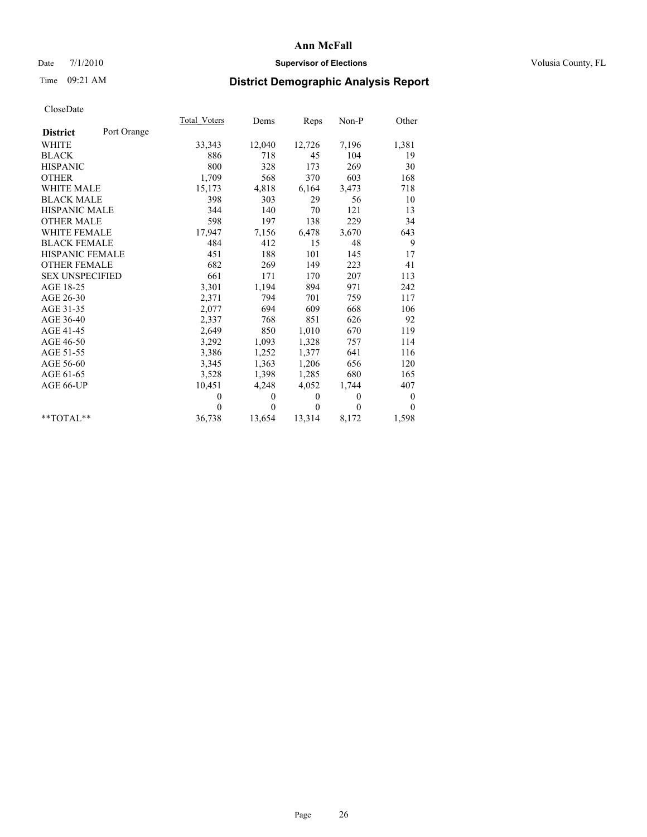### Date 7/1/2010 **Supervisor of Elections Supervisor of Elections** Volusia County, FL

# Time 09:21 AM **District Demographic Analysis Report**

|                        |             | Total Voters | Dems         | Reps         | Non-P            | Other          |
|------------------------|-------------|--------------|--------------|--------------|------------------|----------------|
| <b>District</b>        | Port Orange |              |              |              |                  |                |
| <b>WHITE</b>           |             | 33,343       | 12,040       | 12,726       | 7,196            | 1,381          |
| <b>BLACK</b>           |             | 886          | 718          | 45           | 104              | 19             |
| <b>HISPANIC</b>        |             | 800          | 328          | 173          | 269              | 30             |
| <b>OTHER</b>           |             | 1,709        | 568          | 370          | 603              | 168            |
| <b>WHITE MALE</b>      |             | 15,173       | 4,818        | 6,164        | 3,473            | 718            |
| <b>BLACK MALE</b>      |             | 398          | 303          | 29           | 56               | 10             |
| <b>HISPANIC MALE</b>   |             | 344          | 140          | 70           | 121              | 13             |
| <b>OTHER MALE</b>      |             | 598          | 197          | 138          | 229              | 34             |
| <b>WHITE FEMALE</b>    |             | 17,947       | 7,156        | 6,478        | 3,670            | 643            |
| <b>BLACK FEMALE</b>    |             | 484          | 412          | 15           | 48               | 9              |
| HISPANIC FEMALE        |             | 451          | 188          | 101          | 145              | 17             |
| <b>OTHER FEMALE</b>    |             | 682          | 269          | 149          | 223              | 41             |
| <b>SEX UNSPECIFIED</b> |             | 661          | 171          | 170          | 207              | 113            |
| AGE 18-25              |             | 3,301        | 1,194        | 894          | 971              | 242            |
| AGE 26-30              |             | 2,371        | 794          | 701          | 759              | 117            |
| AGE 31-35              |             | 2,077        | 694          | 609          | 668              | 106            |
| AGE 36-40              |             | 2,337        | 768          | 851          | 626              | 92             |
| AGE 41-45              |             | 2,649        | 850          | 1,010        | 670              | 119            |
| AGE 46-50              |             | 3,292        | 1,093        | 1,328        | 757              | 114            |
| AGE 51-55              |             | 3,386        | 1,252        | 1,377        | 641              | 116            |
| AGE 56-60              |             | 3,345        | 1,363        | 1,206        | 656              | 120            |
| AGE 61-65              |             | 3,528        | 1,398        | 1,285        | 680              | 165            |
| AGE 66-UP              |             | 10,451       | 4,248        | 4,052        | 1,744            | 407            |
|                        |             | $\theta$     | $\mathbf{0}$ | $\mathbf{0}$ | $\mathbf{0}$     | $\overline{0}$ |
|                        |             | $\Omega$     | $\theta$     | $\mathbf{0}$ | $\boldsymbol{0}$ | $\theta$       |
| $*$ $TOTAI.**$         |             | 36,738       | 13,654       | 13,314       | 8,172            | 1,598          |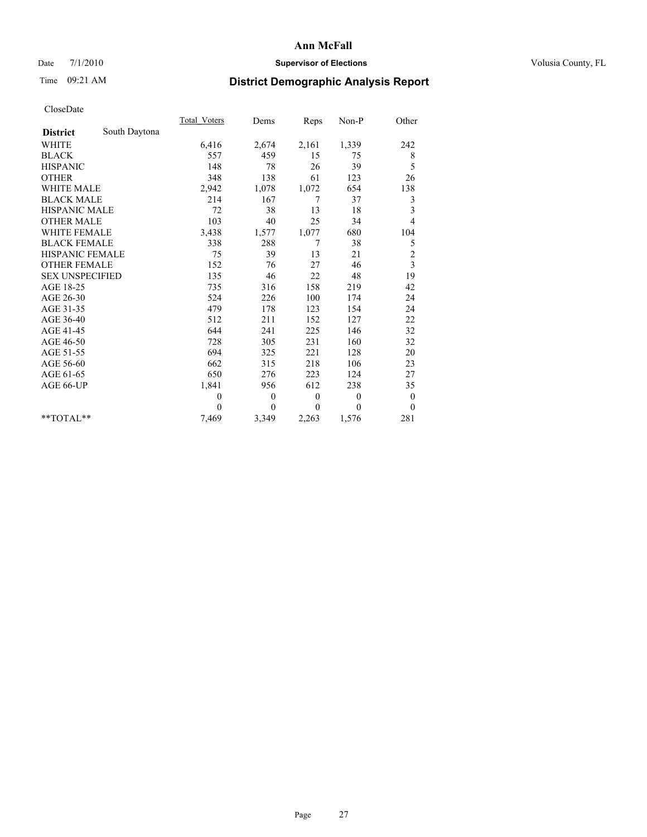### Date 7/1/2010 **Supervisor of Elections Supervisor of Elections** Volusia County, FL

## Time 09:21 AM **District Demographic Analysis Report**

|                                  | Total Voters | Dems         | Reps         | Non-P          | Other          |  |
|----------------------------------|--------------|--------------|--------------|----------------|----------------|--|
| South Daytona<br><b>District</b> |              |              |              |                |                |  |
| <b>WHITE</b>                     | 6,416        | 2,674        | 2,161        | 1,339          | 242            |  |
| <b>BLACK</b>                     | 557          | 459          | 15           | 75             | 8              |  |
| <b>HISPANIC</b>                  | 148          | 78           | 26           | 39             | 5              |  |
| <b>OTHER</b>                     | 348          | 138          | 61           | 123            | 26             |  |
| <b>WHITE MALE</b>                | 2,942        | 1,078        | 1,072        | 654            | 138            |  |
| <b>BLACK MALE</b>                | 214          | 167          | 7            | 37             | 3              |  |
| <b>HISPANIC MALE</b>             | 72           | 38           | 13           | 18             | 3              |  |
| <b>OTHER MALE</b>                | 103          | 40           | 25           | 34             | $\overline{4}$ |  |
| WHITE FEMALE                     | 3,438        | 1,577        | 1,077        | 680            | 104            |  |
| <b>BLACK FEMALE</b>              | 338          | 288          | 7            | 38             | 5              |  |
| HISPANIC FEMALE                  | 75           | 39           | 13           | 21             | $\overline{c}$ |  |
| <b>OTHER FEMALE</b>              | 152          | 76           | 27           | 46             | 3              |  |
| <b>SEX UNSPECIFIED</b>           | 135          | 46           | 22           | 48             | 19             |  |
| AGE 18-25                        | 735          | 316          | 158          | 219            | 42             |  |
| AGE 26-30                        | 524          | 226          | 100          | 174            | 24             |  |
| AGE 31-35                        | 479          | 178          | 123          | 154            | 24             |  |
| AGE 36-40                        | 512          | 211          | 152          | 127            | 22             |  |
| AGE 41-45                        | 644          | 241          | 225          | 146            | 32             |  |
| AGE 46-50                        | 728          | 305          | 231          | 160            | 32             |  |
| AGE 51-55                        | 694          | 325          | 221          | 128            | 20             |  |
| AGE 56-60                        | 662          | 315          | 218          | 106            | 23             |  |
| AGE 61-65                        | 650          | 276          | 223          | 124            | 27             |  |
| AGE 66-UP                        | 1,841        | 956          | 612          | 238            | 35             |  |
|                                  | $\theta$     | $\theta$     | $\theta$     | $\overline{0}$ | $\mathbf{0}$   |  |
|                                  | $\theta$     | $\mathbf{0}$ | $\mathbf{0}$ | $\theta$       | $\mathbf{0}$   |  |
| $*$ $TOTAI.**$                   | 7,469        | 3,349        | 2,263        | 1,576          | 281            |  |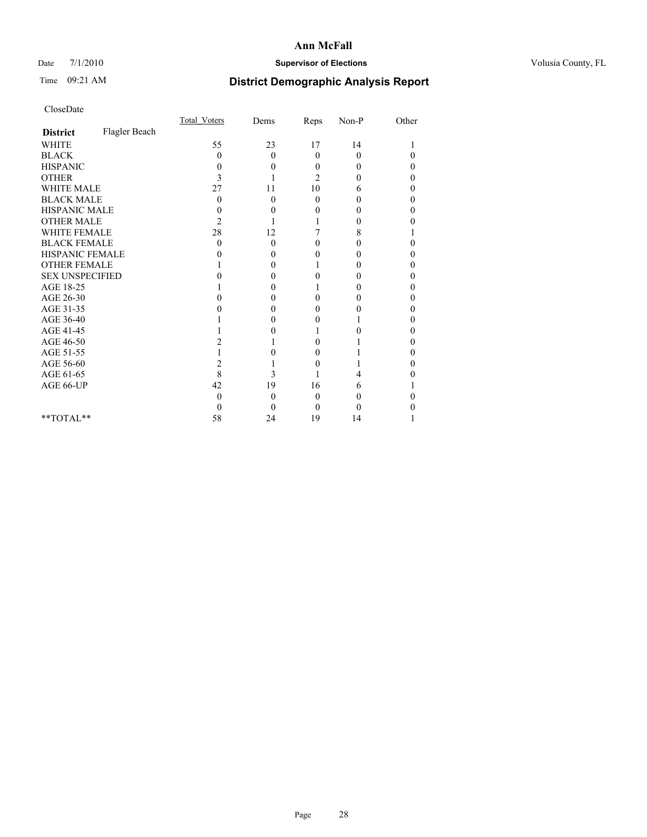### Date 7/1/2010 **Supervisor of Elections Supervisor of Elections** Volusia County, FL

## Time 09:21 AM **District Demographic Analysis Report**

|                        |               | Total Voters | Dems           | Reps     | Non-P    | Other |  |
|------------------------|---------------|--------------|----------------|----------|----------|-------|--|
| <b>District</b>        | Flagler Beach |              |                |          |          |       |  |
| <b>WHITE</b>           |               | 55           | 23             | 17       | 14       |       |  |
| <b>BLACK</b>           |               | 0            | $\overline{0}$ | $\theta$ | $\theta$ | 0     |  |
| <b>HISPANIC</b>        |               | 0            | 0              | 0        | 0        | 0     |  |
| <b>OTHER</b>           |               | 3            |                | 2        | 0        | 0     |  |
| <b>WHITE MALE</b>      |               | 27           | 11             | 10       | 6        | 0     |  |
| <b>BLACK MALE</b>      |               | $_{0}$       | $\theta$       | 0        | 0        | 0     |  |
| HISPANIC MALE          |               | 0            | 0              | 0        | 0        | 0     |  |
| <b>OTHER MALE</b>      |               | 2            |                |          | 0        |       |  |
| WHITE FEMALE           |               | 28           | 12             |          | 8        |       |  |
| <b>BLACK FEMALE</b>    |               | 0            | $\theta$       | 0        | $_{0}$   |       |  |
| HISPANIC FEMALE        |               |              | 0              | 0        | 0        | 0     |  |
| <b>OTHER FEMALE</b>    |               |              | 0              |          | 0        | 0     |  |
| <b>SEX UNSPECIFIED</b> |               |              | 0              | 0        | 0        | 0     |  |
| AGE 18-25              |               |              | 0              |          | 0        | 0     |  |
| AGE 26-30              |               |              | 0              | 0        | $\theta$ | 0     |  |
| AGE 31-35              |               |              | 0              |          | $\theta$ |       |  |
| AGE 36-40              |               |              | 0              | 0        |          | 0     |  |
| AGE 41-45              |               |              | $\theta$       |          | 0        | 0     |  |
| AGE 46-50              |               |              |                |          |          |       |  |
| AGE 51-55              |               |              | 0              | 0        |          | 0     |  |
| AGE 56-60              |               | 2            |                | 0        |          | 0     |  |
| AGE 61-65              |               | 8            | 3              |          | 4        |       |  |
| AGE 66-UP              |               | 42           | 19             | 16       | 6        |       |  |
|                        |               | 0            | $\theta$       | 0        | 0        |       |  |
|                        |               | $\theta$     | $\theta$       | 0        | 0        |       |  |
| $*$ $TOTAI.**$         |               | 58           | 24             | 19       | 14       |       |  |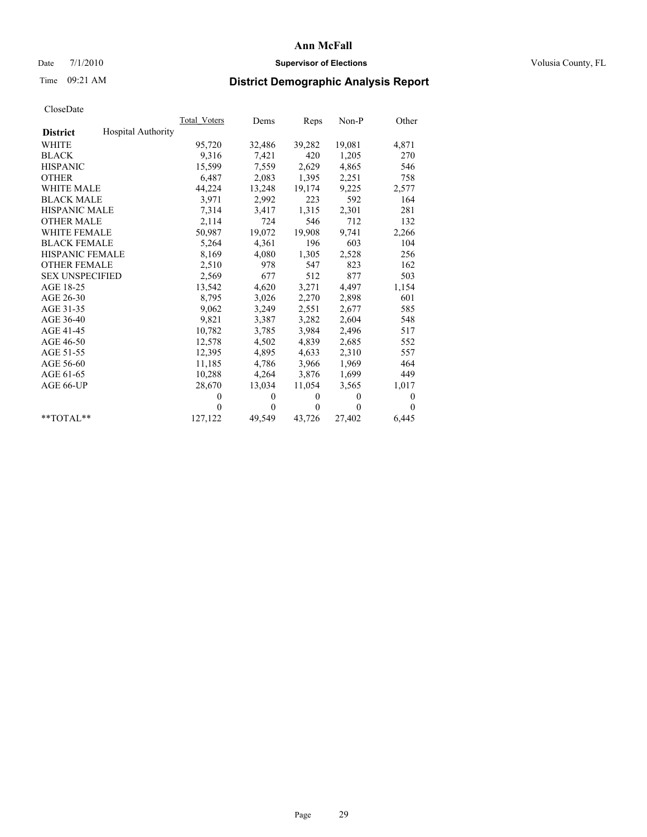### Date 7/1/2010 **Supervisor of Elections Supervisor of Elections** Volusia County, FL

# Time 09:21 AM **District Demographic Analysis Report**

|                                              | Total Voters | Dems         | Reps         | Non-P    | Other        |
|----------------------------------------------|--------------|--------------|--------------|----------|--------------|
| <b>Hospital Authority</b><br><b>District</b> |              |              |              |          |              |
| <b>WHITE</b>                                 | 95,720       | 32,486       | 39,282       | 19,081   | 4,871        |
| <b>BLACK</b>                                 | 9,316        | 7,421        | 420          | 1,205    | 270          |
| <b>HISPANIC</b>                              | 15,599       | 7,559        | 2,629        | 4,865    | 546          |
| <b>OTHER</b>                                 | 6,487        | 2,083        | 1,395        | 2,251    | 758          |
| <b>WHITE MALE</b>                            | 44,224       | 13,248       | 19,174       | 9,225    | 2,577        |
| <b>BLACK MALE</b>                            | 3,971        | 2,992        | 223          | 592      | 164          |
| <b>HISPANIC MALE</b>                         | 7,314        | 3,417        | 1,315        | 2,301    | 281          |
| <b>OTHER MALE</b>                            | 2,114        | 724          | 546          | 712      | 132          |
| <b>WHITE FEMALE</b>                          | 50,987       | 19,072       | 19,908       | 9,741    | 2,266        |
| <b>BLACK FEMALE</b>                          | 5,264        | 4,361        | 196          | 603      | 104          |
| <b>HISPANIC FEMALE</b>                       | 8,169        | 4,080        | 1,305        | 2,528    | 256          |
| <b>OTHER FEMALE</b>                          | 2,510        | 978          | 547          | 823      | 162          |
| <b>SEX UNSPECIFIED</b>                       | 2,569        | 677          | 512          | 877      | 503          |
| AGE 18-25                                    | 13,542       | 4,620        | 3,271        | 4,497    | 1,154        |
| AGE 26-30                                    | 8,795        | 3,026        | 2,270        | 2,898    | 601          |
| AGE 31-35                                    | 9,062        | 3,249        | 2,551        | 2,677    | 585          |
| AGE 36-40                                    | 9,821        | 3,387        | 3,282        | 2,604    | 548          |
| AGE 41-45                                    | 10,782       | 3,785        | 3,984        | 2,496    | 517          |
| AGE 46-50                                    | 12,578       | 4,502        | 4,839        | 2,685    | 552          |
| AGE 51-55                                    | 12,395       | 4,895        | 4,633        | 2,310    | 557          |
| AGE 56-60                                    | 11,185       | 4,786        | 3,966        | 1,969    | 464          |
| AGE 61-65                                    | 10,288       | 4,264        | 3,876        | 1,699    | 449          |
| AGE 66-UP                                    | 28,670       | 13,034       | 11,054       | 3,565    | 1,017        |
|                                              | $\theta$     | $\mathbf{0}$ | $\mathbf{0}$ | $\Omega$ | $\mathbf{0}$ |
|                                              | $\Omega$     | $\mathbf{0}$ | $\theta$     | $\theta$ | $\Omega$     |
| $*$ $TOTAI.**$                               | 127,122      | 49,549       | 43,726       | 27,402   | 6,445        |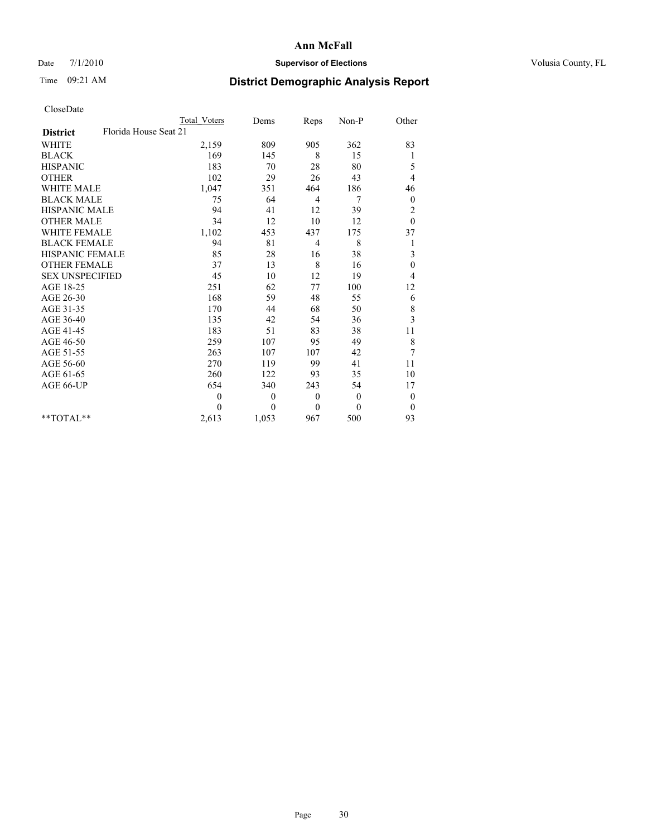### Date 7/1/2010 **Supervisor of Elections Supervisor of Elections** Volusia County, FL

# Time 09:21 AM **District Demographic Analysis Report**

|                                          | <b>Total Voters</b> | Dems             | Reps         | Non-P    | Other            |  |
|------------------------------------------|---------------------|------------------|--------------|----------|------------------|--|
| Florida House Seat 21<br><b>District</b> |                     |                  |              |          |                  |  |
| <b>WHITE</b>                             | 2,159               | 809              | 905          | 362      | 83               |  |
| <b>BLACK</b>                             | 169                 | 145              | 8            | 15       | 1                |  |
| <b>HISPANIC</b>                          | 183                 | 70               | 28           | 80       | 5                |  |
| <b>OTHER</b>                             | 102                 | 29               | 26           | 43       | 4                |  |
| <b>WHITE MALE</b>                        | 1,047               | 351              | 464          | 186      | 46               |  |
| <b>BLACK MALE</b>                        | 75                  | 64               | 4            | 7        | $\boldsymbol{0}$ |  |
| HISPANIC MALE                            | 94                  | 41               | 12           | 39       | $\overline{c}$   |  |
| <b>OTHER MALE</b>                        | 34                  | 12               | 10           | 12       | $\theta$         |  |
| <b>WHITE FEMALE</b>                      | 1,102               | 453              | 437          | 175      | 37               |  |
| <b>BLACK FEMALE</b>                      | 94                  | 81               | 4            | 8        | 1                |  |
| HISPANIC FEMALE                          | 85                  | 28               | 16           | 38       | 3                |  |
| <b>OTHER FEMALE</b>                      | 37                  | 13               | 8            | 16       | $\boldsymbol{0}$ |  |
| <b>SEX UNSPECIFIED</b>                   | 45                  | 10               | 12           | 19       | 4                |  |
| AGE 18-25                                | 251                 | 62               | 77           | 100      | 12               |  |
| AGE 26-30                                | 168                 | 59               | 48           | 55       | 6                |  |
| AGE 31-35                                | 170                 | 44               | 68           | 50       | $\,$ $\,$        |  |
| AGE 36-40                                | 135                 | 42               | 54           | 36       | 3                |  |
| AGE 41-45                                | 183                 | 51               | 83           | 38       | 11               |  |
| AGE 46-50                                | 259                 | 107              | 95           | 49       | $\,$ $\,$        |  |
| AGE 51-55                                | 263                 | 107              | 107          | 42       | 7                |  |
| AGE 56-60                                | 270                 | 119              | 99           | 41       | 11               |  |
| AGE 61-65                                | 260                 | 122              | 93           | 35       | 10               |  |
| AGE 66-UP                                | 654                 | 340              | 243          | 54       | 17               |  |
|                                          | $\mathbf{0}$        | $\boldsymbol{0}$ | $\mathbf{0}$ | $\theta$ | $\boldsymbol{0}$ |  |
|                                          | $\Omega$            | $\theta$         | $\mathbf{0}$ | $\theta$ | $\theta$         |  |
| $*$ $TOTAI.**$                           | 2,613               | 1,053            | 967          | 500      | 93               |  |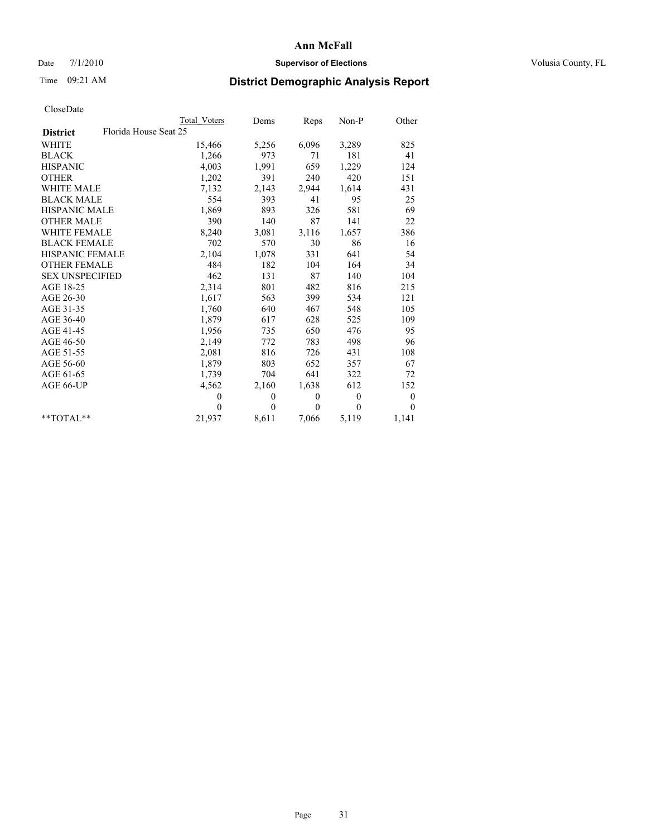### Date 7/1/2010 **Supervisor of Elections Supervisor of Elections** Volusia County, FL

# Time 09:21 AM **District Demographic Analysis Report**

|                                          | <b>Total Voters</b> | Dems         | Reps         | $Non-P$      | Other            |
|------------------------------------------|---------------------|--------------|--------------|--------------|------------------|
| Florida House Seat 25<br><b>District</b> |                     |              |              |              |                  |
| <b>WHITE</b>                             | 15,466              | 5,256        | 6,096        | 3,289        | 825              |
| <b>BLACK</b>                             | 1,266               | 973          | 71           | 181          | 41               |
| <b>HISPANIC</b>                          | 4,003               | 1,991        | 659          | 1,229        | 124              |
| <b>OTHER</b>                             | 1,202               | 391          | 240          | 420          | 151              |
| <b>WHITE MALE</b>                        | 7,132               | 2,143        | 2,944        | 1,614        | 431              |
| <b>BLACK MALE</b>                        | 554                 | 393          | 41           | 95           | 25               |
| HISPANIC MALE                            | 1,869               | 893          | 326          | 581          | 69               |
| <b>OTHER MALE</b>                        | 390                 | 140          | 87           | 141          | 22               |
| <b>WHITE FEMALE</b>                      | 8,240               | 3,081        | 3,116        | 1,657        | 386              |
| <b>BLACK FEMALE</b>                      | 702                 | 570          | 30           | 86           | 16               |
| HISPANIC FEMALE                          | 2,104               | 1,078        | 331          | 641          | 54               |
| <b>OTHER FEMALE</b>                      | 484                 | 182          | 104          | 164          | 34               |
| <b>SEX UNSPECIFIED</b>                   | 462                 | 131          | 87           | 140          | 104              |
| AGE 18-25                                | 2,314               | 801          | 482          | 816          | 215              |
| AGE 26-30                                | 1,617               | 563          | 399          | 534          | 121              |
| AGE 31-35                                | 1,760               | 640          | 467          | 548          | 105              |
| AGE 36-40                                | 1,879               | 617          | 628          | 525          | 109              |
| AGE 41-45                                | 1,956               | 735          | 650          | 476          | 95               |
| AGE 46-50                                | 2,149               | 772          | 783          | 498          | 96               |
| AGE 51-55                                | 2,081               | 816          | 726          | 431          | 108              |
| AGE 56-60                                | 1,879               | 803          | 652          | 357          | 67               |
| AGE 61-65                                | 1,739               | 704          | 641          | 322          | 72               |
| AGE 66-UP                                | 4,562               | 2,160        | 1,638        | 612          | 152              |
|                                          | $\theta$            | $\mathbf{0}$ | $\mathbf{0}$ | $\mathbf{0}$ | $\boldsymbol{0}$ |
|                                          | $\Omega$            | $\mathbf{0}$ | $\theta$     | $\theta$     | $\mathbf{0}$     |
| $*$ $TOTAI.**$                           | 21,937              | 8,611        | 7,066        | 5,119        | 1,141            |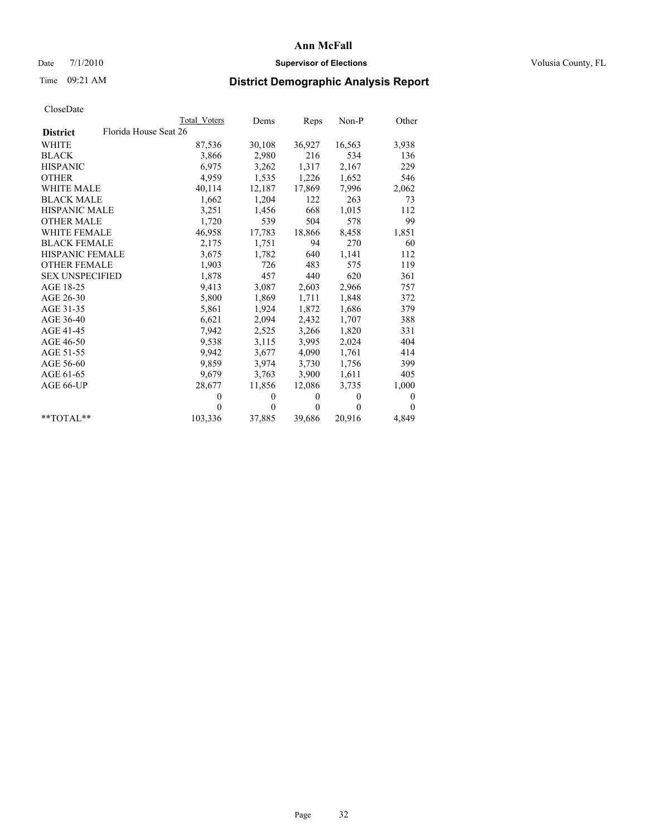### Date 7/1/2010 **Supervisor of Elections Supervisor of Elections** Volusia County, FL

# Time 09:21 AM **District Demographic Analysis Report**

|                                          | Total Voters | Dems     | Reps         | $Non-P$  | Other        |
|------------------------------------------|--------------|----------|--------------|----------|--------------|
| Florida House Seat 26<br><b>District</b> |              |          |              |          |              |
| WHITE                                    | 87,536       | 30,108   | 36,927       | 16,563   | 3,938        |
| <b>BLACK</b>                             | 3,866        | 2,980    | 216          | 534      | 136          |
| <b>HISPANIC</b>                          | 6,975        | 3,262    | 1,317        | 2,167    | 229          |
| <b>OTHER</b>                             | 4,959        | 1,535    | 1,226        | 1,652    | 546          |
| <b>WHITE MALE</b>                        | 40,114       | 12,187   | 17,869       | 7,996    | 2,062        |
| <b>BLACK MALE</b>                        | 1,662        | 1,204    | 122          | 263      | 73           |
| <b>HISPANIC MALE</b>                     | 3,251        | 1,456    | 668          | 1,015    | 112          |
| <b>OTHER MALE</b>                        | 1,720        | 539      | 504          | 578      | 99           |
| <b>WHITE FEMALE</b>                      | 46,958       | 17,783   | 18,866       | 8,458    | 1,851        |
| <b>BLACK FEMALE</b>                      | 2,175        | 1,751    | 94           | 270      | 60           |
| <b>HISPANIC FEMALE</b>                   | 3,675        | 1,782    | 640          | 1,141    | 112          |
| <b>OTHER FEMALE</b>                      | 1,903        | 726      | 483          | 575      | 119          |
| <b>SEX UNSPECIFIED</b>                   | 1,878        | 457      | 440          | 620      | 361          |
| AGE 18-25                                | 9,413        | 3,087    | 2,603        | 2,966    | 757          |
| AGE 26-30                                | 5,800        | 1,869    | 1,711        | 1,848    | 372          |
| AGE 31-35                                | 5,861        | 1,924    | 1,872        | 1,686    | 379          |
| AGE 36-40                                | 6,621        | 2,094    | 2,432        | 1,707    | 388          |
| AGE 41-45                                | 7,942        | 2,525    | 3,266        | 1,820    | 331          |
| AGE 46-50                                | 9,538        | 3,115    | 3,995        | 2,024    | 404          |
| AGE 51-55                                | 9,942        | 3,677    | 4,090        | 1,761    | 414          |
| AGE 56-60                                | 9,859        | 3,974    | 3,730        | 1,756    | 399          |
| AGE 61-65                                | 9,679        | 3,763    | 3,900        | 1,611    | 405          |
| AGE 66-UP                                | 28,677       | 11,856   | 12,086       | 3,735    | 1,000        |
|                                          | $\mathbf{0}$ | $\theta$ | $\mathbf{0}$ | $\theta$ | $\mathbf{0}$ |
|                                          | $\theta$     | $\theta$ | $\theta$     | $\theta$ | $\theta$     |
| $*$ $TOTAI.**$                           | 103,336      | 37,885   | 39,686       | 20,916   | 4,849        |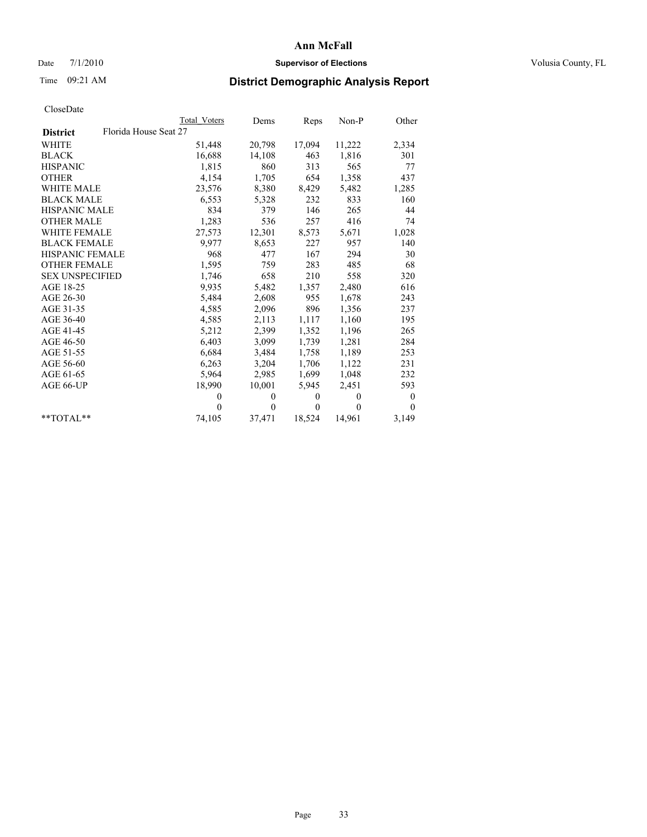### Date 7/1/2010 **Supervisor of Elections Supervisor of Elections** Volusia County, FL

# Time 09:21 AM **District Demographic Analysis Report**

|                                          | Total Voters | Dems     | Reps         | $Non-P$  | Other            |
|------------------------------------------|--------------|----------|--------------|----------|------------------|
| Florida House Seat 27<br><b>District</b> |              |          |              |          |                  |
| <b>WHITE</b>                             | 51,448       | 20,798   | 17,094       | 11,222   | 2,334            |
| <b>BLACK</b>                             | 16,688       | 14,108   | 463          | 1,816    | 301              |
| <b>HISPANIC</b>                          | 1,815        | 860      | 313          | 565      | 77               |
| <b>OTHER</b>                             | 4,154        | 1,705    | 654          | 1,358    | 437              |
| WHITE MALE                               | 23,576       | 8,380    | 8,429        | 5,482    | 1,285            |
| <b>BLACK MALE</b>                        | 6,553        | 5,328    | 232          | 833      | 160              |
| HISPANIC MALE                            | 834          | 379      | 146          | 265      | 44               |
| <b>OTHER MALE</b>                        | 1,283        | 536      | 257          | 416      | 74               |
| <b>WHITE FEMALE</b>                      | 27,573       | 12,301   | 8,573        | 5,671    | 1,028            |
| <b>BLACK FEMALE</b>                      | 9,977        | 8,653    | 227          | 957      | 140              |
| HISPANIC FEMALE                          | 968          | 477      | 167          | 294      | 30               |
| <b>OTHER FEMALE</b>                      | 1,595        | 759      | 283          | 485      | 68               |
| <b>SEX UNSPECIFIED</b>                   | 1,746        | 658      | 210          | 558      | 320              |
| AGE 18-25                                | 9,935        | 5,482    | 1,357        | 2,480    | 616              |
| AGE 26-30                                | 5,484        | 2,608    | 955          | 1,678    | 243              |
| AGE 31-35                                | 4,585        | 2,096    | 896          | 1,356    | 237              |
| AGE 36-40                                | 4,585        | 2,113    | 1,117        | 1,160    | 195              |
| AGE 41-45                                | 5,212        | 2,399    | 1,352        | 1,196    | 265              |
| AGE 46-50                                | 6,403        | 3,099    | 1,739        | 1,281    | 284              |
| AGE 51-55                                | 6,684        | 3,484    | 1,758        | 1,189    | 253              |
| AGE 56-60                                | 6,263        | 3,204    | 1,706        | 1,122    | 231              |
| AGE 61-65                                | 5,964        | 2,985    | 1,699        | 1,048    | 232              |
| AGE 66-UP                                | 18,990       | 10,001   | 5,945        | 2.451    | 593              |
|                                          | $\mathbf{0}$ | $\theta$ | $\mathbf{0}$ | $\theta$ | $\boldsymbol{0}$ |
|                                          | $\theta$     | $\theta$ | $\mathbf{0}$ | $\theta$ | $\Omega$         |
| $*$ $TOTAI.**$                           | 74,105       | 37,471   | 18,524       | 14,961   | 3,149            |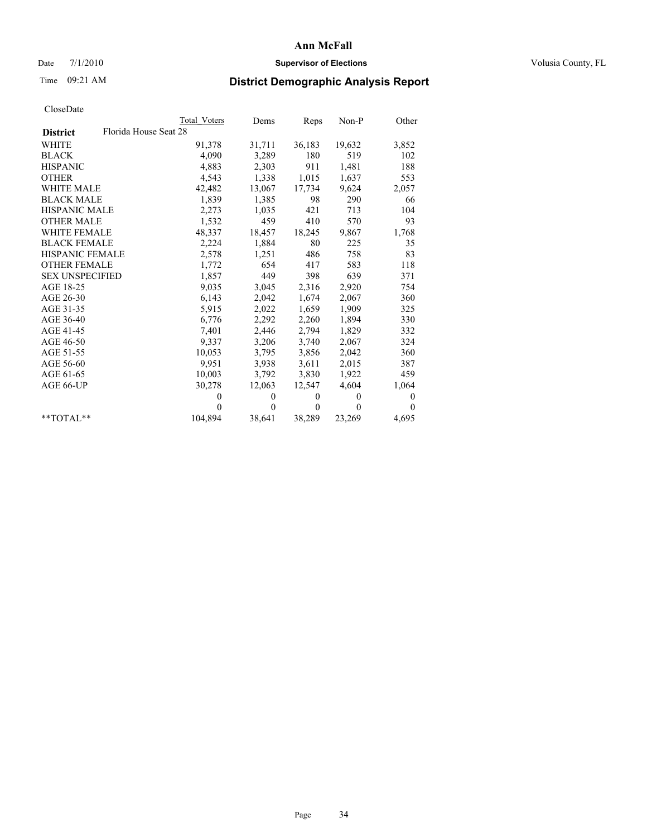### Date 7/1/2010 **Supervisor of Elections Supervisor of Elections** Volusia County, FL

# Time 09:21 AM **District Demographic Analysis Report**

|                                          | Total Voters | Dems     | Reps         | $Non-P$  | Other    |
|------------------------------------------|--------------|----------|--------------|----------|----------|
| Florida House Seat 28<br><b>District</b> |              |          |              |          |          |
| <b>WHITE</b>                             | 91,378       | 31,711   | 36,183       | 19,632   | 3,852    |
| <b>BLACK</b>                             | 4,090        | 3,289    | 180          | 519      | 102      |
| <b>HISPANIC</b>                          | 4,883        | 2,303    | 911          | 1,481    | 188      |
| <b>OTHER</b>                             | 4,543        | 1,338    | 1,015        | 1,637    | 553      |
| WHITE MALE                               | 42,482       | 13,067   | 17,734       | 9,624    | 2,057    |
| <b>BLACK MALE</b>                        | 1,839        | 1,385    | 98           | 290      | 66       |
| HISPANIC MALE                            | 2,273        | 1,035    | 421          | 713      | 104      |
| <b>OTHER MALE</b>                        | 1,532        | 459      | 410          | 570      | 93       |
| <b>WHITE FEMALE</b>                      | 48,337       | 18,457   | 18,245       | 9,867    | 1,768    |
| <b>BLACK FEMALE</b>                      | 2,224        | 1,884    | 80           | 225      | 35       |
| HISPANIC FEMALE                          | 2,578        | 1,251    | 486          | 758      | 83       |
| <b>OTHER FEMALE</b>                      | 1,772        | 654      | 417          | 583      | 118      |
| <b>SEX UNSPECIFIED</b>                   | 1,857        | 449      | 398          | 639      | 371      |
| AGE 18-25                                | 9,035        | 3,045    | 2,316        | 2,920    | 754      |
| AGE 26-30                                | 6,143        | 2,042    | 1,674        | 2,067    | 360      |
| AGE 31-35                                | 5,915        | 2,022    | 1,659        | 1,909    | 325      |
| AGE 36-40                                | 6,776        | 2,292    | 2,260        | 1,894    | 330      |
| AGE 41-45                                | 7,401        | 2,446    | 2,794        | 1,829    | 332      |
| AGE 46-50                                | 9,337        | 3,206    | 3,740        | 2,067    | 324      |
| AGE 51-55                                | 10,053       | 3,795    | 3,856        | 2,042    | 360      |
| AGE 56-60                                | 9,951        | 3,938    | 3,611        | 2,015    | 387      |
| AGE 61-65                                | 10,003       | 3,792    | 3,830        | 1,922    | 459      |
| AGE 66-UP                                | 30,278       | 12,063   | 12,547       | 4,604    | 1,064    |
|                                          | $\Omega$     | $\theta$ | $\mathbf{0}$ | $\theta$ | 0        |
|                                          | $\Omega$     | $\theta$ | $\mathbf{0}$ | $\theta$ | $\Omega$ |
| $*$ $TOTAI.**$                           | 104,894      | 38,641   | 38,289       | 23,269   | 4,695    |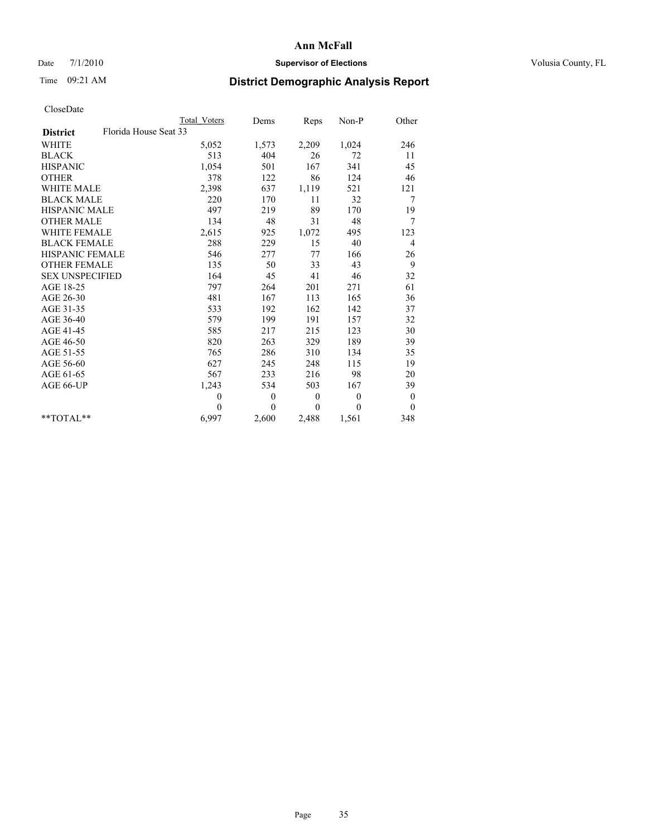### Date 7/1/2010 **Supervisor of Elections Supervisor of Elections** Volusia County, FL

## Time 09:21 AM **District Demographic Analysis Report**

|                                          | <b>Total Voters</b> | Dems         | Reps     | Non-P    | Other            |
|------------------------------------------|---------------------|--------------|----------|----------|------------------|
| Florida House Seat 33<br><b>District</b> |                     |              |          |          |                  |
| <b>WHITE</b>                             | 5,052               | 1,573        | 2,209    | 1,024    | 246              |
| <b>BLACK</b>                             | 513                 | 404          | 26       | 72       | 11               |
| <b>HISPANIC</b>                          | 1,054               | 501          | 167      | 341      | 45               |
| <b>OTHER</b>                             | 378                 | 122          | 86       | 124      | 46               |
| <b>WHITE MALE</b>                        | 2,398               | 637          | 1,119    | 521      | 121              |
| <b>BLACK MALE</b>                        | 220                 | 170          | 11       | 32       | 7                |
| <b>HISPANIC MALE</b>                     | 497                 | 219          | 89       | 170      | 19               |
| <b>OTHER MALE</b>                        | 134                 | 48           | 31       | 48       | 7                |
| <b>WHITE FEMALE</b>                      | 2,615               | 925          | 1,072    | 495      | 123              |
| <b>BLACK FEMALE</b>                      | 288                 | 229          | 15       | 40       | $\overline{4}$   |
| HISPANIC FEMALE                          | 546                 | 277          | 77       | 166      | 26               |
| <b>OTHER FEMALE</b>                      | 135                 | 50           | 33       | 43       | 9                |
| <b>SEX UNSPECIFIED</b>                   | 164                 | 45           | 41       | 46       | 32               |
| AGE 18-25                                | 797                 | 264          | 201      | 271      | 61               |
| AGE 26-30                                | 481                 | 167          | 113      | 165      | 36               |
| AGE 31-35                                | 533                 | 192          | 162      | 142      | 37               |
| AGE 36-40                                | 579                 | 199          | 191      | 157      | 32               |
| AGE 41-45                                | 585                 | 217          | 215      | 123      | 30               |
| AGE 46-50                                | 820                 | 263          | 329      | 189      | 39               |
| AGE 51-55                                | 765                 | 286          | 310      | 134      | 35               |
| AGE 56-60                                | 627                 | 245          | 248      | 115      | 19               |
| AGE 61-65                                | 567                 | 233          | 216      | 98       | 20               |
| AGE 66-UP                                | 1,243               | 534          | 503      | 167      | 39               |
|                                          | $\mathbf{0}$        | $\mathbf{0}$ | $\theta$ | $\theta$ | $\boldsymbol{0}$ |
|                                          | $\theta$            | $\theta$     | $\theta$ | $\theta$ | $\theta$         |
| $*$ TOTAL $*$                            | 6,997               | 2,600        | 2,488    | 1,561    | 348              |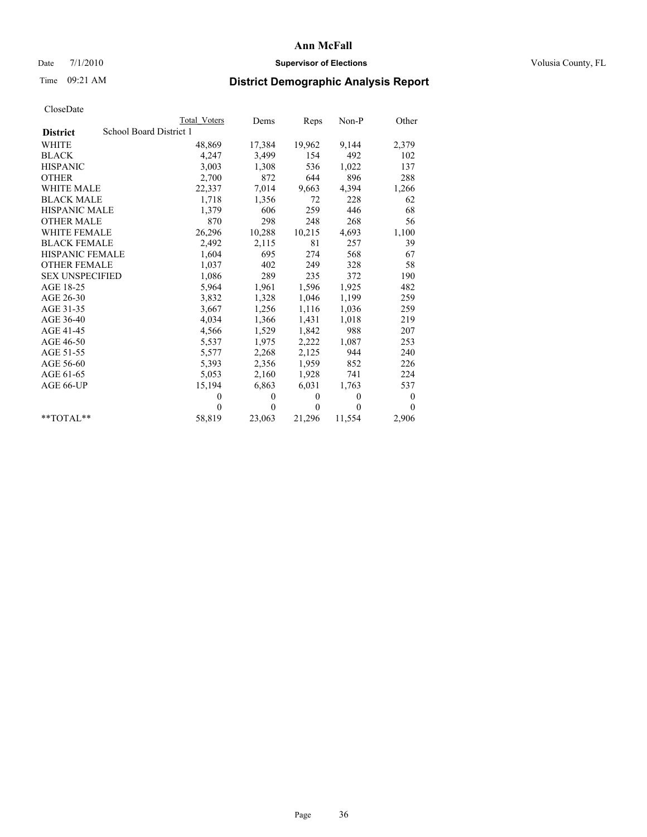### Date 7/1/2010 **Supervisor of Elections Supervisor of Elections** Volusia County, FL

# Time 09:21 AM **District Demographic Analysis Report**

|                                            | Total Voters | Dems     | Reps         | $Non-P$  | Other    |
|--------------------------------------------|--------------|----------|--------------|----------|----------|
| School Board District 1<br><b>District</b> |              |          |              |          |          |
| <b>WHITE</b>                               | 48,869       | 17,384   | 19,962       | 9,144    | 2,379    |
| <b>BLACK</b>                               | 4,247        | 3,499    | 154          | 492      | 102      |
| <b>HISPANIC</b>                            | 3,003        | 1,308    | 536          | 1,022    | 137      |
| <b>OTHER</b>                               | 2,700        | 872      | 644          | 896      | 288      |
| <b>WHITE MALE</b>                          | 22,337       | 7,014    | 9,663        | 4,394    | 1,266    |
| <b>BLACK MALE</b>                          | 1,718        | 1,356    | 72           | 228      | 62       |
| <b>HISPANIC MALE</b>                       | 1,379        | 606      | 259          | 446      | 68       |
| <b>OTHER MALE</b>                          | 870          | 298      | 248          | 268      | 56       |
| <b>WHITE FEMALE</b>                        | 26,296       | 10,288   | 10,215       | 4,693    | 1,100    |
| <b>BLACK FEMALE</b>                        | 2,492        | 2,115    | 81           | 257      | 39       |
| HISPANIC FEMALE                            | 1,604        | 695      | 274          | 568      | 67       |
| <b>OTHER FEMALE</b>                        | 1,037        | 402      | 249          | 328      | 58       |
| <b>SEX UNSPECIFIED</b>                     | 1,086        | 289      | 235          | 372      | 190      |
| AGE 18-25                                  | 5,964        | 1,961    | 1,596        | 1,925    | 482      |
| AGE 26-30                                  | 3,832        | 1,328    | 1,046        | 1,199    | 259      |
| AGE 31-35                                  | 3,667        | 1,256    | 1,116        | 1,036    | 259      |
| AGE 36-40                                  | 4,034        | 1,366    | 1,431        | 1,018    | 219      |
| AGE 41-45                                  | 4,566        | 1,529    | 1,842        | 988      | 207      |
| AGE 46-50                                  | 5,537        | 1,975    | 2,222        | 1,087    | 253      |
| AGE 51-55                                  | 5,577        | 2,268    | 2,125        | 944      | 240      |
| AGE 56-60                                  | 5,393        | 2,356    | 1,959        | 852      | 226      |
| AGE 61-65                                  | 5,053        | 2,160    | 1,928        | 741      | 224      |
| AGE 66-UP                                  | 15,194       | 6,863    | 6,031        | 1,763    | 537      |
|                                            | $\Omega$     | $\theta$ | $\mathbf{0}$ | $\theta$ | 0        |
|                                            | $\Omega$     | $\theta$ | $\theta$     | $\theta$ | $\theta$ |
| $*$ $TOTAI.**$                             | 58,819       | 23,063   | 21,296       | 11,554   | 2,906    |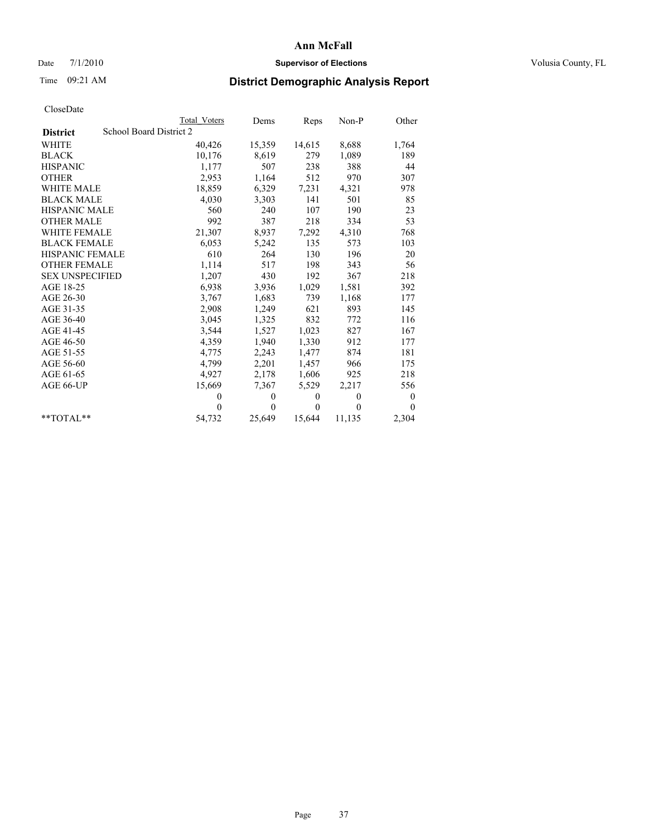## Date 7/1/2010 **Supervisor of Elections Supervisor of Elections** Volusia County, FL

# Time 09:21 AM **District Demographic Analysis Report**

|                        | Total Voters            | Dems     | Reps     | $Non-P$  | Other            |
|------------------------|-------------------------|----------|----------|----------|------------------|
| <b>District</b>        | School Board District 2 |          |          |          |                  |
| <b>WHITE</b>           | 40,426                  | 15,359   | 14,615   | 8,688    | 1,764            |
| <b>BLACK</b>           | 10,176                  | 8,619    | 279      | 1,089    | 189              |
| <b>HISPANIC</b>        | 1,177                   | 507      | 238      | 388      | 44               |
| <b>OTHER</b>           | 2,953                   | 1,164    | 512      | 970      | 307              |
| <b>WHITE MALE</b>      | 18,859                  | 6,329    | 7,231    | 4,321    | 978              |
| <b>BLACK MALE</b>      | 4,030                   | 3,303    | 141      | 501      | 85               |
| <b>HISPANIC MALE</b>   | 560                     | 240      | 107      | 190      | 23               |
| <b>OTHER MALE</b>      | 992                     | 387      | 218      | 334      | 53               |
| <b>WHITE FEMALE</b>    | 21,307                  | 8,937    | 7,292    | 4,310    | 768              |
| <b>BLACK FEMALE</b>    | 6,053                   | 5,242    | 135      | 573      | 103              |
| HISPANIC FEMALE        | 610                     | 264      | 130      | 196      | 20               |
| <b>OTHER FEMALE</b>    | 1,114                   | 517      | 198      | 343      | 56               |
| <b>SEX UNSPECIFIED</b> | 1,207                   | 430      | 192      | 367      | 218              |
| AGE 18-25              | 6,938                   | 3,936    | 1,029    | 1,581    | 392              |
| AGE 26-30              | 3,767                   | 1,683    | 739      | 1,168    | 177              |
| AGE 31-35              | 2,908                   | 1,249    | 621      | 893      | 145              |
| AGE 36-40              | 3,045                   | 1,325    | 832      | 772      | 116              |
| AGE 41-45              | 3,544                   | 1,527    | 1,023    | 827      | 167              |
| AGE 46-50              | 4,359                   | 1,940    | 1,330    | 912      | 177              |
| AGE 51-55              | 4,775                   | 2,243    | 1,477    | 874      | 181              |
| AGE 56-60              | 4,799                   | 2,201    | 1,457    | 966      | 175              |
| AGE 61-65              | 4,927                   | 2,178    | 1,606    | 925      | 218              |
| AGE 66-UP              | 15,669                  | 7,367    | 5,529    | 2,217    | 556              |
|                        | $\theta$                | $\theta$ | $\theta$ | $\theta$ | $\boldsymbol{0}$ |
|                        | $\Omega$                | $\theta$ | $\theta$ | $\theta$ | $\theta$         |
| $*$ $TOTAI.**$         | 54,732                  | 25,649   | 15,644   | 11,135   | 2,304            |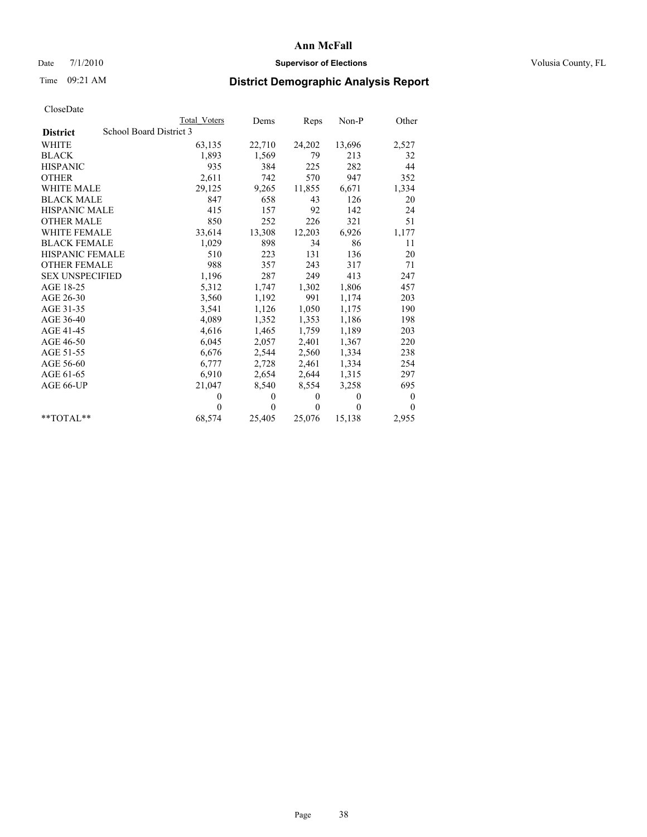## Date 7/1/2010 **Supervisor of Elections Supervisor of Elections** Volusia County, FL

# Time 09:21 AM **District Demographic Analysis Report**

|                        | <b>Total Voters</b>     | Dems     | <b>Reps</b>  | Non-P    | Other            |  |  |  |
|------------------------|-------------------------|----------|--------------|----------|------------------|--|--|--|
| <b>District</b>        | School Board District 3 |          |              |          |                  |  |  |  |
| <b>WHITE</b>           | 63,135                  | 22,710   | 24,202       | 13,696   | 2,527            |  |  |  |
| <b>BLACK</b>           | 1,893                   | 1,569    | 79           | 213      | 32               |  |  |  |
| <b>HISPANIC</b>        | 935                     | 384      | 225          | 282      | 44               |  |  |  |
| <b>OTHER</b>           | 2,611                   | 742      | 570          | 947      | 352              |  |  |  |
| <b>WHITE MALE</b>      | 29,125                  | 9,265    | 11,855       | 6,671    | 1,334            |  |  |  |
| <b>BLACK MALE</b>      | 847                     | 658      | 43           | 126      | 20               |  |  |  |
| <b>HISPANIC MALE</b>   | 415                     | 157      | 92           | 142      | 24               |  |  |  |
| <b>OTHER MALE</b>      | 850                     | 252      | 226          | 321      | 51               |  |  |  |
| WHITE FEMALE           | 33,614                  | 13,308   | 12,203       | 6,926    | 1,177            |  |  |  |
| <b>BLACK FEMALE</b>    | 1,029                   | 898      | 34           | 86       | 11               |  |  |  |
| <b>HISPANIC FEMALE</b> | 510                     | 223      | 131          | 136      | 20               |  |  |  |
| <b>OTHER FEMALE</b>    | 988                     | 357      | 243          | 317      | 71               |  |  |  |
| <b>SEX UNSPECIFIED</b> | 1,196                   | 287      | 249          | 413      | 247              |  |  |  |
| AGE 18-25              | 5,312                   | 1,747    | 1,302        | 1,806    | 457              |  |  |  |
| AGE 26-30              | 3,560                   | 1,192    | 991          | 1,174    | 203              |  |  |  |
| AGE 31-35              | 3,541                   | 1,126    | 1,050        | 1,175    | 190              |  |  |  |
| AGE 36-40              | 4,089                   | 1,352    | 1,353        | 1,186    | 198              |  |  |  |
| AGE 41-45              | 4,616                   | 1,465    | 1,759        | 1,189    | 203              |  |  |  |
| AGE 46-50              | 6,045                   | 2,057    | 2,401        | 1,367    | 220              |  |  |  |
| AGE 51-55              | 6,676                   | 2,544    | 2,560        | 1,334    | 238              |  |  |  |
| AGE 56-60              | 6,777                   | 2,728    | 2,461        | 1,334    | 254              |  |  |  |
| AGE 61-65              | 6,910                   | 2,654    | 2,644        | 1,315    | 297              |  |  |  |
| AGE 66-UP              | 21,047                  | 8,540    | 8,554        | 3,258    | 695              |  |  |  |
|                        | $\theta$                | $\theta$ | $\mathbf{0}$ | $\theta$ | $\boldsymbol{0}$ |  |  |  |
|                        | $\theta$                | $\theta$ | $\theta$     | $\theta$ | $\Omega$         |  |  |  |
| $*$ $TOTAI.**$         | 68,574                  | 25,405   | 25,076       | 15,138   | 2,955            |  |  |  |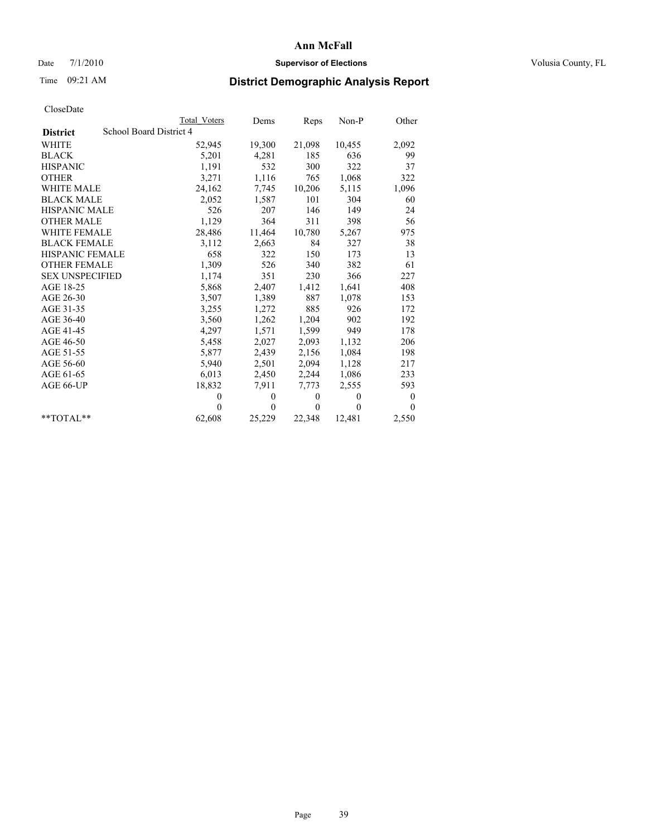## Date 7/1/2010 **Supervisor of Elections Supervisor of Elections** Volusia County, FL

# Time 09:21 AM **District Demographic Analysis Report**

|                                            |  | Total Voters | Dems         | Reps         | $Non-P$  | Other            |  |
|--------------------------------------------|--|--------------|--------------|--------------|----------|------------------|--|
| School Board District 4<br><b>District</b> |  |              |              |              |          |                  |  |
| <b>WHITE</b>                               |  | 52,945       | 19,300       | 21,098       | 10,455   | 2,092            |  |
| <b>BLACK</b>                               |  | 5,201        | 4,281        | 185          | 636      | 99               |  |
| <b>HISPANIC</b>                            |  | 1,191        | 532          | 300          | 322      | 37               |  |
| <b>OTHER</b>                               |  | 3,271        | 1,116        | 765          | 1,068    | 322              |  |
| <b>WHITE MALE</b>                          |  | 24,162       | 7,745        | 10,206       | 5,115    | 1,096            |  |
| <b>BLACK MALE</b>                          |  | 2,052        | 1,587        | 101          | 304      | 60               |  |
| HISPANIC MALE                              |  | 526          | 207          | 146          | 149      | 24               |  |
| <b>OTHER MALE</b>                          |  | 1,129        | 364          | 311          | 398      | 56               |  |
| <b>WHITE FEMALE</b>                        |  | 28,486       | 11,464       | 10,780       | 5,267    | 975              |  |
| <b>BLACK FEMALE</b>                        |  | 3,112        | 2,663        | 84           | 327      | 38               |  |
| HISPANIC FEMALE                            |  | 658          | 322          | 150          | 173      | 13               |  |
| <b>OTHER FEMALE</b>                        |  | 1,309        | 526          | 340          | 382      | 61               |  |
| <b>SEX UNSPECIFIED</b>                     |  | 1,174        | 351          | 230          | 366      | 227              |  |
| AGE 18-25                                  |  | 5,868        | 2,407        | 1,412        | 1,641    | 408              |  |
| AGE 26-30                                  |  | 3,507        | 1,389        | 887          | 1,078    | 153              |  |
| AGE 31-35                                  |  | 3,255        | 1,272        | 885          | 926      | 172              |  |
| AGE 36-40                                  |  | 3,560        | 1,262        | 1,204        | 902      | 192              |  |
| AGE 41-45                                  |  | 4,297        | 1,571        | 1,599        | 949      | 178              |  |
| AGE 46-50                                  |  | 5,458        | 2,027        | 2,093        | 1,132    | 206              |  |
| AGE 51-55                                  |  | 5,877        | 2,439        | 2,156        | 1,084    | 198              |  |
| AGE 56-60                                  |  | 5,940        | 2,501        | 2,094        | 1,128    | 217              |  |
| AGE 61-65                                  |  | 6,013        | 2,450        | 2,244        | 1,086    | 233              |  |
| AGE 66-UP                                  |  | 18,832       | 7,911        | 7,773        | 2,555    | 593              |  |
|                                            |  | $\theta$     | $\mathbf{0}$ | $\mathbf{0}$ | $\theta$ | $\boldsymbol{0}$ |  |
|                                            |  | $\Omega$     | $\theta$     | $\theta$     | $\theta$ | $\theta$         |  |
| $*$ $TOTAI.**$                             |  | 62,608       | 25,229       | 22,348       | 12,481   | 2,550            |  |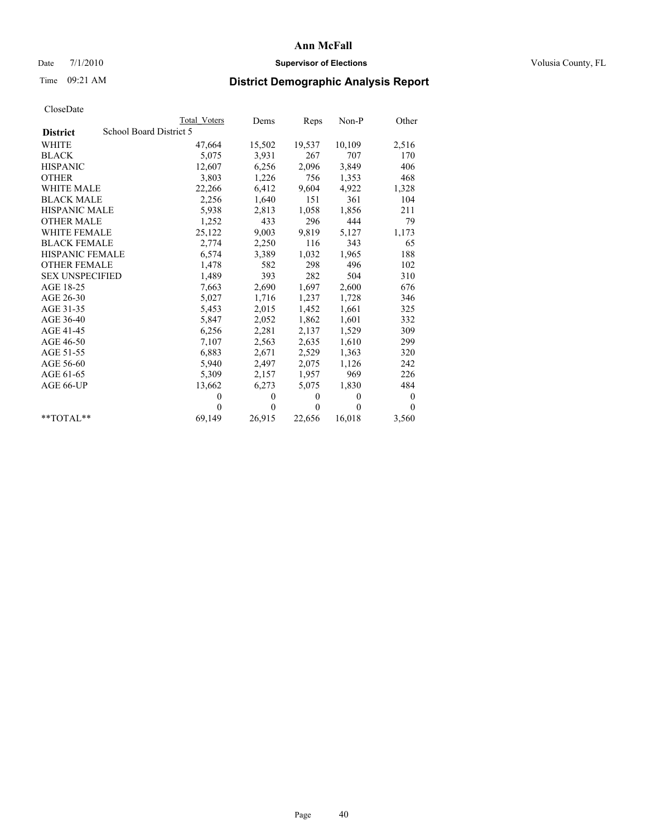## Date 7/1/2010 **Supervisor of Elections Supervisor of Elections** Volusia County, FL

# Time 09:21 AM **District Demographic Analysis Report**

|                        |                         | Total Voters | Dems     | Reps         | $Non-P$  | Other            |  |  |
|------------------------|-------------------------|--------------|----------|--------------|----------|------------------|--|--|
| <b>District</b>        | School Board District 5 |              |          |              |          |                  |  |  |
| <b>WHITE</b>           |                         | 47,664       | 15,502   | 19,537       | 10,109   | 2,516            |  |  |
| <b>BLACK</b>           |                         | 5,075        | 3,931    | 267          | 707      | 170              |  |  |
| <b>HISPANIC</b>        |                         | 12,607       | 6,256    | 2,096        | 3,849    | 406              |  |  |
| <b>OTHER</b>           |                         | 3,803        | 1,226    | 756          | 1,353    | 468              |  |  |
| WHITE MALE             |                         | 22,266       | 6,412    | 9,604        | 4,922    | 1,328            |  |  |
| <b>BLACK MALE</b>      |                         | 2,256        | 1,640    | 151          | 361      | 104              |  |  |
| <b>HISPANIC MALE</b>   |                         | 5,938        | 2,813    | 1,058        | 1,856    | 211              |  |  |
| <b>OTHER MALE</b>      |                         | 1,252        | 433      | 296          | 444      | 79               |  |  |
| <b>WHITE FEMALE</b>    |                         | 25,122       | 9,003    | 9,819        | 5,127    | 1,173            |  |  |
| <b>BLACK FEMALE</b>    |                         | 2,774        | 2,250    | 116          | 343      | 65               |  |  |
| HISPANIC FEMALE        |                         | 6,574        | 3,389    | 1,032        | 1,965    | 188              |  |  |
| <b>OTHER FEMALE</b>    |                         | 1,478        | 582      | 298          | 496      | 102              |  |  |
| <b>SEX UNSPECIFIED</b> |                         | 1,489        | 393      | 282          | 504      | 310              |  |  |
| AGE 18-25              |                         | 7,663        | 2,690    | 1,697        | 2,600    | 676              |  |  |
| AGE 26-30              |                         | 5,027        | 1,716    | 1,237        | 1,728    | 346              |  |  |
| AGE 31-35              |                         | 5,453        | 2,015    | 1,452        | 1,661    | 325              |  |  |
| AGE 36-40              |                         | 5,847        | 2,052    | 1,862        | 1,601    | 332              |  |  |
| AGE 41-45              |                         | 6,256        | 2,281    | 2,137        | 1,529    | 309              |  |  |
| AGE 46-50              |                         | 7,107        | 2,563    | 2,635        | 1,610    | 299              |  |  |
| AGE 51-55              |                         | 6,883        | 2,671    | 2,529        | 1,363    | 320              |  |  |
| AGE 56-60              |                         | 5,940        | 2,497    | 2,075        | 1,126    | 242              |  |  |
| AGE 61-65              |                         | 5,309        | 2,157    | 1,957        | 969      | 226              |  |  |
| AGE 66-UP              |                         | 13,662       | 6,273    | 5,075        | 1,830    | 484              |  |  |
|                        |                         | $\theta$     | $\theta$ | $\mathbf{0}$ | $\theta$ | $\boldsymbol{0}$ |  |  |
|                        |                         | $\Omega$     | $\theta$ | $\theta$     | $\Omega$ | $\Omega$         |  |  |
| $*$ $TOTAI.**$         |                         | 69,149       | 26,915   | 22,656       | 16,018   | 3,560            |  |  |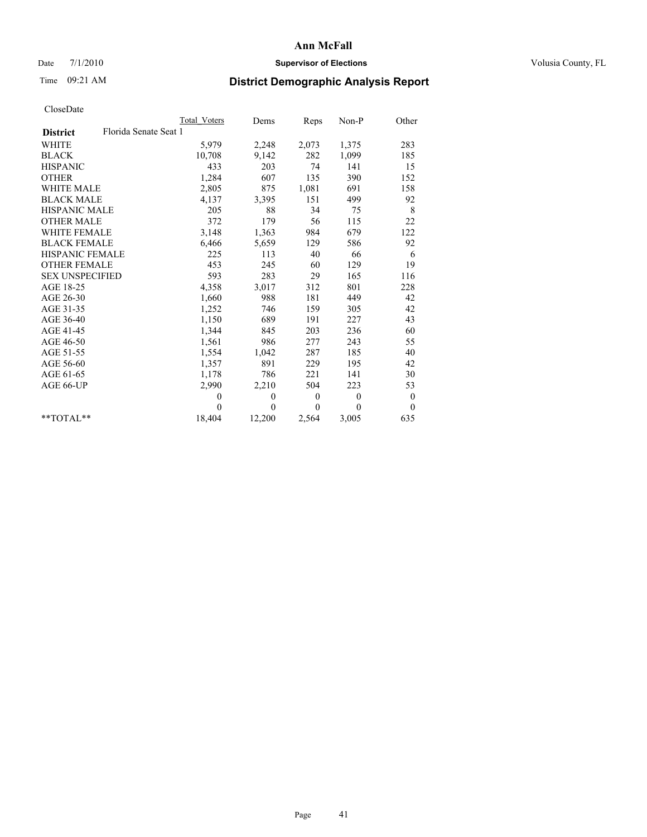## Date 7/1/2010 **Supervisor of Elections Supervisor of Elections** Volusia County, FL

# Time 09:21 AM **District Demographic Analysis Report**

|                                          | Total Voters | Dems     | Reps             | Non-P        | Other            |
|------------------------------------------|--------------|----------|------------------|--------------|------------------|
| Florida Senate Seat 1<br><b>District</b> |              |          |                  |              |                  |
| <b>WHITE</b>                             | 5,979        | 2,248    | 2,073            | 1,375        | 283              |
| <b>BLACK</b>                             | 10,708       | 9,142    | 282              | 1,099        | 185              |
| <b>HISPANIC</b>                          | 433          | 203      | 74               | 141          | 15               |
| <b>OTHER</b>                             | 1,284        | 607      | 135              | 390          | 152              |
| WHITE MALE                               | 2,805        | 875      | 1,081            | 691          | 158              |
| <b>BLACK MALE</b>                        | 4,137        | 3,395    | 151              | 499          | 92               |
| <b>HISPANIC MALE</b>                     | 205          | 88       | 34               | 75           | 8                |
| <b>OTHER MALE</b>                        | 372          | 179      | 56               | 115          | 22               |
| <b>WHITE FEMALE</b>                      | 3,148        | 1,363    | 984              | 679          | 122              |
| <b>BLACK FEMALE</b>                      | 6,466        | 5,659    | 129              | 586          | 92               |
| HISPANIC FEMALE                          | 225          | 113      | 40               | 66           | 6                |
| <b>OTHER FEMALE</b>                      | 453          | 245      | 60               | 129          | 19               |
| <b>SEX UNSPECIFIED</b>                   | 593          | 283      | 29               | 165          | 116              |
| AGE 18-25                                | 4,358        | 3,017    | 312              | 801          | 228              |
| AGE 26-30                                | 1,660        | 988      | 181              | 449          | 42               |
| AGE 31-35                                | 1,252        | 746      | 159              | 305          | 42               |
| AGE 36-40                                | 1,150        | 689      | 191              | 227          | 43               |
| AGE 41-45                                | 1,344        | 845      | 203              | 236          | 60               |
| AGE 46-50                                | 1,561        | 986      | 277              | 243          | 55               |
| AGE 51-55                                | 1,554        | 1,042    | 287              | 185          | 40               |
| AGE 56-60                                | 1,357        | 891      | 229              | 195          | 42               |
| AGE 61-65                                | 1,178        | 786      | 221              | 141          | 30               |
| AGE 66-UP                                | 2,990        | 2,210    | 504              | 223          | 53               |
|                                          | $\theta$     | $\theta$ | $\boldsymbol{0}$ | $\mathbf{0}$ | $\boldsymbol{0}$ |
|                                          | $\Omega$     | $\theta$ | $\Omega$         | $\theta$     | $\Omega$         |
| $**TOTAI.**$                             | 18,404       | 12,200   | 2,564            | 3,005        | 635              |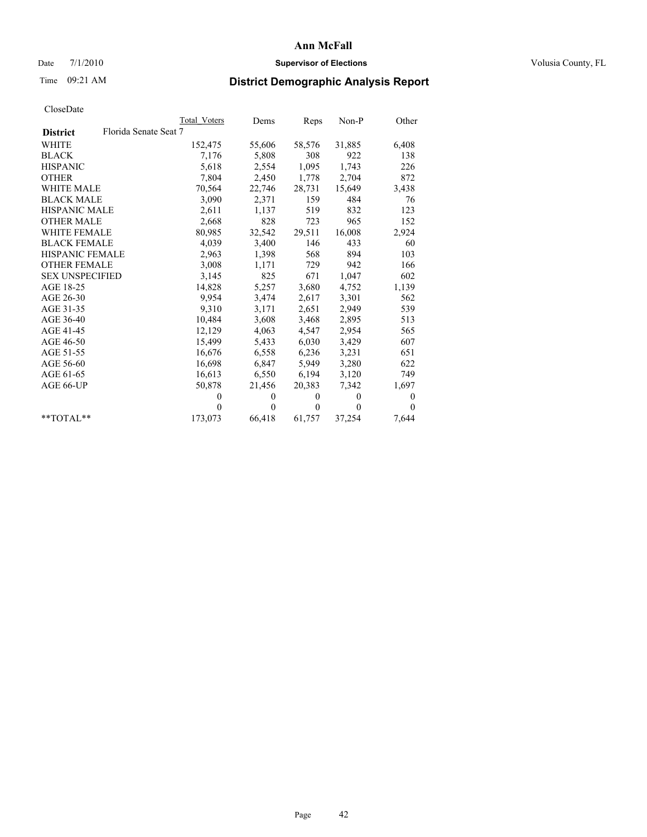## Date 7/1/2010 **Supervisor of Elections Supervisor of Elections** Volusia County, FL

## Time 09:21 AM **District Demographic Analysis Report**

|                                          | Total Voters | Dems         | Reps         | $Non-P$  | Other    |
|------------------------------------------|--------------|--------------|--------------|----------|----------|
| Florida Senate Seat 7<br><b>District</b> |              |              |              |          |          |
| <b>WHITE</b>                             | 152,475      | 55,606       | 58,576       | 31,885   | 6,408    |
| <b>BLACK</b>                             | 7,176        | 5,808        | 308          | 922      | 138      |
| <b>HISPANIC</b>                          | 5,618        | 2,554        | 1,095        | 1,743    | 226      |
| <b>OTHER</b>                             | 7,804        | 2,450        | 1,778        | 2,704    | 872      |
| <b>WHITE MALE</b>                        | 70,564       | 22,746       | 28,731       | 15,649   | 3,438    |
| <b>BLACK MALE</b>                        | 3,090        | 2,371        | 159          | 484      | 76       |
| <b>HISPANIC MALE</b>                     | 2,611        | 1,137        | 519          | 832      | 123      |
| <b>OTHER MALE</b>                        | 2,668        | 828          | 723          | 965      | 152      |
| <b>WHITE FEMALE</b>                      | 80,985       | 32,542       | 29,511       | 16,008   | 2,924    |
| <b>BLACK FEMALE</b>                      | 4,039        | 3,400        | 146          | 433      | 60       |
| HISPANIC FEMALE                          | 2,963        | 1,398        | 568          | 894      | 103      |
| <b>OTHER FEMALE</b>                      | 3,008        | 1,171        | 729          | 942      | 166      |
| <b>SEX UNSPECIFIED</b>                   | 3,145        | 825          | 671          | 1,047    | 602      |
| AGE 18-25                                | 14,828       | 5,257        | 3,680        | 4,752    | 1,139    |
| AGE 26-30                                | 9,954        | 3,474        | 2,617        | 3,301    | 562      |
| AGE 31-35                                | 9,310        | 3,171        | 2,651        | 2,949    | 539      |
| AGE 36-40                                | 10,484       | 3,608        | 3,468        | 2,895    | 513      |
| AGE 41-45                                | 12,129       | 4,063        | 4,547        | 2,954    | 565      |
| AGE 46-50                                | 15,499       | 5,433        | 6,030        | 3,429    | 607      |
| AGE 51-55                                | 16,676       | 6,558        | 6,236        | 3,231    | 651      |
| AGE 56-60                                | 16,698       | 6,847        | 5,949        | 3,280    | 622      |
| AGE 61-65                                | 16,613       | 6,550        | 6,194        | 3,120    | 749      |
| AGE 66-UP                                | 50,878       | 21,456       | 20,383       | 7,342    | 1,697    |
|                                          | $\theta$     | $\mathbf{0}$ | $\Omega$     | $\theta$ | 0        |
|                                          | $\theta$     | $\theta$     | $\mathbf{0}$ | $\theta$ | $\theta$ |
| $*$ $TOTAI.**$                           | 173,073      | 66,418       | 61,757       | 37,254   | 7,644    |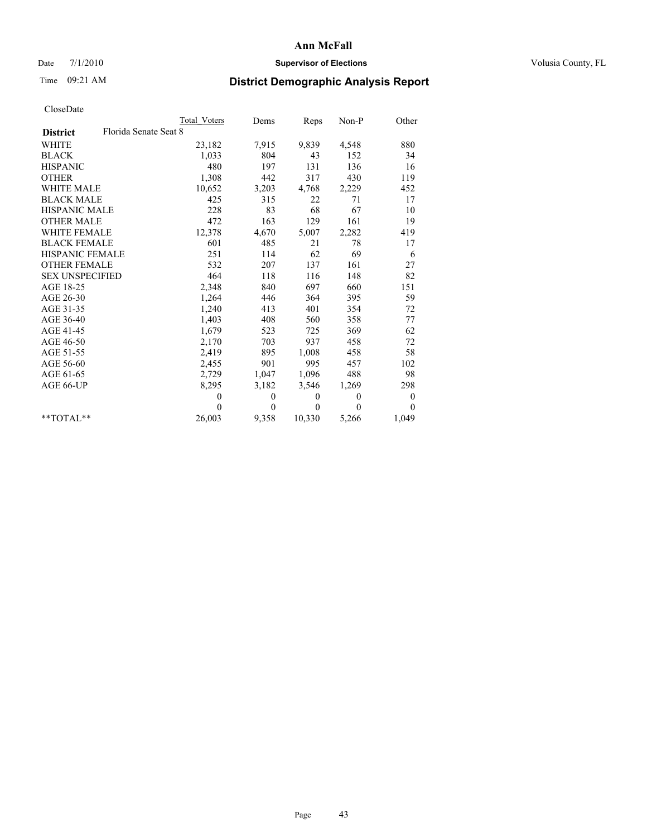## Date 7/1/2010 **Supervisor of Elections Supervisor of Elections** Volusia County, FL

# Time 09:21 AM **District Demographic Analysis Report**

|                                          | <b>Total Voters</b> | Dems             | Reps         | Non-P          | Other            |
|------------------------------------------|---------------------|------------------|--------------|----------------|------------------|
| Florida Senate Seat 8<br><b>District</b> |                     |                  |              |                |                  |
| <b>WHITE</b>                             | 23,182              | 7,915            | 9,839        | 4,548          | 880              |
| <b>BLACK</b>                             | 1,033               | 804              | 43           | 152            | 34               |
| <b>HISPANIC</b>                          | 480                 | 197              | 131          | 136            | 16               |
| <b>OTHER</b>                             | 1,308               | 442              | 317          | 430            | 119              |
| <b>WHITE MALE</b>                        | 10,652              | 3,203            | 4,768        | 2,229          | 452              |
| <b>BLACK MALE</b>                        | 425                 | 315              | 22           | 71             | 17               |
| <b>HISPANIC MALE</b>                     | 228                 | 83               | 68           | 67             | 10               |
| <b>OTHER MALE</b>                        | 472                 | 163              | 129          | 161            | 19               |
| <b>WHITE FEMALE</b>                      | 12,378              | 4,670            | 5,007        | 2,282          | 419              |
| <b>BLACK FEMALE</b>                      | 601                 | 485              | 21           | 78             | 17               |
| <b>HISPANIC FEMALE</b>                   | 251                 | 114              | 62           | 69             | 6                |
| <b>OTHER FEMALE</b>                      | 532                 | 207              | 137          | 161            | 27               |
| <b>SEX UNSPECIFIED</b>                   | 464                 | 118              | 116          | 148            | 82               |
| AGE 18-25                                | 2,348               | 840              | 697          | 660            | 151              |
| AGE 26-30                                | 1,264               | 446              | 364          | 395            | 59               |
| AGE 31-35                                | 1,240               | 413              | 401          | 354            | 72               |
| AGE 36-40                                | 1,403               | 408              | 560          | 358            | 77               |
| AGE 41-45                                | 1,679               | 523              | 725          | 369            | 62               |
| AGE 46-50                                | 2,170               | 703              | 937          | 458            | 72               |
| AGE 51-55                                | 2,419               | 895              | 1,008        | 458            | 58               |
| AGE 56-60                                | 2,455               | 901              | 995          | 457            | 102              |
| AGE 61-65                                | 2,729               | 1,047            | 1,096        | 488            | 98               |
| AGE 66-UP                                | 8,295               | 3,182            | 3,546        | 1,269          | 298              |
|                                          | $\theta$            | $\boldsymbol{0}$ | $\mathbf{0}$ | $\overline{0}$ | $\boldsymbol{0}$ |
|                                          | $\Omega$            | $\theta$         | $\theta$     | $\theta$       | $\theta$         |
| $*$ $TOTAI.**$                           | 26,003              | 9,358            | 10,330       | 5,266          | 1,049            |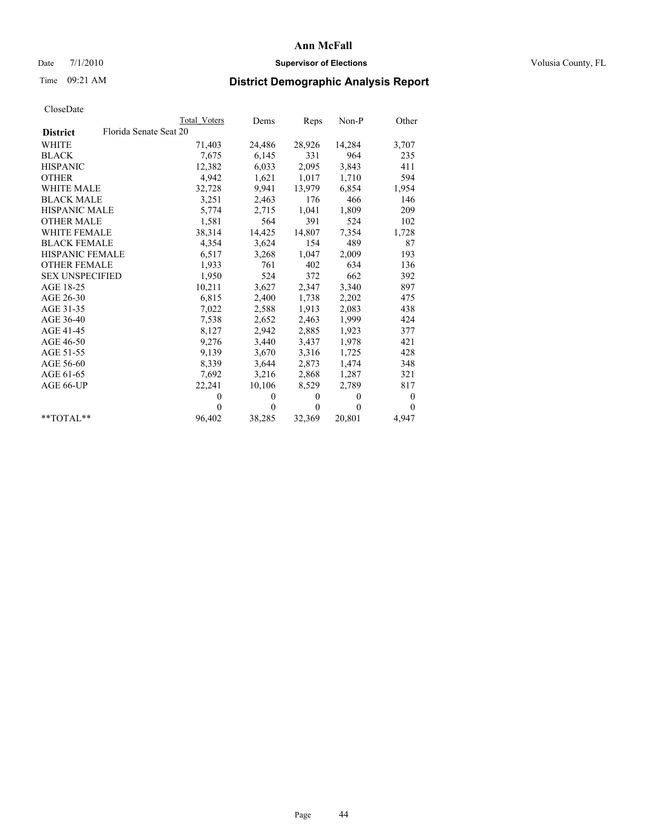## Date 7/1/2010 **Supervisor of Elections Supervisor of Elections** Volusia County, FL

# Time 09:21 AM **District Demographic Analysis Report**

|                                           | Total Voters | Dems     | Reps         | $Non-P$  | Other            |
|-------------------------------------------|--------------|----------|--------------|----------|------------------|
| Florida Senate Seat 20<br><b>District</b> |              |          |              |          |                  |
| <b>WHITE</b>                              | 71,403       | 24,486   | 28,926       | 14,284   | 3,707            |
| <b>BLACK</b>                              | 7,675        | 6,145    | 331          | 964      | 235              |
| <b>HISPANIC</b>                           | 12,382       | 6,033    | 2,095        | 3,843    | 411              |
| <b>OTHER</b>                              | 4,942        | 1,621    | 1,017        | 1,710    | 594              |
| <b>WHITE MALE</b>                         | 32,728       | 9.941    | 13,979       | 6,854    | 1,954            |
| <b>BLACK MALE</b>                         | 3,251        | 2,463    | 176          | 466      | 146              |
| <b>HISPANIC MALE</b>                      | 5,774        | 2,715    | 1,041        | 1,809    | 209              |
| <b>OTHER MALE</b>                         | 1,581        | 564      | 391          | 524      | 102              |
| WHITE FEMALE                              | 38,314       | 14,425   | 14,807       | 7,354    | 1,728            |
| <b>BLACK FEMALE</b>                       | 4,354        | 3,624    | 154          | 489      | 87               |
| HISPANIC FEMALE                           | 6,517        | 3,268    | 1,047        | 2,009    | 193              |
| <b>OTHER FEMALE</b>                       | 1,933        | 761      | 402          | 634      | 136              |
| <b>SEX UNSPECIFIED</b>                    | 1,950        | 524      | 372          | 662      | 392              |
| AGE 18-25                                 | 10,211       | 3,627    | 2,347        | 3,340    | 897              |
| AGE 26-30                                 | 6,815        | 2,400    | 1,738        | 2,202    | 475              |
| AGE 31-35                                 | 7,022        | 2,588    | 1,913        | 2,083    | 438              |
| AGE 36-40                                 | 7,538        | 2,652    | 2,463        | 1,999    | 424              |
| AGE 41-45                                 | 8,127        | 2,942    | 2,885        | 1,923    | 377              |
| AGE 46-50                                 | 9,276        | 3,440    | 3,437        | 1,978    | 421              |
| AGE 51-55                                 | 9,139        | 3,670    | 3,316        | 1,725    | 428              |
| AGE 56-60                                 | 8,339        | 3,644    | 2,873        | 1,474    | 348              |
| AGE 61-65                                 | 7,692        | 3,216    | 2,868        | 1,287    | 321              |
| AGE 66-UP                                 | 22,241       | 10,106   | 8,529        | 2,789    | 817              |
|                                           | $\theta$     | $\theta$ | $\mathbf{0}$ | $\theta$ | $\boldsymbol{0}$ |
|                                           | $\theta$     | $\theta$ | $\mathbf{0}$ | $\theta$ | $\theta$         |
| $*$ $TOTAI.**$                            | 96,402       | 38,285   | 32,369       | 20,801   | 4,947            |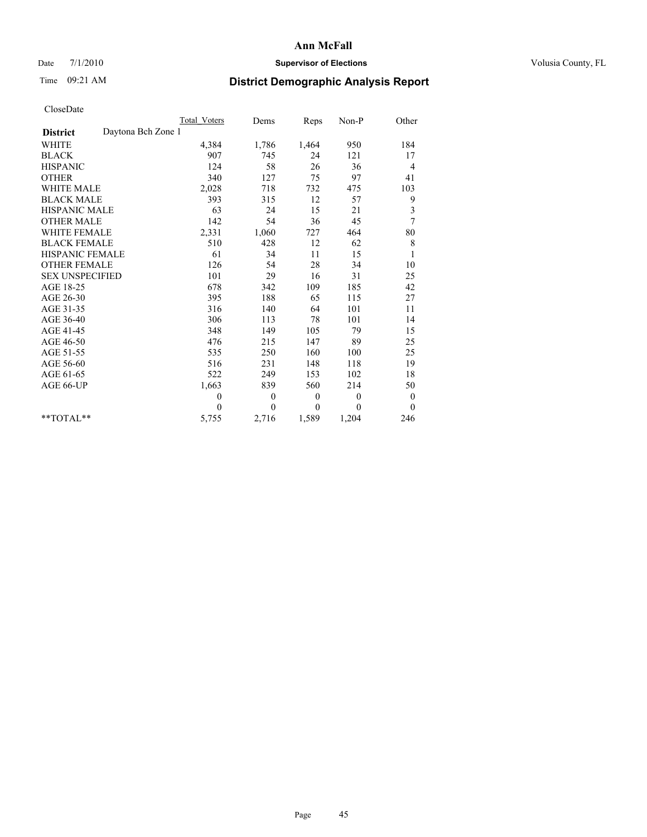## Date 7/1/2010 **Supervisor of Elections Supervisor of Elections** Volusia County, FL

## Time 09:21 AM **District Demographic Analysis Report**

|                                       | Total Voters | Dems         | Reps         | $Non-P$      | Other                   |
|---------------------------------------|--------------|--------------|--------------|--------------|-------------------------|
| Daytona Bch Zone 1<br><b>District</b> |              |              |              |              |                         |
| <b>WHITE</b>                          | 4,384        | 1,786        | 1,464        | 950          | 184                     |
| <b>BLACK</b>                          | 907          | 745          | 24           | 121          | 17                      |
| <b>HISPANIC</b>                       | 124          | 58           | 26           | 36           | 4                       |
| <b>OTHER</b>                          | 340          | 127          | 75           | 97           | 41                      |
| <b>WHITE MALE</b>                     | 2,028        | 718          | 732          | 475          | 103                     |
| <b>BLACK MALE</b>                     | 393          | 315          | 12           | 57           | 9                       |
| <b>HISPANIC MALE</b>                  | 63           | 24           | 15           | 21           | $\overline{\mathbf{3}}$ |
| <b>OTHER MALE</b>                     | 142          | 54           | 36           | 45           | 7                       |
| <b>WHITE FEMALE</b>                   | 2,331        | 1,060        | 727          | 464          | 80                      |
| <b>BLACK FEMALE</b>                   | 510          | 428          | 12           | 62           | $\,$ 8 $\,$             |
| HISPANIC FEMALE                       | 61           | 34           | 11           | 15           | $\mathbf{1}$            |
| <b>OTHER FEMALE</b>                   | 126          | 54           | 28           | 34           | 10                      |
| <b>SEX UNSPECIFIED</b>                | 101          | 29           | 16           | 31           | 25                      |
| AGE 18-25                             | 678          | 342          | 109          | 185          | 42                      |
| AGE 26-30                             | 395          | 188          | 65           | 115          | 27                      |
| AGE 31-35                             | 316          | 140          | 64           | 101          | 11                      |
| AGE 36-40                             | 306          | 113          | 78           | 101          | 14                      |
| AGE 41-45                             | 348          | 149          | 105          | 79           | 15                      |
| AGE 46-50                             | 476          | 215          | 147          | 89           | 25                      |
| AGE 51-55                             | 535          | 250          | 160          | 100          | 25                      |
| AGE 56-60                             | 516          | 231          | 148          | 118          | 19                      |
| AGE 61-65                             | 522          | 249          | 153          | 102          | 18                      |
| AGE 66-UP                             | 1,663        | 839          | 560          | 214          | 50                      |
|                                       | $\mathbf{0}$ | $\mathbf{0}$ | $\mathbf{0}$ | $\mathbf{0}$ | $\boldsymbol{0}$        |
|                                       | $\theta$     | $\theta$     | $\theta$     | $\theta$     | $\theta$                |
| $*$ TOTAL $*$                         | 5,755        | 2,716        | 1,589        | 1,204        | 246                     |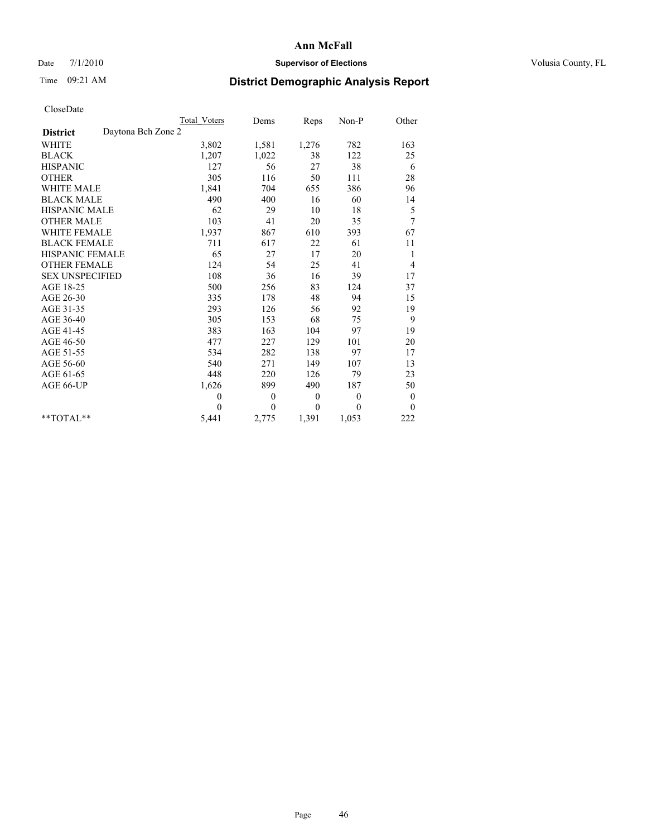## Date 7/1/2010 **Supervisor of Elections Supervisor of Elections** Volusia County, FL

# Time 09:21 AM **District Demographic Analysis Report**

|                                       | Total Voters | Dems         | Reps         | Non-P          | Other            |  |
|---------------------------------------|--------------|--------------|--------------|----------------|------------------|--|
| Daytona Bch Zone 2<br><b>District</b> |              |              |              |                |                  |  |
| <b>WHITE</b>                          | 3,802        | 1,581        | 1,276        | 782            | 163              |  |
| <b>BLACK</b>                          | 1,207        | 1,022        | 38           | 122            | 25               |  |
| <b>HISPANIC</b>                       | 127          | 56           | 27           | 38             | 6                |  |
| <b>OTHER</b>                          | 305          | 116          | 50           | 111            | 28               |  |
| <b>WHITE MALE</b>                     | 1,841        | 704          | 655          | 386            | 96               |  |
| <b>BLACK MALE</b>                     | 490          | 400          | 16           | 60             | 14               |  |
| <b>HISPANIC MALE</b>                  | 62           | 29           | 10           | 18             | 5                |  |
| <b>OTHER MALE</b>                     | 103          | 41           | 20           | 35             | 7                |  |
| WHITE FEMALE                          | 1,937        | 867          | 610          | 393            | 67               |  |
| <b>BLACK FEMALE</b>                   | 711          | 617          | 22           | 61             | 11               |  |
| HISPANIC FEMALE                       | 65           | 27           | 17           | 20             | 1                |  |
| <b>OTHER FEMALE</b>                   | 124          | 54           | 25           | 41             | 4                |  |
| <b>SEX UNSPECIFIED</b>                | 108          | 36           | 16           | 39             | 17               |  |
| AGE 18-25                             | 500          | 256          | 83           | 124            | 37               |  |
| AGE 26-30                             | 335          | 178          | 48           | 94             | 15               |  |
| AGE 31-35                             | 293          | 126          | 56           | 92             | 19               |  |
| AGE 36-40                             | 305          | 153          | 68           | 75             | 9                |  |
| AGE 41-45                             | 383          | 163          | 104          | 97             | 19               |  |
| AGE 46-50                             | 477          | 227          | 129          | 101            | 20               |  |
| AGE 51-55                             | 534          | 282          | 138          | 97             | 17               |  |
| AGE 56-60                             | 540          | 271          | 149          | 107            | 13               |  |
| AGE 61-65                             | 448          | 220          | 126          | 79             | 23               |  |
| AGE 66-UP                             | 1,626        | 899          | 490          | 187            | 50               |  |
|                                       | $\theta$     | $\mathbf{0}$ | $\mathbf{0}$ | $\overline{0}$ | $\boldsymbol{0}$ |  |
|                                       | $\theta$     | $\theta$     | $\mathbf{0}$ | $\theta$       | $\mathbf{0}$     |  |
| $*$ TOTAL $*$                         | 5,441        | 2,775        | 1,391        | 1,053          | 222              |  |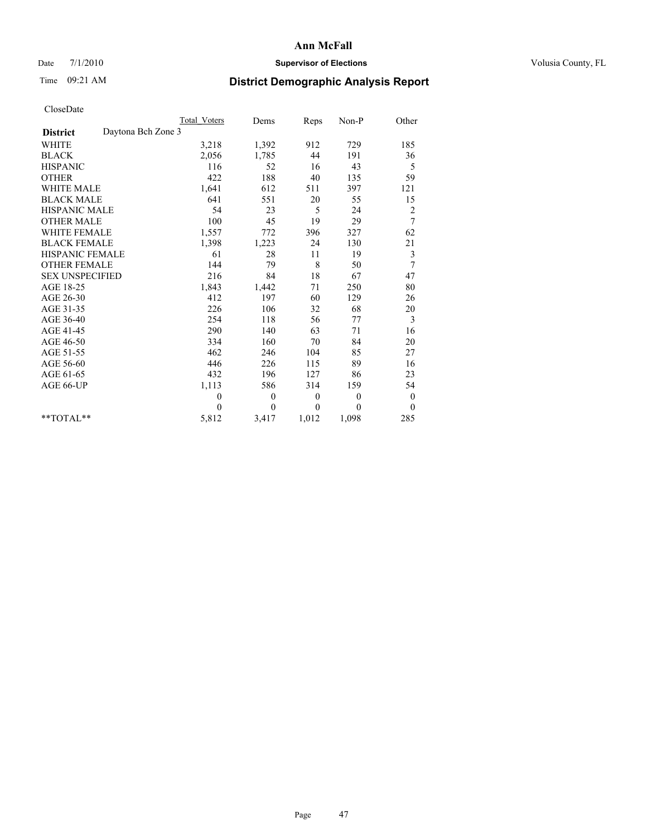## Date 7/1/2010 **Supervisor of Elections Supervisor of Elections** Volusia County, FL

## Time 09:21 AM **District Demographic Analysis Report**

|                                       | Total Voters | Dems         | Reps     | $Non-P$      | Other            |
|---------------------------------------|--------------|--------------|----------|--------------|------------------|
| Daytona Bch Zone 3<br><b>District</b> |              |              |          |              |                  |
| WHITE                                 | 3,218        | 1,392        | 912      | 729          | 185              |
| <b>BLACK</b>                          | 2,056        | 1,785        | 44       | 191          | 36               |
| <b>HISPANIC</b>                       | 116          | 52           | 16       | 43           | 5                |
| <b>OTHER</b>                          | 422          | 188          | 40       | 135          | 59               |
| <b>WHITE MALE</b>                     | 1,641        | 612          | 511      | 397          | 121              |
| <b>BLACK MALE</b>                     | 641          | 551          | 20       | 55           | 15               |
| <b>HISPANIC MALE</b>                  | 54           | 23           | 5        | 24           | $\overline{c}$   |
| <b>OTHER MALE</b>                     | 100          | 45           | 19       | 29           | 7                |
| WHITE FEMALE                          | 1,557        | 772          | 396      | 327          | 62               |
| <b>BLACK FEMALE</b>                   | 1,398        | 1,223        | 24       | 130          | 21               |
| HISPANIC FEMALE                       | 61           | 28           | 11       | 19           | 3                |
| <b>OTHER FEMALE</b>                   | 144          | 79           | 8        | 50           | 7                |
| <b>SEX UNSPECIFIED</b>                | 216          | 84           | 18       | 67           | 47               |
| AGE 18-25                             | 1,843        | 1,442        | 71       | 250          | 80               |
| AGE 26-30                             | 412          | 197          | 60       | 129          | 26               |
| AGE 31-35                             | 226          | 106          | 32       | 68           | 20               |
| AGE 36-40                             | 254          | 118          | 56       | 77           | 3                |
| AGE 41-45                             | 290          | 140          | 63       | 71           | 16               |
| AGE 46-50                             | 334          | 160          | 70       | 84           | 20               |
| AGE 51-55                             | 462          | 246          | 104      | 85           | 27               |
| AGE 56-60                             | 446          | 226          | 115      | 89           | 16               |
| AGE 61-65                             | 432          | 196          | 127      | 86           | 23               |
| AGE 66-UP                             | 1,113        | 586          | 314      | 159          | 54               |
|                                       | $\mathbf{0}$ | $\mathbf{0}$ | $\theta$ | $\mathbf{0}$ | $\boldsymbol{0}$ |
|                                       | $\Omega$     | $\theta$     | $\theta$ | $\theta$     | $\theta$         |
| $*$ TOTAL $*$                         | 5,812        | 3,417        | 1,012    | 1,098        | 285              |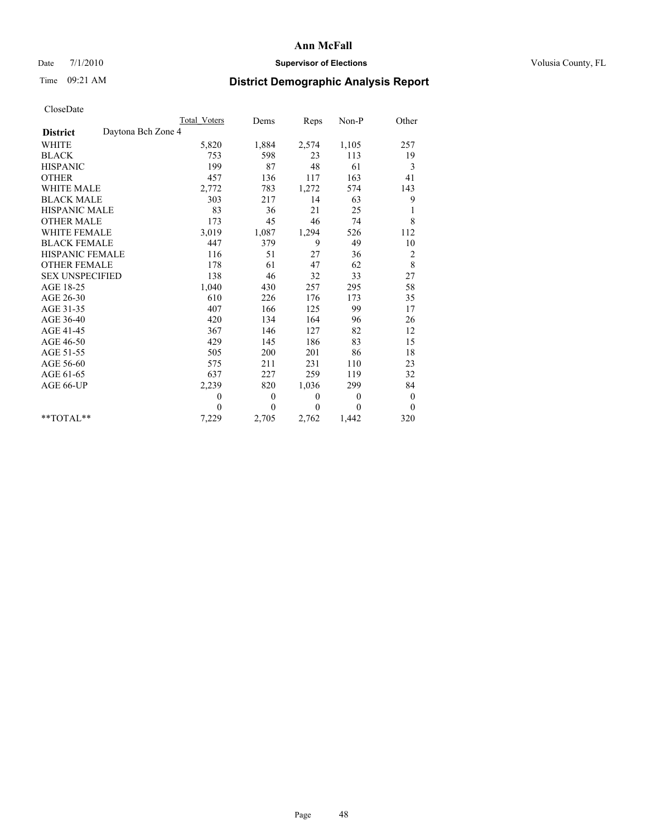## Date 7/1/2010 **Supervisor of Elections Supervisor of Elections** Volusia County, FL

# Time 09:21 AM **District Demographic Analysis Report**

|                                       | Total Voters | Dems           | Reps         | $Non-P$      | Other          |
|---------------------------------------|--------------|----------------|--------------|--------------|----------------|
| Daytona Bch Zone 4<br><b>District</b> |              |                |              |              |                |
| <b>WHITE</b>                          | 5,820        | 1,884          | 2,574        | 1,105        | 257            |
| <b>BLACK</b>                          | 753          | 598            | 23           | 113          | 19             |
| <b>HISPANIC</b>                       | 199          | 87             | 48           | 61           | 3              |
| <b>OTHER</b>                          | 457          | 136            | 117          | 163          | 41             |
| <b>WHITE MALE</b>                     | 2,772        | 783            | 1,272        | 574          | 143            |
| <b>BLACK MALE</b>                     | 303          | 217            | 14           | 63           | 9              |
| <b>HISPANIC MALE</b>                  | 83           | 36             | 21           | 25           | 1              |
| <b>OTHER MALE</b>                     | 173          | 45             | 46           | 74           | 8              |
| <b>WHITE FEMALE</b>                   | 3,019        | 1,087          | 1,294        | 526          | 112            |
| <b>BLACK FEMALE</b>                   | 447          | 379            | 9            | 49           | 10             |
| HISPANIC FEMALE                       | 116          | 51             | 27           | 36           | $\overline{c}$ |
| <b>OTHER FEMALE</b>                   | 178          | 61             | 47           | 62           | $\,$ 8 $\,$    |
| <b>SEX UNSPECIFIED</b>                | 138          | 46             | 32           | 33           | 27             |
| AGE 18-25                             | 1,040        | 430            | 257          | 295          | 58             |
| AGE 26-30                             | 610          | 226            | 176          | 173          | 35             |
| AGE 31-35                             | 407          | 166            | 125          | 99           | 17             |
| AGE 36-40                             | 420          | 134            | 164          | 96           | 26             |
| AGE 41-45                             | 367          | 146            | 127          | 82           | 12             |
| AGE 46-50                             | 429          | 145            | 186          | 83           | 15             |
| AGE 51-55                             | 505          | 200            | 201          | 86           | 18             |
| AGE 56-60                             | 575          | 211            | 231          | 110          | 23             |
| AGE 61-65                             | 637          | 227            | 259          | 119          | 32             |
| AGE 66-UP                             | 2,239        | 820            | 1,036        | 299          | 84             |
|                                       | $\theta$     | $\overline{0}$ | $\mathbf{0}$ | $\mathbf{0}$ | $\bf{0}$       |
|                                       | $\theta$     | $\theta$       | $\Omega$     | $\theta$     | $\mathbf{0}$   |
| $*$ $TOTAI.**$                        | 7,229        | 2,705          | 2,762        | 1,442        | 320            |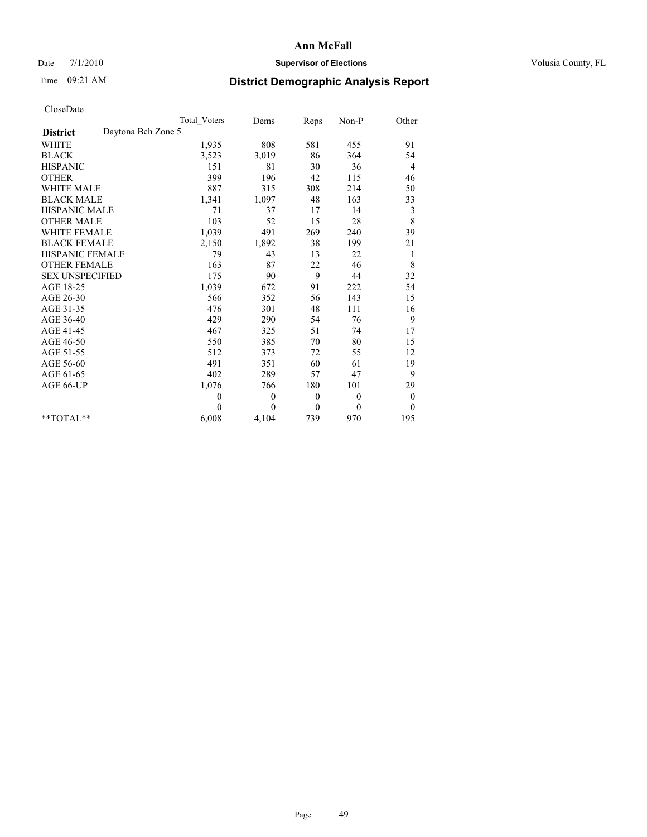## Date 7/1/2010 **Supervisor of Elections Supervisor of Elections** Volusia County, FL

# Time 09:21 AM **District Demographic Analysis Report**

|                                       | Total Voters | Dems     | Reps         | $Non-P$      | Other            |  |
|---------------------------------------|--------------|----------|--------------|--------------|------------------|--|
| Daytona Bch Zone 5<br><b>District</b> |              |          |              |              |                  |  |
| <b>WHITE</b>                          | 1,935        | 808      | 581          | 455          | 91               |  |
| <b>BLACK</b>                          | 3,523        | 3,019    | 86           | 364          | 54               |  |
| <b>HISPANIC</b>                       | 151          | 81       | 30           | 36           | 4                |  |
| <b>OTHER</b>                          | 399          | 196      | 42           | 115          | 46               |  |
| <b>WHITE MALE</b>                     | 887          | 315      | 308          | 214          | 50               |  |
| <b>BLACK MALE</b>                     | 1,341        | 1,097    | 48           | 163          | 33               |  |
| <b>HISPANIC MALE</b>                  | 71           | 37       | 17           | 14           | 3                |  |
| <b>OTHER MALE</b>                     | 103          | 52       | 15           | 28           | 8                |  |
| WHITE FEMALE                          | 1,039        | 491      | 269          | 240          | 39               |  |
| <b>BLACK FEMALE</b>                   | 2,150        | 1,892    | 38           | 199          | 21               |  |
| HISPANIC FEMALE                       | 79           | 43       | 13           | 22           | 1                |  |
| <b>OTHER FEMALE</b>                   | 163          | 87       | 22           | 46           | 8                |  |
| <b>SEX UNSPECIFIED</b>                | 175          | 90       | 9            | 44           | 32               |  |
| AGE 18-25                             | 1,039        | 672      | 91           | 222          | 54               |  |
| AGE 26-30                             | 566          | 352      | 56           | 143          | 15               |  |
| AGE 31-35                             | 476          | 301      | 48           | 111          | 16               |  |
| AGE 36-40                             | 429          | 290      | 54           | 76           | 9                |  |
| AGE 41-45                             | 467          | 325      | 51           | 74           | 17               |  |
| AGE 46-50                             | 550          | 385      | 70           | 80           | 15               |  |
| AGE 51-55                             | 512          | 373      | 72           | 55           | 12               |  |
| AGE 56-60                             | 491          | 351      | 60           | 61           | 19               |  |
| AGE 61-65                             | 402          | 289      | 57           | 47           | 9                |  |
| AGE 66-UP                             | 1,076        | 766      | 180          | 101          | 29               |  |
|                                       | $\mathbf{0}$ | $\theta$ | $\mathbf{0}$ | $\theta$     | $\boldsymbol{0}$ |  |
|                                       | $\Omega$     | $\theta$ | $\mathbf{0}$ | $\mathbf{0}$ | $\mathbf{0}$     |  |
| $*$ $TOTAI.**$                        | 6,008        | 4,104    | 739          | 970          | 195              |  |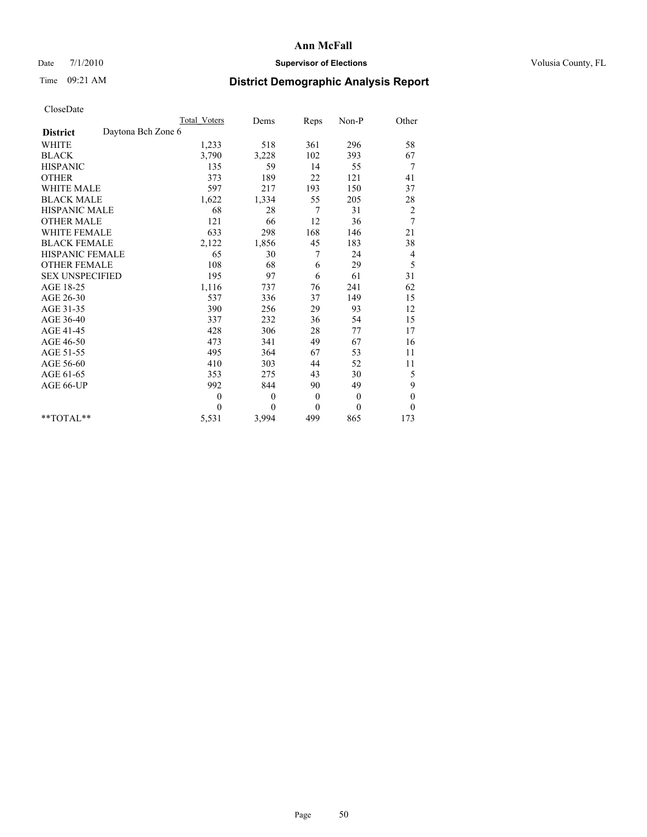## Date 7/1/2010 **Supervisor of Elections Supervisor of Elections** Volusia County, FL

## Time 09:21 AM **District Demographic Analysis Report**

|                                       | <b>Total Voters</b> | Dems         | Reps         | Non-P        | Other            |
|---------------------------------------|---------------------|--------------|--------------|--------------|------------------|
| Daytona Bch Zone 6<br><b>District</b> |                     |              |              |              |                  |
| WHITE                                 | 1,233               | 518          | 361          | 296          | 58               |
| <b>BLACK</b>                          | 3,790               | 3,228        | 102          | 393          | 67               |
| <b>HISPANIC</b>                       | 135                 | 59           | 14           | 55           | 7                |
| <b>OTHER</b>                          | 373                 | 189          | 22           | 121          | 41               |
| <b>WHITE MALE</b>                     | 597                 | 217          | 193          | 150          | 37               |
| <b>BLACK MALE</b>                     | 1,622               | 1,334        | 55           | 205          | 28               |
| <b>HISPANIC MALE</b>                  | 68                  | 28           | 7            | 31           | $\overline{c}$   |
| <b>OTHER MALE</b>                     | 121                 | 66           | 12           | 36           | 7                |
| WHITE FEMALE                          | 633                 | 298          | 168          | 146          | 21               |
| <b>BLACK FEMALE</b>                   | 2,122               | 1,856        | 45           | 183          | 38               |
| HISPANIC FEMALE                       | 65                  | 30           | 7            | 24           | 4                |
| <b>OTHER FEMALE</b>                   | 108                 | 68           | 6            | 29           | 5                |
| <b>SEX UNSPECIFIED</b>                | 195                 | 97           | 6            | 61           | 31               |
| AGE 18-25                             | 1,116               | 737          | 76           | 241          | 62               |
| AGE 26-30                             | 537                 | 336          | 37           | 149          | 15               |
| AGE 31-35                             | 390                 | 256          | 29           | 93           | 12               |
| AGE 36-40                             | 337                 | 232          | 36           | 54           | 15               |
| AGE 41-45                             | 428                 | 306          | 28           | 77           | 17               |
| AGE 46-50                             | 473                 | 341          | 49           | 67           | 16               |
| AGE 51-55                             | 495                 | 364          | 67           | 53           | 11               |
| AGE 56-60                             | 410                 | 303          | 44           | 52           | 11               |
| AGE 61-65                             | 353                 | 275          | 43           | 30           | 5                |
| AGE 66-UP                             | 992                 | 844          | 90           | 49           | 9                |
|                                       | $\theta$            | $\mathbf{0}$ | $\mathbf{0}$ | $\mathbf{0}$ | $\boldsymbol{0}$ |
|                                       | $\theta$            | $\theta$     | $\theta$     | $\theta$     | $\theta$         |
| $*$ TOTAL $*$                         | 5,531               | 3,994        | 499          | 865          | 173              |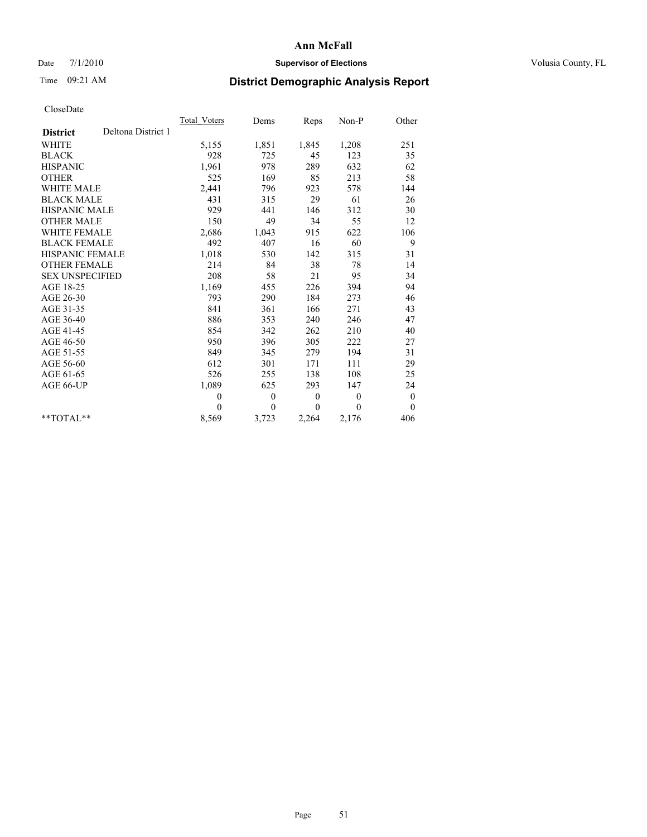## Date 7/1/2010 **Supervisor of Elections Supervisor of Elections** Volusia County, FL

# Time 09:21 AM **District Demographic Analysis Report**

|                                       | Total Voters | Dems             | Reps             | $Non-P$  | Other            |
|---------------------------------------|--------------|------------------|------------------|----------|------------------|
| Deltona District 1<br><b>District</b> |              |                  |                  |          |                  |
| <b>WHITE</b>                          | 5,155        | 1,851            | 1,845            | 1,208    | 251              |
| <b>BLACK</b>                          | 928          | 725              | 45               | 123      | 35               |
| <b>HISPANIC</b>                       | 1.961        | 978              | 289              | 632      | 62               |
| <b>OTHER</b>                          | 525          | 169              | 85               | 213      | 58               |
| <b>WHITE MALE</b>                     | 2,441        | 796              | 923              | 578      | 144              |
| <b>BLACK MALE</b>                     | 431          | 315              | 29               | 61       | 26               |
| <b>HISPANIC MALE</b>                  | 929          | 441              | 146              | 312      | 30               |
| <b>OTHER MALE</b>                     | 150          | 49               | 34               | 55       | 12               |
| <b>WHITE FEMALE</b>                   | 2,686        | 1,043            | 915              | 622      | 106              |
| <b>BLACK FEMALE</b>                   | 492          | 407              | 16               | 60       | 9                |
| HISPANIC FEMALE                       | 1,018        | 530              | 142              | 315      | 31               |
| <b>OTHER FEMALE</b>                   | 214          | 84               | 38               | 78       | 14               |
| <b>SEX UNSPECIFIED</b>                | 208          | 58               | 21               | 95       | 34               |
| AGE 18-25                             | 1,169        | 455              | 226              | 394      | 94               |
| AGE 26-30                             | 793          | 290              | 184              | 273      | 46               |
| AGE 31-35                             | 841          | 361              | 166              | 271      | 43               |
| AGE 36-40                             | 886          | 353              | 240              | 246      | 47               |
| AGE 41-45                             | 854          | 342              | 262              | 210      | 40               |
| AGE 46-50                             | 950          | 396              | 305              | 222      | 27               |
| AGE 51-55                             | 849          | 345              | 279              | 194      | 31               |
| AGE 56-60                             | 612          | 301              | 171              | 111      | 29               |
| AGE 61-65                             | 526          | 255              | 138              | 108      | 25               |
| AGE 66-UP                             | 1,089        | 625              | 293              | 147      | 24               |
|                                       | $\theta$     | $\boldsymbol{0}$ | $\boldsymbol{0}$ | $\theta$ | $\boldsymbol{0}$ |
|                                       | $\Omega$     | $\overline{0}$   | $\theta$         | $\theta$ | $\overline{0}$   |
| $*$ $TOTAI.**$                        | 8,569        | 3,723            | 2,264            | 2,176    | 406              |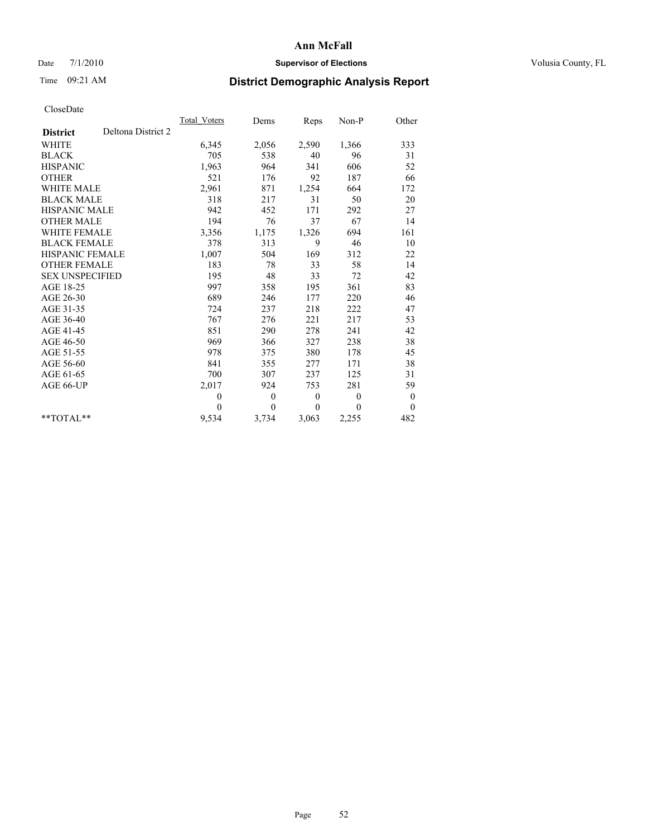## Date 7/1/2010 **Supervisor of Elections Supervisor of Elections** Volusia County, FL

## Time 09:21 AM **District Demographic Analysis Report**

|                        |                    | Total Voters | Dems         | <b>Reps</b>  | Non-P        | Other            |  |
|------------------------|--------------------|--------------|--------------|--------------|--------------|------------------|--|
| <b>District</b>        | Deltona District 2 |              |              |              |              |                  |  |
| <b>WHITE</b>           |                    | 6,345        | 2,056        | 2,590        | 1,366        | 333              |  |
| <b>BLACK</b>           |                    | 705          | 538          | 40           | 96           | 31               |  |
| <b>HISPANIC</b>        |                    | 1,963        | 964          | 341          | 606          | 52               |  |
| <b>OTHER</b>           |                    | 521          | 176          | 92           | 187          | 66               |  |
| <b>WHITE MALE</b>      |                    | 2,961        | 871          | 1,254        | 664          | 172              |  |
| <b>BLACK MALE</b>      |                    | 318          | 217          | 31           | 50           | 20               |  |
| <b>HISPANIC MALE</b>   |                    | 942          | 452          | 171          | 292          | 27               |  |
| <b>OTHER MALE</b>      |                    | 194          | 76           | 37           | 67           | 14               |  |
| <b>WHITE FEMALE</b>    |                    | 3,356        | 1,175        | 1,326        | 694          | 161              |  |
| <b>BLACK FEMALE</b>    |                    | 378          | 313          | 9            | 46           | 10               |  |
| HISPANIC FEMALE        |                    | 1,007        | 504          | 169          | 312          | 22               |  |
| <b>OTHER FEMALE</b>    |                    | 183          | 78           | 33           | 58           | 14               |  |
| <b>SEX UNSPECIFIED</b> |                    | 195          | 48           | 33           | 72           | 42               |  |
| AGE 18-25              |                    | 997          | 358          | 195          | 361          | 83               |  |
| AGE 26-30              |                    | 689          | 246          | 177          | 220          | 46               |  |
| AGE 31-35              |                    | 724          | 237          | 218          | 222          | 47               |  |
| AGE 36-40              |                    | 767          | 276          | 221          | 217          | 53               |  |
| AGE 41-45              |                    | 851          | 290          | 278          | 241          | 42               |  |
| AGE 46-50              |                    | 969          | 366          | 327          | 238          | 38               |  |
| AGE 51-55              |                    | 978          | 375          | 380          | 178          | 45               |  |
| AGE 56-60              |                    | 841          | 355          | 277          | 171          | 38               |  |
| AGE 61-65              |                    | 700          | 307          | 237          | 125          | 31               |  |
| AGE 66-UP              |                    | 2,017        | 924          | 753          | 281          | 59               |  |
|                        |                    | $\mathbf{0}$ | $\mathbf{0}$ | $\mathbf{0}$ | $\mathbf{0}$ | $\boldsymbol{0}$ |  |
|                        |                    | $\Omega$     | $\theta$     | $\theta$     | $\theta$     | $\theta$         |  |
| $*$ $TOTAI.**$         |                    | 9,534        | 3,734        | 3,063        | 2,255        | 482              |  |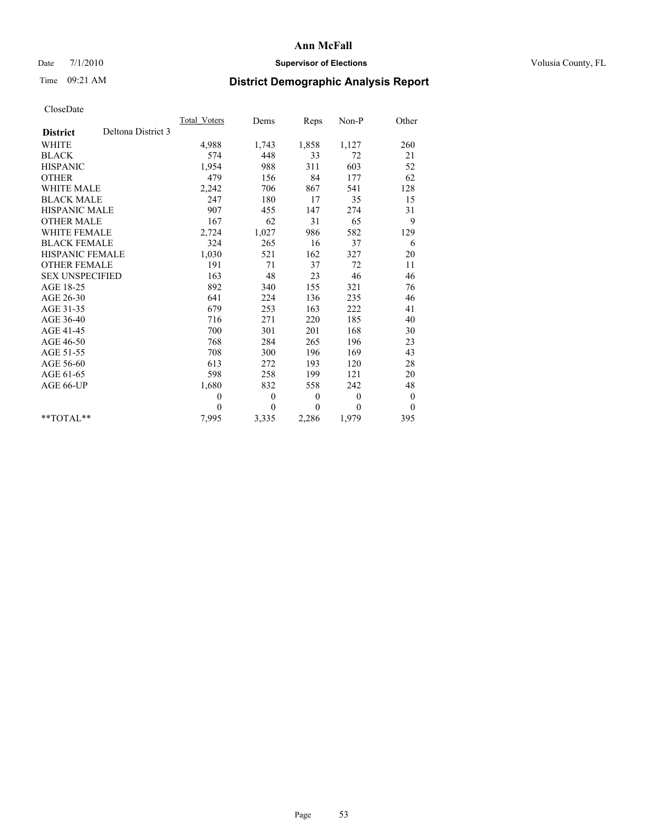## Date 7/1/2010 **Supervisor of Elections Supervisor of Elections** Volusia County, FL

# Time 09:21 AM **District Demographic Analysis Report**

|                                       | <b>Total Voters</b> | Dems           | Reps         | Non-P    | Other            |
|---------------------------------------|---------------------|----------------|--------------|----------|------------------|
| Deltona District 3<br><b>District</b> |                     |                |              |          |                  |
| <b>WHITE</b>                          | 4,988               | 1,743          | 1,858        | 1,127    | 260              |
| <b>BLACK</b>                          | 574                 | 448            | 33           | 72       | 21               |
| <b>HISPANIC</b>                       | 1,954               | 988            | 311          | 603      | 52               |
| <b>OTHER</b>                          | 479                 | 156            | 84           | 177      | 62               |
| <b>WHITE MALE</b>                     | 2,242               | 706            | 867          | 541      | 128              |
| <b>BLACK MALE</b>                     | 247                 | 180            | 17           | 35       | 15               |
| HISPANIC MALE                         | 907                 | 455            | 147          | 274      | 31               |
| <b>OTHER MALE</b>                     | 167                 | 62             | 31           | 65       | 9                |
| WHITE FEMALE                          | 2,724               | 1,027          | 986          | 582      | 129              |
| <b>BLACK FEMALE</b>                   | 324                 | 265            | 16           | 37       | 6                |
| HISPANIC FEMALE                       | 1,030               | 521            | 162          | 327      | 20               |
| <b>OTHER FEMALE</b>                   | 191                 | 71             | 37           | 72       | 11               |
| <b>SEX UNSPECIFIED</b>                | 163                 | 48             | 23           | 46       | 46               |
| AGE 18-25                             | 892                 | 340            | 155          | 321      | 76               |
| AGE 26-30                             | 641                 | 224            | 136          | 235      | 46               |
| AGE 31-35                             | 679                 | 253            | 163          | 222      | 41               |
| AGE 36-40                             | 716                 | 271            | 220          | 185      | 40               |
| AGE 41-45                             | 700                 | 301            | 201          | 168      | 30               |
| AGE 46-50                             | 768                 | 284            | 265          | 196      | 23               |
| AGE 51-55                             | 708                 | 300            | 196          | 169      | 43               |
| AGE 56-60                             | 613                 | 272            | 193          | 120      | 28               |
| AGE 61-65                             | 598                 | 258            | 199          | 121      | 20               |
| AGE 66-UP                             | 1,680               | 832            | 558          | 242      | 48               |
|                                       | $\overline{0}$      | $\mathbf{0}$   | $\mathbf{0}$ | $\theta$ | $\boldsymbol{0}$ |
|                                       | $\theta$            | $\overline{0}$ | $\mathbf{0}$ | $\theta$ | $\overline{0}$   |
| $*$ $TOTAI$                           | 7,995               | 3,335          | 2,286        | 1,979    | 395              |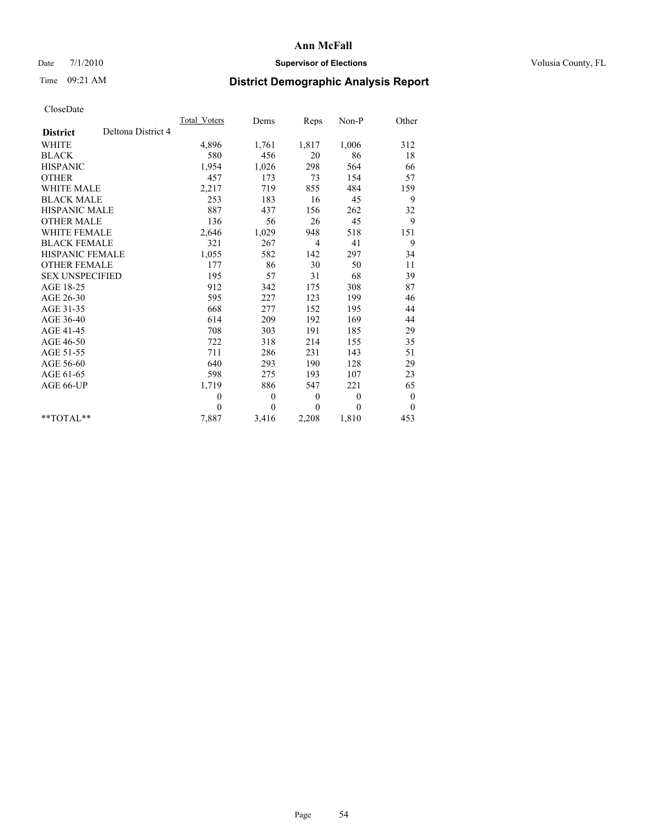## Date 7/1/2010 **Supervisor of Elections Supervisor of Elections** Volusia County, FL

# Time 09:21 AM **District Demographic Analysis Report**

|                                       | <b>Total Voters</b> | Dems         | Reps             | Non-P        | Other            |
|---------------------------------------|---------------------|--------------|------------------|--------------|------------------|
| Deltona District 4<br><b>District</b> |                     |              |                  |              |                  |
| <b>WHITE</b>                          | 4,896               | 1,761        | 1,817            | 1,006        | 312              |
| <b>BLACK</b>                          | 580                 | 456          | 20               | 86           | 18               |
| <b>HISPANIC</b>                       | 1.954               | 1,026        | 298              | 564          | 66               |
| <b>OTHER</b>                          | 457                 | 173          | 73               | 154          | 57               |
| <b>WHITE MALE</b>                     | 2,217               | 719          | 855              | 484          | 159              |
| <b>BLACK MALE</b>                     | 253                 | 183          | 16               | 45           | 9                |
| <b>HISPANIC MALE</b>                  | 887                 | 437          | 156              | 262          | 32               |
| <b>OTHER MALE</b>                     | 136                 | 56           | 26               | 45           | 9                |
| <b>WHITE FEMALE</b>                   | 2,646               | 1,029        | 948              | 518          | 151              |
| <b>BLACK FEMALE</b>                   | 321                 | 267          | 4                | 41           | 9                |
| HISPANIC FEMALE                       | 1,055               | 582          | 142              | 297          | 34               |
| <b>OTHER FEMALE</b>                   | 177                 | 86           | 30               | 50           | 11               |
| <b>SEX UNSPECIFIED</b>                | 195                 | 57           | 31               | 68           | 39               |
| AGE 18-25                             | 912                 | 342          | 175              | 308          | 87               |
| AGE 26-30                             | 595                 | 227          | 123              | 199          | 46               |
| AGE 31-35                             | 668                 | 277          | 152              | 195          | 44               |
| AGE 36-40                             | 614                 | 209          | 192              | 169          | 44               |
| AGE 41-45                             | 708                 | 303          | 191              | 185          | 29               |
| AGE 46-50                             | 722                 | 318          | 214              | 155          | 35               |
| AGE 51-55                             | 711                 | 286          | 231              | 143          | 51               |
| AGE 56-60                             | 640                 | 293          | 190              | 128          | 29               |
| AGE 61-65                             | 598                 | 275          | 193              | 107          | 23               |
| AGE 66-UP                             | 1,719               | 886          | 547              | 221          | 65               |
|                                       | $\mathbf{0}$        | $\mathbf{0}$ | $\boldsymbol{0}$ | $\mathbf{0}$ | $\boldsymbol{0}$ |
|                                       | $\theta$            | $\theta$     | $\Omega$         | $\theta$     | $\theta$         |
| $*$ $TOTAI.**$                        | 7,887               | 3,416        | 2,208            | 1,810        | 453              |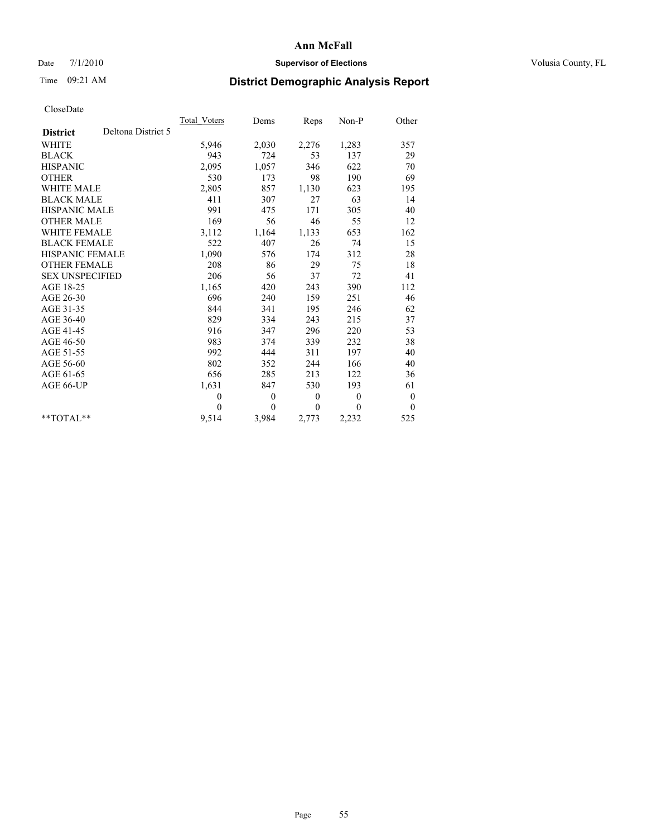## Date 7/1/2010 **Supervisor of Elections Supervisor of Elections** Volusia County, FL

# Time 09:21 AM **District Demographic Analysis Report**

|                                       | <b>Total Voters</b> | Dems     | Reps             | Non-P        | Other            |
|---------------------------------------|---------------------|----------|------------------|--------------|------------------|
| Deltona District 5<br><b>District</b> |                     |          |                  |              |                  |
| <b>WHITE</b>                          | 5,946               | 2,030    | 2,276            | 1,283        | 357              |
| <b>BLACK</b>                          | 943                 | 724      | 53               | 137          | 29               |
| <b>HISPANIC</b>                       | 2,095               | 1,057    | 346              | 622          | 70               |
| <b>OTHER</b>                          | 530                 | 173      | 98               | 190          | 69               |
| <b>WHITE MALE</b>                     | 2,805               | 857      | 1,130            | 623          | 195              |
| <b>BLACK MALE</b>                     | 411                 | 307      | 27               | 63           | 14               |
| <b>HISPANIC MALE</b>                  | 991                 | 475      | 171              | 305          | 40               |
| <b>OTHER MALE</b>                     | 169                 | 56       | 46               | 55           | 12               |
| <b>WHITE FEMALE</b>                   | 3,112               | 1,164    | 1,133            | 653          | 162              |
| <b>BLACK FEMALE</b>                   | 522                 | 407      | 26               | 74           | 15               |
| HISPANIC FEMALE                       | 1,090               | 576      | 174              | 312          | 28               |
| <b>OTHER FEMALE</b>                   | 208                 | 86       | 29               | 75           | 18               |
| <b>SEX UNSPECIFIED</b>                | 206                 | 56       | 37               | 72           | 41               |
| AGE 18-25                             | 1,165               | 420      | 243              | 390          | 112              |
| AGE 26-30                             | 696                 | 240      | 159              | 251          | 46               |
| AGE 31-35                             | 844                 | 341      | 195              | 246          | 62               |
| AGE 36-40                             | 829                 | 334      | 243              | 215          | 37               |
| AGE 41-45                             | 916                 | 347      | 296              | 220          | 53               |
| AGE 46-50                             | 983                 | 374      | 339              | 232          | 38               |
| AGE 51-55                             | 992                 | 444      | 311              | 197          | 40               |
| AGE 56-60                             | 802                 | 352      | 244              | 166          | 40               |
| AGE 61-65                             | 656                 | 285      | 213              | 122          | 36               |
| AGE 66-UP                             | 1,631               | 847      | 530              | 193          | 61               |
|                                       | $\theta$            | $\theta$ | $\boldsymbol{0}$ | $\mathbf{0}$ | $\boldsymbol{0}$ |
|                                       | $\theta$            | $\theta$ | $\mathbf{0}$     | $\mathbf{0}$ | $\theta$         |
| $*$ TOTAL $*$                         | 9,514               | 3,984    | 2,773            | 2,232        | 525              |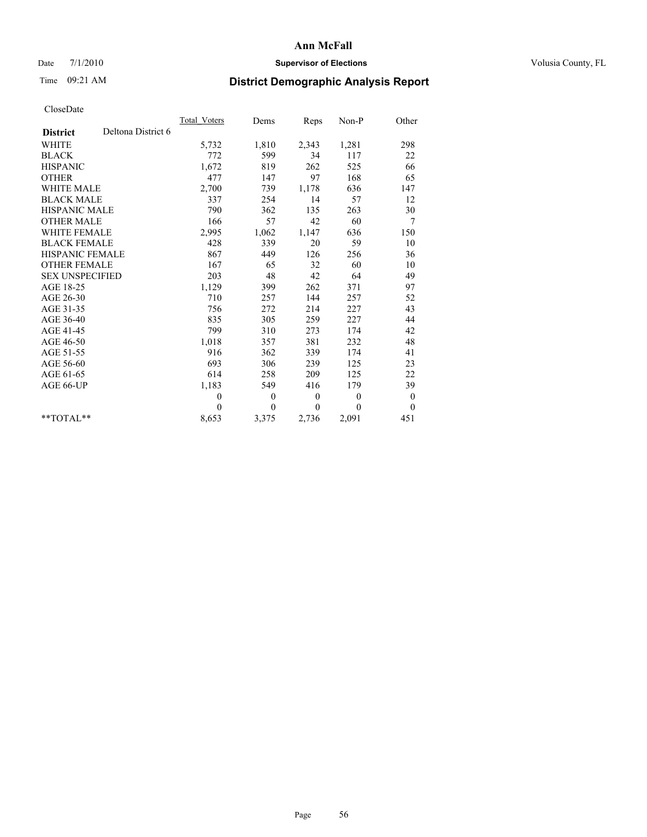## Date 7/1/2010 **Supervisor of Elections Supervisor of Elections** Volusia County, FL

# Time 09:21 AM **District Demographic Analysis Report**

|                                       | <b>Total Voters</b> | Dems           | Reps         | Non-P          | Other            |
|---------------------------------------|---------------------|----------------|--------------|----------------|------------------|
| Deltona District 6<br><b>District</b> |                     |                |              |                |                  |
| <b>WHITE</b>                          | 5,732               | 1,810          | 2,343        | 1,281          | 298              |
| <b>BLACK</b>                          | 772                 | 599            | 34           | 117            | 22               |
| <b>HISPANIC</b>                       | 1,672               | 819            | 262          | 525            | 66               |
| <b>OTHER</b>                          | 477                 | 147            | 97           | 168            | 65               |
| <b>WHITE MALE</b>                     | 2,700               | 739            | 1,178        | 636            | 147              |
| <b>BLACK MALE</b>                     | 337                 | 254            | 14           | 57             | 12               |
| HISPANIC MALE                         | 790                 | 362            | 135          | 263            | 30               |
| <b>OTHER MALE</b>                     | 166                 | 57             | 42           | 60             | 7                |
| WHITE FEMALE                          | 2,995               | 1,062          | 1,147        | 636            | 150              |
| <b>BLACK FEMALE</b>                   | 428                 | 339            | 20           | 59             | 10               |
| HISPANIC FEMALE                       | 867                 | 449            | 126          | 256            | 36               |
| <b>OTHER FEMALE</b>                   | 167                 | 65             | 32           | 60             | 10               |
| <b>SEX UNSPECIFIED</b>                | 203                 | 48             | 42           | 64             | 49               |
| AGE 18-25                             | 1,129               | 399            | 262          | 371            | 97               |
| AGE 26-30                             | 710                 | 257            | 144          | 257            | 52               |
| AGE 31-35                             | 756                 | 272            | 214          | 227            | 43               |
| AGE 36-40                             | 835                 | 305            | 259          | 227            | 44               |
| AGE 41-45                             | 799                 | 310            | 273          | 174            | 42               |
| AGE 46-50                             | 1,018               | 357            | 381          | 232            | 48               |
| AGE 51-55                             | 916                 | 362            | 339          | 174            | 41               |
| AGE 56-60                             | 693                 | 306            | 239          | 125            | 23               |
| AGE 61-65                             | 614                 | 258            | 209          | 125            | 22               |
| AGE 66-UP                             | 1,183               | 549            | 416          | 179            | 39               |
|                                       | $\theta$            | $\theta$       | $\theta$     | $\overline{0}$ | $\boldsymbol{0}$ |
|                                       | $\Omega$            | $\overline{0}$ | $\mathbf{0}$ | $\theta$       | $\overline{0}$   |
| $*$ $TOTAI$                           | 8,653               | 3,375          | 2,736        | 2,091          | 451              |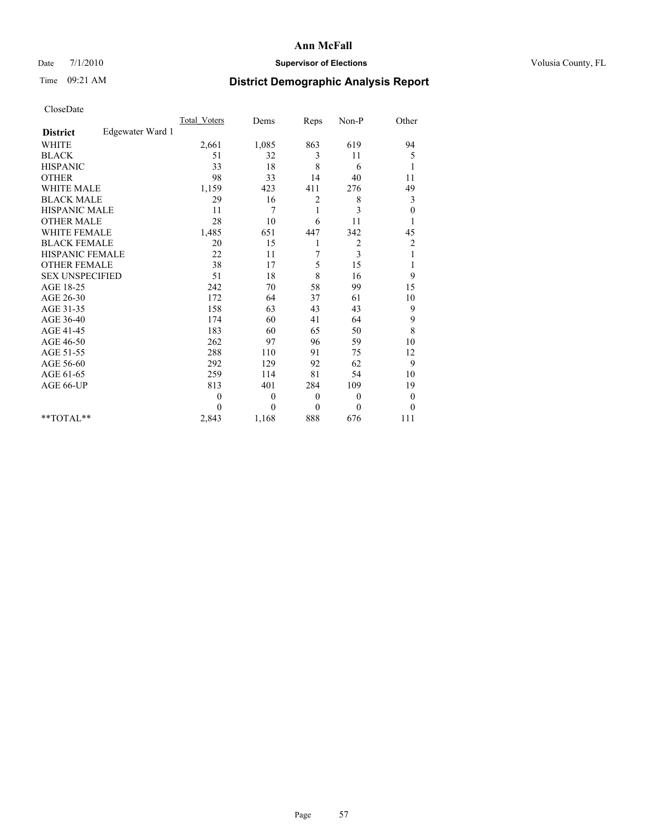## Date 7/1/2010 **Supervisor of Elections Supervisor of Elections** Volusia County, FL

## Time 09:21 AM **District Demographic Analysis Report**

|                                     | <b>Total Voters</b> | Dems             | Reps         | $Non-P$        | Other            |
|-------------------------------------|---------------------|------------------|--------------|----------------|------------------|
| Edgewater Ward 1<br><b>District</b> |                     |                  |              |                |                  |
| <b>WHITE</b>                        | 2,661               | 1,085            | 863          | 619            | 94               |
| <b>BLACK</b>                        | 51                  | 32               | 3            | 11             | 5                |
| <b>HISPANIC</b>                     | 33                  | 18               | 8            | 6              | 1                |
| <b>OTHER</b>                        | 98                  | 33               | 14           | 40             | 11               |
| <b>WHITE MALE</b>                   | 1,159               | 423              | 411          | 276            | 49               |
| <b>BLACK MALE</b>                   | 29                  | 16               | 2            | 8              | 3                |
| <b>HISPANIC MALE</b>                | 11                  | 7                | 1            | 3              | $\boldsymbol{0}$ |
| <b>OTHER MALE</b>                   | 28                  | 10               | 6            | 11             |                  |
| <b>WHITE FEMALE</b>                 | 1,485               | 651              | 447          | 342            | 45               |
| <b>BLACK FEMALE</b>                 | 20                  | 15               | 1            | $\overline{c}$ | $\overline{c}$   |
| HISPANIC FEMALE                     | 22                  | 11               | 7            | 3              | 1                |
| <b>OTHER FEMALE</b>                 | 38                  | 17               | 5            | 15             | 1                |
| <b>SEX UNSPECIFIED</b>              | 51                  | 18               | 8            | 16             | 9                |
| AGE 18-25                           | 242                 | 70               | 58           | 99             | 15               |
| AGE 26-30                           | 172                 | 64               | 37           | 61             | 10               |
| AGE 31-35                           | 158                 | 63               | 43           | 43             | 9                |
| AGE 36-40                           | 174                 | 60               | 41           | 64             | 9                |
| AGE 41-45                           | 183                 | 60               | 65           | 50             | $\,$ 8 $\,$      |
| AGE 46-50                           | 262                 | 97               | 96           | 59             | 10               |
| AGE 51-55                           | 288                 | 110              | 91           | 75             | 12               |
| AGE 56-60                           | 292                 | 129              | 92           | 62             | 9                |
| AGE 61-65                           | 259                 | 114              | 81           | 54             | 10               |
| AGE 66-UP                           | 813                 | 401              | 284          | 109            | 19               |
|                                     | $\theta$            | $\boldsymbol{0}$ | $\mathbf{0}$ | $\theta$       | $\boldsymbol{0}$ |
|                                     | $\Omega$            | $\theta$         | $\mathbf{0}$ | $\theta$       | $\theta$         |
| **TOTAL**                           | 2,843               | 1,168            | 888          | 676            | 111              |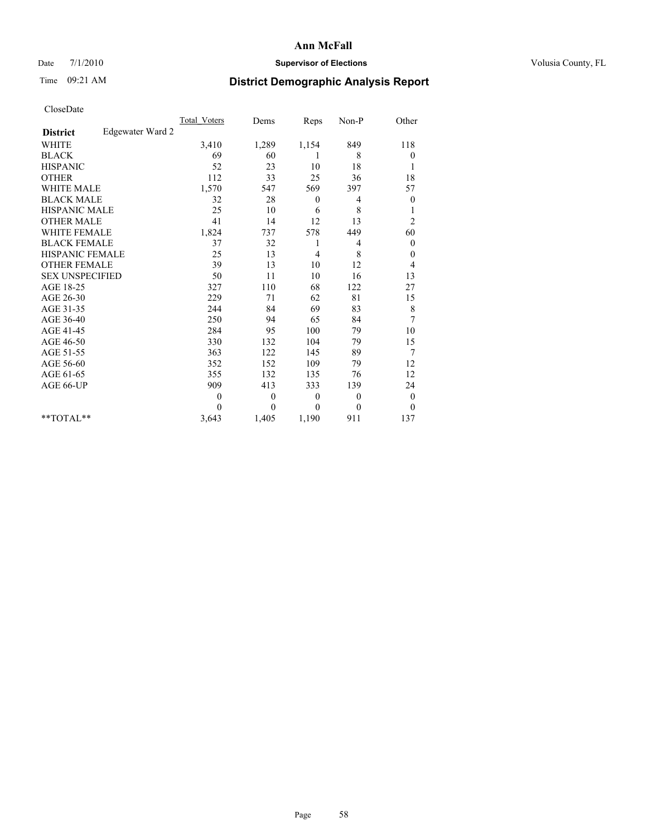## Date 7/1/2010 **Supervisor of Elections Supervisor of Elections** Volusia County, FL

# Time 09:21 AM **District Demographic Analysis Report**

|                                     | <b>Total Voters</b> | Dems             | Reps           | Non-P    | Other            |
|-------------------------------------|---------------------|------------------|----------------|----------|------------------|
| Edgewater Ward 2<br><b>District</b> |                     |                  |                |          |                  |
| <b>WHITE</b>                        | 3,410               | 1,289            | 1,154          | 849      | 118              |
| <b>BLACK</b>                        | 69                  | 60               | 1              | 8        | $\boldsymbol{0}$ |
| <b>HISPANIC</b>                     | 52                  | 23               | 10             | 18       |                  |
| <b>OTHER</b>                        | 112                 | 33               | 25             | 36       | 18               |
| <b>WHITE MALE</b>                   | 1,570               | 547              | 569            | 397      | 57               |
| <b>BLACK MALE</b>                   | 32                  | 28               | $\mathbf{0}$   | 4        | $\boldsymbol{0}$ |
| <b>HISPANIC MALE</b>                | 25                  | 10               | 6              | 8        | 1                |
| <b>OTHER MALE</b>                   | 41                  | 14               | 12             | 13       | $\overline{c}$   |
| <b>WHITE FEMALE</b>                 | 1,824               | 737              | 578            | 449      | 60               |
| <b>BLACK FEMALE</b>                 | 37                  | 32               | 1              | 4        | $\theta$         |
| HISPANIC FEMALE                     | 25                  | 13               | $\overline{4}$ | 8        | $\boldsymbol{0}$ |
| <b>OTHER FEMALE</b>                 | 39                  | 13               | 10             | 12       | 4                |
| <b>SEX UNSPECIFIED</b>              | 50                  | 11               | 10             | 16       | 13               |
| AGE 18-25                           | 327                 | 110              | 68             | 122      | 27               |
| AGE 26-30                           | 229                 | 71               | 62             | 81       | 15               |
| AGE 31-35                           | 244                 | 84               | 69             | 83       | 8                |
| AGE 36-40                           | 250                 | 94               | 65             | 84       | 7                |
| AGE 41-45                           | 284                 | 95               | 100            | 79       | 10               |
| AGE 46-50                           | 330                 | 132              | 104            | 79       | 15               |
| AGE 51-55                           | 363                 | 122              | 145            | 89       | 7                |
| AGE 56-60                           | 352                 | 152              | 109            | 79       | 12               |
| AGE 61-65                           | 355                 | 132              | 135            | 76       | 12               |
| AGE 66-UP                           | 909                 | 413              | 333            | 139      | 24               |
|                                     | $\overline{0}$      | $\boldsymbol{0}$ | $\mathbf{0}$   | $\theta$ | $\boldsymbol{0}$ |
|                                     | $\Omega$            | $\overline{0}$   | $\mathbf{0}$   | $\theta$ | $\overline{0}$   |
| $*$ $TOTAI.**$                      | 3,643               | 1,405            | 1,190          | 911      | 137              |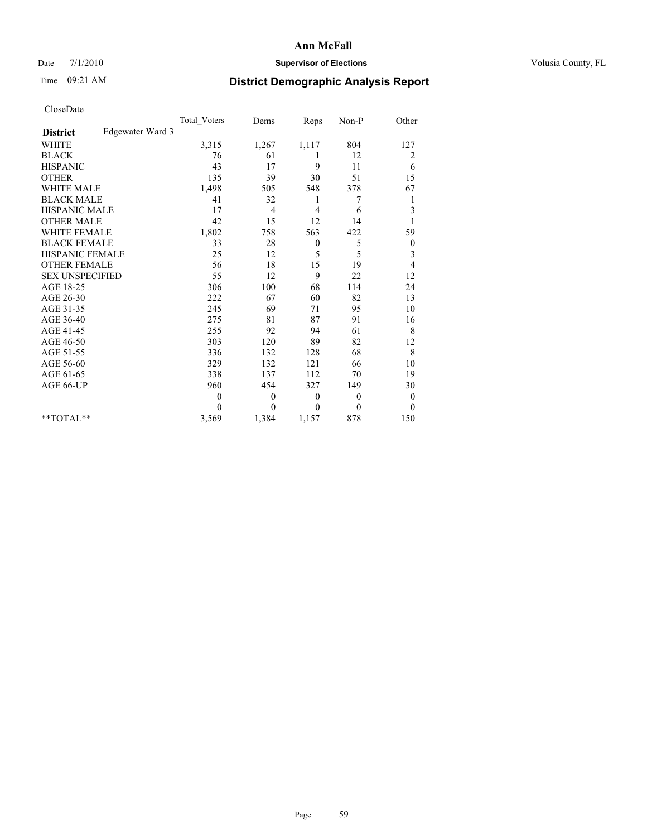## Date 7/1/2010 **Supervisor of Elections Supervisor of Elections** Volusia County, FL

# Time 09:21 AM **District Demographic Analysis Report**

|                                     | <b>Total Voters</b> | Dems             | Reps         | Non-P          | Other            |
|-------------------------------------|---------------------|------------------|--------------|----------------|------------------|
| Edgewater Ward 3<br><b>District</b> |                     |                  |              |                |                  |
| <b>WHITE</b>                        | 3,315               | 1,267            | 1,117        | 804            | 127              |
| <b>BLACK</b>                        | 76                  | 61               | 1            | 12             | 2                |
| <b>HISPANIC</b>                     | 43                  | 17               | 9            | 11             | 6                |
| <b>OTHER</b>                        | 135                 | 39               | 30           | 51             | 15               |
| <b>WHITE MALE</b>                   | 1,498               | 505              | 548          | 378            | 67               |
| <b>BLACK MALE</b>                   | 41                  | 32               | 1            | 7              | 1                |
| <b>HISPANIC MALE</b>                | 17                  | 4                | 4            | 6              | 3                |
| <b>OTHER MALE</b>                   | 42                  | 15               | 12           | 14             |                  |
| <b>WHITE FEMALE</b>                 | 1,802               | 758              | 563          | 422            | 59               |
| <b>BLACK FEMALE</b>                 | 33                  | 28               | $\theta$     | 5              | $\boldsymbol{0}$ |
| HISPANIC FEMALE                     | 25                  | 12               | 5            | 5              | 3                |
| <b>OTHER FEMALE</b>                 | 56                  | 18               | 15           | 19             | $\overline{4}$   |
| <b>SEX UNSPECIFIED</b>              | 55                  | 12               | 9            | 22             | 12               |
| AGE 18-25                           | 306                 | 100              | 68           | 114            | 24               |
| AGE 26-30                           | 222                 | 67               | 60           | 82             | 13               |
| AGE 31-35                           | 245                 | 69               | 71           | 95             | 10               |
| AGE 36-40                           | 275                 | 81               | 87           | 91             | 16               |
| AGE 41-45                           | 255                 | 92               | 94           | 61             | 8                |
| AGE 46-50                           | 303                 | 120              | 89           | 82             | 12               |
| AGE 51-55                           | 336                 | 132              | 128          | 68             | 8                |
| AGE 56-60                           | 329                 | 132              | 121          | 66             | 10               |
| AGE 61-65                           | 338                 | 137              | 112          | 70             | 19               |
| AGE 66-UP                           | 960                 | 454              | 327          | 149            | 30               |
|                                     | $\overline{0}$      | $\boldsymbol{0}$ | $\mathbf{0}$ | $\overline{0}$ | $\overline{0}$   |
|                                     | $\Omega$            | $\overline{0}$   | $\mathbf{0}$ | $\mathbf{0}$   | $\overline{0}$   |
| $*$ $TOTAI.**$                      | 3,569               | 1,384            | 1,157        | 878            | 150              |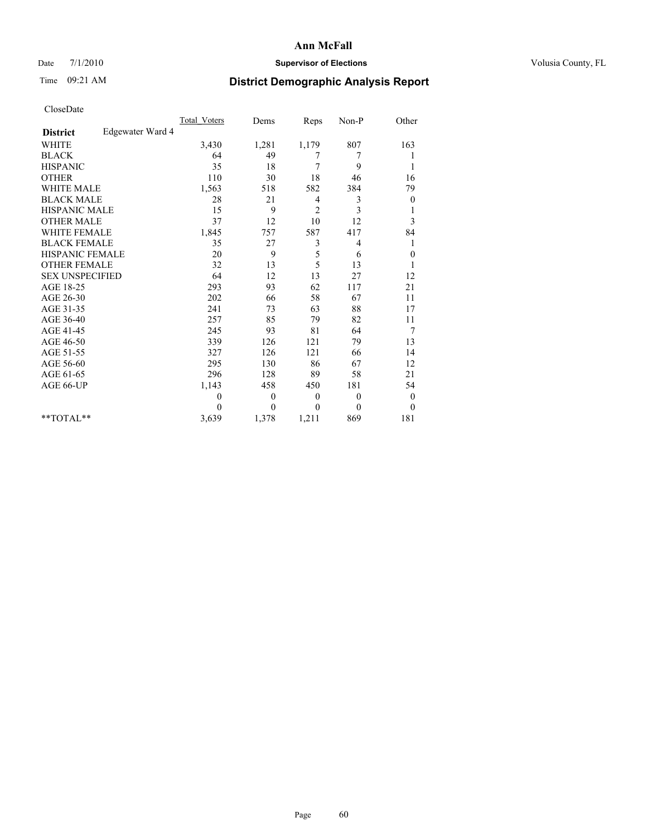### Date  $7/1/2010$  **Supervisor of Elections Supervisor of Elections** Volusia County, FL

## Time 09:21 AM **District Demographic Analysis Report**

|                                     | <b>Total Voters</b> | Dems         | Reps           | Non-P          | Other            |
|-------------------------------------|---------------------|--------------|----------------|----------------|------------------|
| Edgewater Ward 4<br><b>District</b> |                     |              |                |                |                  |
| <b>WHITE</b>                        | 3,430               | 1,281        | 1,179          | 807            | 163              |
| <b>BLACK</b>                        | 64                  | 49           | 7              | 7              |                  |
| <b>HISPANIC</b>                     | 35                  | 18           | 7              | 9              | 1                |
| <b>OTHER</b>                        | 110                 | 30           | 18             | 46             | 16               |
| <b>WHITE MALE</b>                   | 1,563               | 518          | 582            | 384            | 79               |
| <b>BLACK MALE</b>                   | 28                  | 21           | $\overline{4}$ | 3              | $\boldsymbol{0}$ |
| <b>HISPANIC MALE</b>                | 15                  | 9            | 2              | 3              | 1                |
| <b>OTHER MALE</b>                   | 37                  | 12           | 10             | 12             | 3                |
| <b>WHITE FEMALE</b>                 | 1,845               | 757          | 587            | 417            | 84               |
| <b>BLACK FEMALE</b>                 | 35                  | 27           | 3              | 4              | 1                |
| HISPANIC FEMALE                     | 20                  | 9            | 5              | 6              | $\boldsymbol{0}$ |
| <b>OTHER FEMALE</b>                 | 32                  | 13           | 5              | 13             | 1                |
| <b>SEX UNSPECIFIED</b>              | 64                  | 12           | 13             | 27             | 12               |
| AGE 18-25                           | 293                 | 93           | 62             | 117            | 21               |
| AGE 26-30                           | 202                 | 66           | 58             | 67             | 11               |
| AGE 31-35                           | 241                 | 73           | 63             | 88             | 17               |
| AGE 36-40                           | 257                 | 85           | 79             | 82             | 11               |
| AGE 41-45                           | 245                 | 93           | 81             | 64             | 7                |
| AGE 46-50                           | 339                 | 126          | 121            | 79             | 13               |
| AGE 51-55                           | 327                 | 126          | 121            | 66             | 14               |
| AGE 56-60                           | 295                 | 130          | 86             | 67             | 12               |
| AGE 61-65                           | 296                 | 128          | 89             | 58             | 21               |
| AGE 66-UP                           | 1,143               | 458          | 450            | 181            | 54               |
|                                     | $\theta$            | $\mathbf{0}$ | $\theta$       | $\overline{0}$ | $\boldsymbol{0}$ |
|                                     | $\Omega$            | $\theta$     | $\mathbf{0}$   | $\theta$       | $\theta$         |
| $*$ TOTAL $*$                       | 3,639               | 1,378        | 1,211          | 869            | 181              |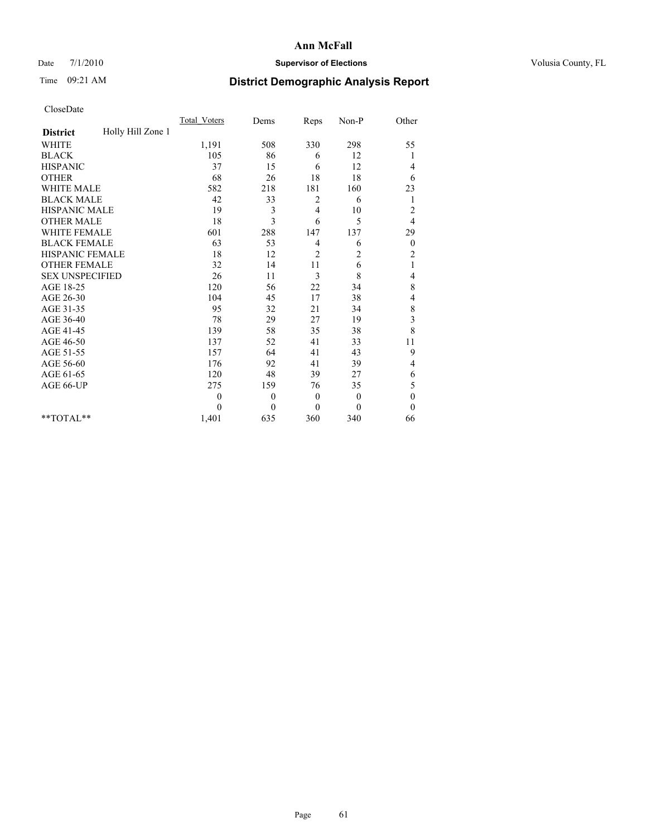## Date 7/1/2010 **Supervisor of Elections Supervisor of Elections** Volusia County, FL

# Time 09:21 AM **District Demographic Analysis Report**

|                                      | <b>Total Voters</b> | Dems             | Reps           | Non-P          | Other            |
|--------------------------------------|---------------------|------------------|----------------|----------------|------------------|
| Holly Hill Zone 1<br><b>District</b> |                     |                  |                |                |                  |
| <b>WHITE</b>                         | 1,191               | 508              | 330            | 298            | 55               |
| <b>BLACK</b>                         | 105                 | 86               | 6              | 12             |                  |
| <b>HISPANIC</b>                      | 37                  | 15               | 6              | 12             | 4                |
| <b>OTHER</b>                         | 68                  | 26               | 18             | 18             | 6                |
| <b>WHITE MALE</b>                    | 582                 | 218              | 181            | 160            | 23               |
| <b>BLACK MALE</b>                    | 42                  | 33               | 2              | 6              | 1                |
| HISPANIC MALE                        | 19                  | 3                | $\overline{4}$ | 10             | $\overline{c}$   |
| <b>OTHER MALE</b>                    | 18                  | 3                | 6              | 5              | 4                |
| <b>WHITE FEMALE</b>                  | 601                 | 288              | 147            | 137            | 29               |
| <b>BLACK FEMALE</b>                  | 63                  | 53               | 4              | 6              | $\boldsymbol{0}$ |
| HISPANIC FEMALE                      | 18                  | 12               | 2              | 2              | $\overline{c}$   |
| <b>OTHER FEMALE</b>                  | 32                  | 14               | 11             | 6              | $\mathbf{1}$     |
| <b>SEX UNSPECIFIED</b>               | 26                  | 11               | 3              | 8              | 4                |
| AGE 18-25                            | 120                 | 56               | 22             | 34             | 8                |
| AGE 26-30                            | 104                 | 45               | 17             | 38             | 4                |
| AGE 31-35                            | 95                  | 32               | 21             | 34             | 8                |
| AGE 36-40                            | 78                  | 29               | 27             | 19             | 3                |
| AGE 41-45                            | 139                 | 58               | 35             | 38             | 8                |
| AGE 46-50                            | 137                 | 52               | 41             | 33             | 11               |
| AGE 51-55                            | 157                 | 64               | 41             | 43             | 9                |
| AGE 56-60                            | 176                 | 92               | 41             | 39             | 4                |
| AGE 61-65                            | 120                 | 48               | 39             | 27             | 6                |
| AGE 66-UP                            | 275                 | 159              | 76             | 35             | 5                |
|                                      | $\overline{0}$      | $\boldsymbol{0}$ | $\mathbf{0}$   | $\overline{0}$ | $\mathbf{0}$     |
|                                      | $\Omega$            | $\overline{0}$   | $\mathbf{0}$   | $\mathbf{0}$   | $\overline{0}$   |
| $*$ $TOTAI.**$                       | 1,401               | 635              | 360            | 340            | 66               |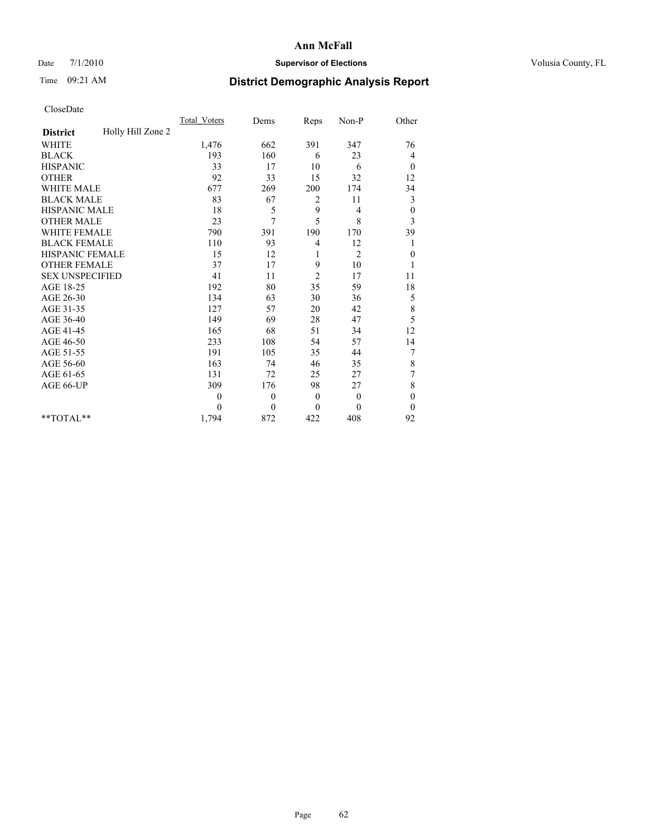## Date 7/1/2010 **Supervisor of Elections Supervisor of Elections** Volusia County, FL

# Time 09:21 AM **District Demographic Analysis Report**

|                                      | Total Voters   | Dems     | Reps         | Non-P          | Other            |
|--------------------------------------|----------------|----------|--------------|----------------|------------------|
| Holly Hill Zone 2<br><b>District</b> |                |          |              |                |                  |
| <b>WHITE</b>                         | 1,476          | 662      | 391          | 347            | 76               |
| <b>BLACK</b>                         | 193            | 160      | 6            | 23             | 4                |
| <b>HISPANIC</b>                      | 33             | 17       | 10           | 6              | $\overline{0}$   |
| <b>OTHER</b>                         | 92             | 33       | 15           | 32             | 12               |
| <b>WHITE MALE</b>                    | 677            | 269      | 200          | 174            | 34               |
| <b>BLACK MALE</b>                    | 83             | 67       | 2            | 11             | 3                |
| <b>HISPANIC MALE</b>                 | 18             | 5        | 9            | 4              | $\boldsymbol{0}$ |
| <b>OTHER MALE</b>                    | 23             | 7        | 5            | 8              | 3                |
| WHITE FEMALE                         | 790            | 391      | 190          | 170            | 39               |
| <b>BLACK FEMALE</b>                  | 110            | 93       | 4            | 12             |                  |
| HISPANIC FEMALE                      | 15             | 12       | 1            | $\overline{2}$ | $\boldsymbol{0}$ |
| <b>OTHER FEMALE</b>                  | 37             | 17       | 9            | 10             |                  |
| <b>SEX UNSPECIFIED</b>               | 41             | 11       | 2            | 17             | 11               |
| AGE 18-25                            | 192            | 80       | 35           | 59             | 18               |
| AGE 26-30                            | 134            | 63       | 30           | 36             | 5                |
| AGE 31-35                            | 127            | 57       | 20           | 42             | $\,$ 8 $\,$      |
| AGE 36-40                            | 149            | 69       | 28           | 47             | 5                |
| AGE 41-45                            | 165            | 68       | 51           | 34             | 12               |
| AGE 46-50                            | 233            | 108      | 54           | 57             | 14               |
| AGE 51-55                            | 191            | 105      | 35           | 44             | 7                |
| AGE 56-60                            | 163            | 74       | 46           | 35             | $\,$ 8 $\,$      |
| AGE 61-65                            | 131            | 72       | 25           | 27             | 7                |
| AGE 66-UP                            | 309            | 176      | 98           | 27             | 8                |
|                                      | $\overline{0}$ | $\theta$ | $\mathbf{0}$ | $\mathbf{0}$   | $\mathbf{0}$     |
|                                      | $\Omega$       | $\theta$ | $\theta$     | $\theta$       | $\theta$         |
| $*$ $TOTAI.**$                       | 1,794          | 872      | 422          | 408            | 92               |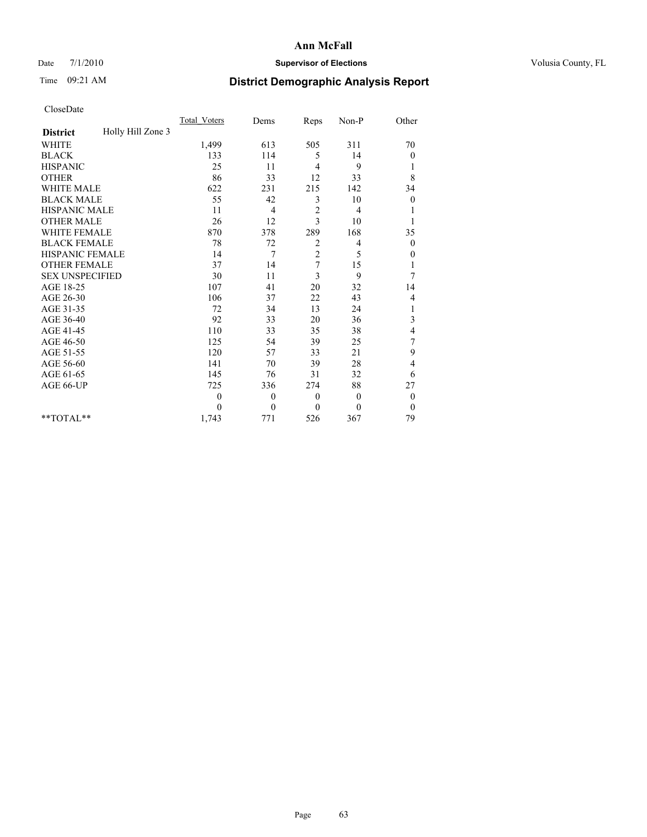## Date 7/1/2010 **Supervisor of Elections Supervisor of Elections** Volusia County, FL

## Time 09:21 AM **District Demographic Analysis Report**

|                                      | <b>Total Voters</b> | Dems         | Reps           | Non-P        | Other            |
|--------------------------------------|---------------------|--------------|----------------|--------------|------------------|
| Holly Hill Zone 3<br><b>District</b> |                     |              |                |              |                  |
| <b>WHITE</b>                         | 1,499               | 613          | 505            | 311          | 70               |
| <b>BLACK</b>                         | 133                 | 114          | 5              | 14           | 0                |
| <b>HISPANIC</b>                      | 25                  | 11           | $\overline{4}$ | 9            | 1                |
| <b>OTHER</b>                         | 86                  | 33           | 12             | 33           | 8                |
| <b>WHITE MALE</b>                    | 622                 | 231          | 215            | 142          | 34               |
| <b>BLACK MALE</b>                    | 55                  | 42           | 3              | 10           | $\boldsymbol{0}$ |
| <b>HISPANIC MALE</b>                 | 11                  | 4            | $\sqrt{2}$     | 4            |                  |
| <b>OTHER MALE</b>                    | 26                  | 12           | 3              | 10           |                  |
| <b>WHITE FEMALE</b>                  | 870                 | 378          | 289            | 168          | 35               |
| <b>BLACK FEMALE</b>                  | 78                  | 72           | 2              | 4            | $\theta$         |
| HISPANIC FEMALE                      | 14                  | 7            | $\overline{c}$ | 5            | 0                |
| <b>OTHER FEMALE</b>                  | 37                  | 14           | 7              | 15           | 1                |
| <b>SEX UNSPECIFIED</b>               | 30                  | 11           | 3              | 9            | 7                |
| AGE 18-25                            | 107                 | 41           | 20             | 32           | 14               |
| AGE 26-30                            | 106                 | 37           | 22             | 43           | 4                |
| AGE 31-35                            | 72                  | 34           | 13             | 24           | 1                |
| AGE 36-40                            | 92                  | 33           | 20             | 36           | 3                |
| AGE 41-45                            | 110                 | 33           | 35             | 38           | 4                |
| AGE 46-50                            | 125                 | 54           | 39             | 25           | 7                |
| AGE 51-55                            | 120                 | 57           | 33             | 21           | 9                |
| AGE 56-60                            | 141                 | 70           | 39             | 28           | 4                |
| AGE 61-65                            | 145                 | 76           | 31             | 32           | 6                |
| AGE 66-UP                            | 725                 | 336          | 274            | 88           | 27               |
|                                      | $\theta$            | $\mathbf{0}$ | $\theta$       | $\mathbf{0}$ | 0                |
|                                      | $\theta$            | $\mathbf{0}$ | $\mathbf{0}$   | $\theta$     | $\theta$         |
| **TOTAL**                            | 1,743               | 771          | 526            | 367          | 79               |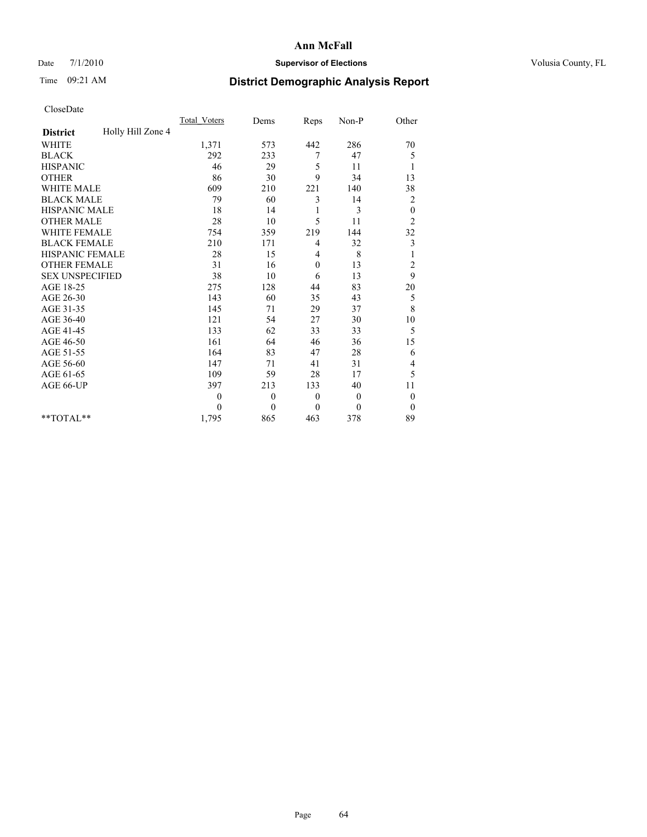## Date 7/1/2010 **Supervisor of Elections Supervisor of Elections** Volusia County, FL

# Time 09:21 AM **District Demographic Analysis Report**

|                                      | <b>Total Voters</b> | Dems         | Reps         | Non-P        | Other                   |
|--------------------------------------|---------------------|--------------|--------------|--------------|-------------------------|
| Holly Hill Zone 4<br><b>District</b> |                     |              |              |              |                         |
| <b>WHITE</b>                         | 1,371               | 573          | 442          | 286          | 70                      |
| <b>BLACK</b>                         | 292                 | 233          | 7            | 47           | 5                       |
| <b>HISPANIC</b>                      | 46                  | 29           | 5            | 11           | 1                       |
| <b>OTHER</b>                         | 86                  | 30           | 9            | 34           | 13                      |
| <b>WHITE MALE</b>                    | 609                 | 210          | 221          | 140          | 38                      |
| <b>BLACK MALE</b>                    | 79                  | 60           | 3            | 14           | $\overline{\mathbf{c}}$ |
| HISPANIC MALE                        | 18                  | 14           | 1            | 3            | $\boldsymbol{0}$        |
| <b>OTHER MALE</b>                    | 28                  | 10           | 5            | 11           | $\overline{c}$          |
| <b>WHITE FEMALE</b>                  | 754                 | 359          | 219          | 144          | 32                      |
| <b>BLACK FEMALE</b>                  | 210                 | 171          | 4            | 32           | 3                       |
| HISPANIC FEMALE                      | 28                  | 15           | 4            | 8            |                         |
| <b>OTHER FEMALE</b>                  | 31                  | 16           | $\mathbf{0}$ | 13           | $\overline{c}$          |
| <b>SEX UNSPECIFIED</b>               | 38                  | 10           | 6            | 13           | 9                       |
| AGE 18-25                            | 275                 | 128          | 44           | 83           | 20                      |
| AGE 26-30                            | 143                 | 60           | 35           | 43           | 5                       |
| AGE 31-35                            | 145                 | 71           | 29           | 37           | 8                       |
| AGE 36-40                            | 121                 | 54           | 27           | 30           | 10                      |
| AGE 41-45                            | 133                 | 62           | 33           | 33           | 5                       |
| AGE 46-50                            | 161                 | 64           | 46           | 36           | 15                      |
| AGE 51-55                            | 164                 | 83           | 47           | 28           | 6                       |
| AGE 56-60                            | 147                 | 71           | 41           | 31           | 4                       |
| AGE 61-65                            | 109                 | 59           | 28           | 17           | 5                       |
| AGE 66-UP                            | 397                 | 213          | 133          | 40           | 11                      |
|                                      | $\theta$            | $\mathbf{0}$ | $\mathbf{0}$ | $\mathbf{0}$ | $\boldsymbol{0}$        |
|                                      | $\Omega$            | $\theta$     | $\mathbf{0}$ | $\Omega$     | $\theta$                |
| $*$ $TOTAI.**$                       | 1,795               | 865          | 463          | 378          | 89                      |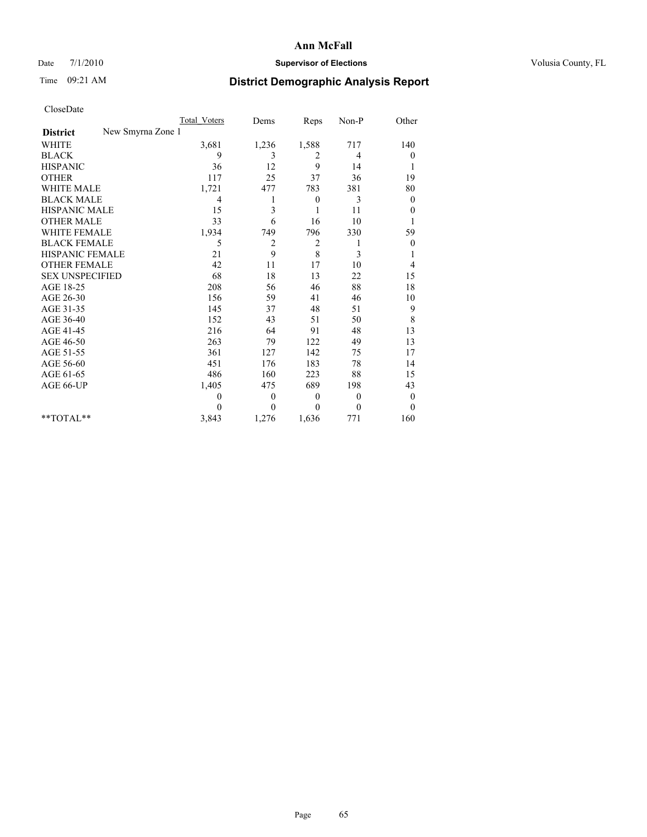## Date 7/1/2010 **Supervisor of Elections Supervisor of Elections** Volusia County, FL

# Time 09:21 AM **District Demographic Analysis Report**

|                                      | Total Voters   | Dems         | Reps           | Non-P        | Other            |
|--------------------------------------|----------------|--------------|----------------|--------------|------------------|
| New Smyrna Zone 1<br><b>District</b> |                |              |                |              |                  |
| <b>WHITE</b>                         | 3,681          | 1,236        | 1,588          | 717          | 140              |
| <b>BLACK</b>                         | 9              | 3            | 2              | 4            | 0                |
| <b>HISPANIC</b>                      | 36             | 12           | 9              | 14           |                  |
| <b>OTHER</b>                         | 117            | 25           | 37             | 36           | 19               |
| WHITE MALE                           | 1,721          | 477          | 783            | 381          | 80               |
| <b>BLACK MALE</b>                    | $\overline{4}$ | 1            | $\mathbf{0}$   | 3            | $\overline{0}$   |
| HISPANIC MALE                        | 15             | 3            |                | 11           | 0                |
| <b>OTHER MALE</b>                    | 33             | 6            | 16             | 10           |                  |
| <b>WHITE FEMALE</b>                  | 1,934          | 749          | 796            | 330          | 59               |
| <b>BLACK FEMALE</b>                  | 5              | 2            | $\overline{c}$ | 1            | $\overline{0}$   |
| <b>HISPANIC FEMALE</b>               | 21             | 9            | 8              | 3            |                  |
| <b>OTHER FEMALE</b>                  | 42             | 11           | 17             | 10           | 4                |
| <b>SEX UNSPECIFIED</b>               | 68             | 18           | 13             | 22           | 15               |
| AGE 18-25                            | 208            | 56           | 46             | 88           | 18               |
| AGE 26-30                            | 156            | 59           | 41             | 46           | 10               |
| AGE 31-35                            | 145            | 37           | 48             | 51           | 9                |
| AGE 36-40                            | 152            | 43           | 51             | 50           | 8                |
| AGE 41-45                            | 216            | 64           | 91             | 48           | 13               |
| AGE 46-50                            | 263            | 79           | 122            | 49           | 13               |
| AGE 51-55                            | 361            | 127          | 142            | 75           | 17               |
| AGE 56-60                            | 451            | 176          | 183            | 78           | 14               |
| AGE 61-65                            | 486            | 160          | 223            | 88           | 15               |
| AGE 66-UP                            | 1,405          | 475          | 689            | 198          | 43               |
|                                      | $\theta$       | $\mathbf{0}$ | $\mathbf{0}$   | $\mathbf{0}$ | $\boldsymbol{0}$ |
|                                      | $\theta$       | $\theta$     | $\theta$       | 0            | $\theta$         |
| $*$ $TOTAI.**$                       | 3,843          | 1,276        | 1,636          | 771          | 160              |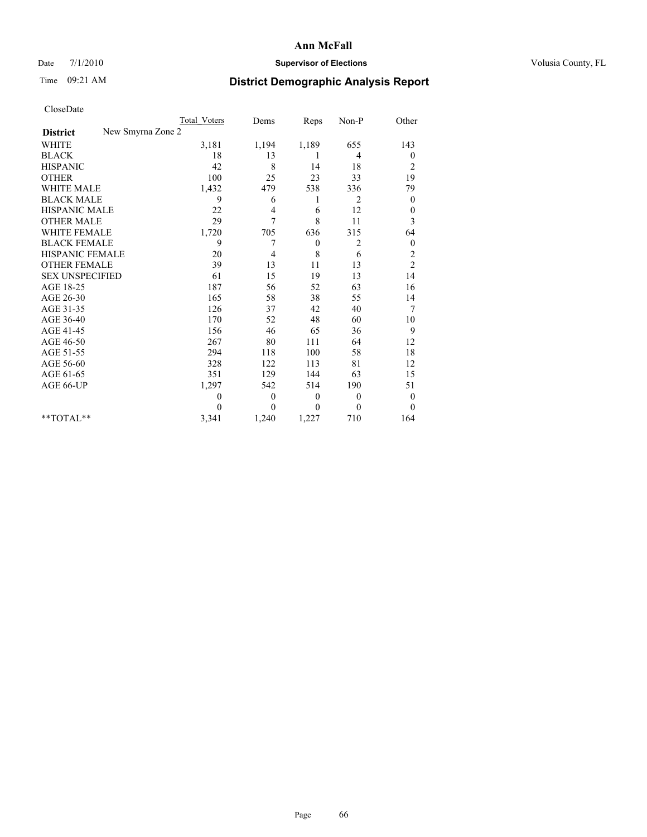## Date 7/1/2010 **Supervisor of Elections Supervisor of Elections** Volusia County, FL

# Time 09:21 AM **District Demographic Analysis Report**

|                                      | Total Voters | Dems         | Reps             | Non-P          | Other            |
|--------------------------------------|--------------|--------------|------------------|----------------|------------------|
| New Smyrna Zone 2<br><b>District</b> |              |              |                  |                |                  |
| <b>WHITE</b>                         | 3,181        | 1,194        | 1,189            | 655            | 143              |
| <b>BLACK</b>                         | 18           | 13           | 1                | 4              | $\boldsymbol{0}$ |
| <b>HISPANIC</b>                      | 42           | 8            | 14               | 18             | 2                |
| <b>OTHER</b>                         | 100          | 25           | 23               | 33             | 19               |
| WHITE MALE                           | 1,432        | 479          | 538              | 336            | 79               |
| <b>BLACK MALE</b>                    | 9            | 6            | 1                | $\overline{c}$ | $\theta$         |
| <b>HISPANIC MALE</b>                 | 22           | 4            | 6                | 12             | $\mathbf{0}$     |
| <b>OTHER MALE</b>                    | 29           | 7            | 8                | 11             | 3                |
| <b>WHITE FEMALE</b>                  | 1,720        | 705          | 636              | 315            | 64               |
| <b>BLACK FEMALE</b>                  | 9            | 7            | $\boldsymbol{0}$ | 2              | $\boldsymbol{0}$ |
| <b>HISPANIC FEMALE</b>               | 20           | 4            | 8                | 6              | $\overline{c}$   |
| <b>OTHER FEMALE</b>                  | 39           | 13           | 11               | 13             | $\overline{c}$   |
| <b>SEX UNSPECIFIED</b>               | 61           | 15           | 19               | 13             | 14               |
| AGE 18-25                            | 187          | 56           | 52               | 63             | 16               |
| AGE 26-30                            | 165          | 58           | 38               | 55             | 14               |
| AGE 31-35                            | 126          | 37           | 42               | 40             | 7                |
| AGE 36-40                            | 170          | 52           | 48               | 60             | 10               |
| AGE 41-45                            | 156          | 46           | 65               | 36             | 9                |
| AGE 46-50                            | 267          | 80           | 111              | 64             | 12               |
| AGE 51-55                            | 294          | 118          | 100              | 58             | 18               |
| AGE 56-60                            | 328          | 122          | 113              | 81             | 12               |
| AGE 61-65                            | 351          | 129          | 144              | 63             | 15               |
| AGE 66-UP                            | 1,297        | 542          | 514              | 190            | 51               |
|                                      | $\theta$     | $\mathbf{0}$ | $\boldsymbol{0}$ | $\mathbf{0}$   | $\boldsymbol{0}$ |
|                                      | $\theta$     | $\theta$     | $\theta$         | 0              | $\theta$         |
| $*$ TOTAL $*$                        | 3,341        | 1,240        | 1,227            | 710            | 164              |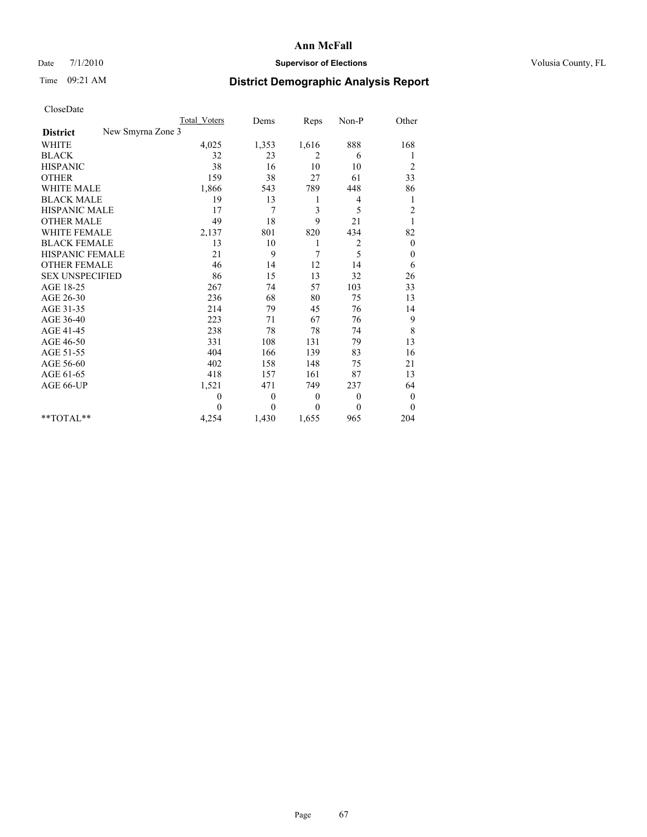## Date 7/1/2010 **Supervisor of Elections Supervisor of Elections** Volusia County, FL

# Time 09:21 AM **District Demographic Analysis Report**

|                                      | <b>Total Voters</b> | Dems             | Reps           | Non-P          | Other            |
|--------------------------------------|---------------------|------------------|----------------|----------------|------------------|
| New Smyrna Zone 3<br><b>District</b> |                     |                  |                |                |                  |
| <b>WHITE</b>                         | 4,025               | 1,353            | 1,616          | 888            | 168              |
| <b>BLACK</b>                         | 32                  | 23               | 2              | 6              |                  |
| <b>HISPANIC</b>                      | 38                  | 16               | 10             | 10             | $\overline{c}$   |
| <b>OTHER</b>                         | 159                 | 38               | 27             | 61             | 33               |
| <b>WHITE MALE</b>                    | 1,866               | 543              | 789            | 448            | 86               |
| <b>BLACK MALE</b>                    | 19                  | 13               | 1              | 4              | 1                |
| <b>HISPANIC MALE</b>                 | 17                  | 7                | $\mathfrak{Z}$ | 5              | $\overline{c}$   |
| <b>OTHER MALE</b>                    | 49                  | 18               | 9              | 21             |                  |
| <b>WHITE FEMALE</b>                  | 2,137               | 801              | 820            | 434            | 82               |
| <b>BLACK FEMALE</b>                  | 13                  | 10               | 1              | $\overline{c}$ | $\theta$         |
| HISPANIC FEMALE                      | 21                  | 9                | 7              | 5              | $\boldsymbol{0}$ |
| <b>OTHER FEMALE</b>                  | 46                  | 14               | 12             | 14             | 6                |
| <b>SEX UNSPECIFIED</b>               | 86                  | 15               | 13             | 32             | 26               |
| AGE 18-25                            | 267                 | 74               | 57             | 103            | 33               |
| AGE 26-30                            | 236                 | 68               | 80             | 75             | 13               |
| AGE 31-35                            | 214                 | 79               | 45             | 76             | 14               |
| AGE 36-40                            | 223                 | 71               | 67             | 76             | 9                |
| AGE 41-45                            | 238                 | 78               | 78             | 74             | 8                |
| AGE 46-50                            | 331                 | 108              | 131            | 79             | 13               |
| AGE 51-55                            | 404                 | 166              | 139            | 83             | 16               |
| AGE 56-60                            | 402                 | 158              | 148            | 75             | 21               |
| AGE 61-65                            | 418                 | 157              | 161            | 87             | 13               |
| AGE 66-UP                            | 1,521               | 471              | 749            | 237            | 64               |
|                                      | $\mathbf{0}$        | $\boldsymbol{0}$ | $\theta$       | $\theta$       | $\theta$         |
|                                      | $\theta$            | $\theta$         | $\mathbf{0}$   | $\mathbf{0}$   | $\overline{0}$   |
| **TOTAL**                            | 4,254               | 1,430            | 1,655          | 965            | 204              |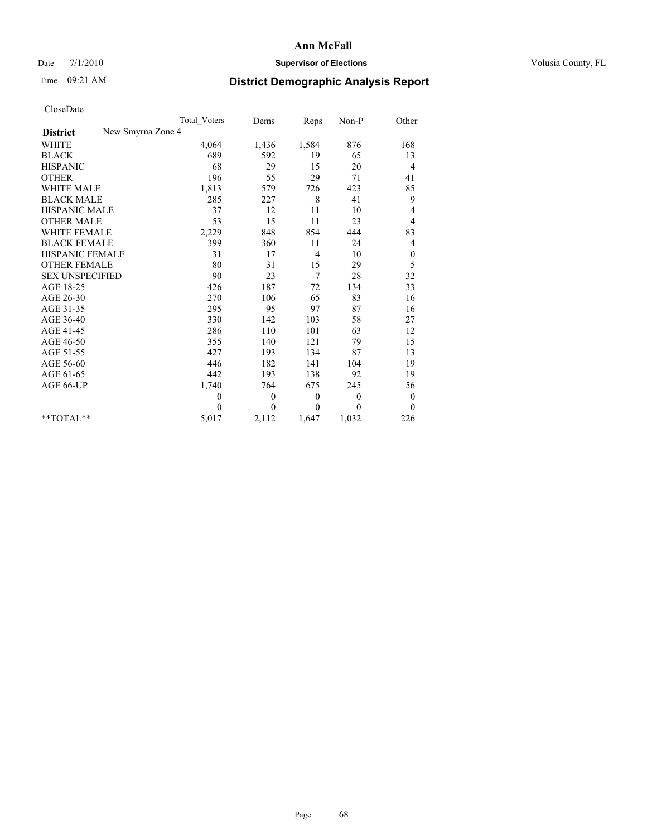## Date 7/1/2010 **Supervisor of Elections Supervisor of Elections** Volusia County, FL

# Time 09:21 AM **District Demographic Analysis Report**

|                                      | Total Voters | Dems         | Reps     | Non-P        | Other            |
|--------------------------------------|--------------|--------------|----------|--------------|------------------|
| New Smyrna Zone 4<br><b>District</b> |              |              |          |              |                  |
| <b>WHITE</b>                         | 4,064        | 1,436        | 1,584    | 876          | 168              |
| <b>BLACK</b>                         | 689          | 592          | 19       | 65           | 13               |
| <b>HISPANIC</b>                      | 68           | 29           | 15       | 20           | 4                |
| <b>OTHER</b>                         | 196          | 55           | 29       | 71           | 41               |
| <b>WHITE MALE</b>                    | 1,813        | 579          | 726      | 423          | 85               |
| <b>BLACK MALE</b>                    | 285          | 227          | 8        | 41           | 9                |
| <b>HISPANIC MALE</b>                 | 37           | 12           | 11       | 10           | 4                |
| <b>OTHER MALE</b>                    | 53           | 15           | 11       | 23           | 4                |
| <b>WHITE FEMALE</b>                  | 2,229        | 848          | 854      | 444          | 83               |
| <b>BLACK FEMALE</b>                  | 399          | 360          | 11       | 24           | 4                |
| HISPANIC FEMALE                      | 31           | 17           | 4        | 10           | $\boldsymbol{0}$ |
| <b>OTHER FEMALE</b>                  | 80           | 31           | 15       | 29           | 5                |
| <b>SEX UNSPECIFIED</b>               | 90           | 23           | 7        | 28           | 32               |
| AGE 18-25                            | 426          | 187          | 72       | 134          | 33               |
| AGE 26-30                            | 270          | 106          | 65       | 83           | 16               |
| AGE 31-35                            | 295          | 95           | 97       | 87           | 16               |
| AGE 36-40                            | 330          | 142          | 103      | 58           | 27               |
| AGE 41-45                            | 286          | 110          | 101      | 63           | 12               |
| AGE 46-50                            | 355          | 140          | 121      | 79           | 15               |
| AGE 51-55                            | 427          | 193          | 134      | 87           | 13               |
| AGE 56-60                            | 446          | 182          | 141      | 104          | 19               |
| AGE 61-65                            | 442          | 193          | 138      | 92           | 19               |
| AGE 66-UP                            | 1,740        | 764          | 675      | 245          | 56               |
|                                      | $\mathbf{0}$ | $\mathbf{0}$ | $\theta$ | $\mathbf{0}$ | $\mathbf{0}$     |
|                                      | $\theta$     | $\theta$     | $\Omega$ | $\theta$     | $\mathbf{0}$     |
| $*$ $TOTAI.**$                       | 5,017        | 2,112        | 1,647    | 1,032        | 226              |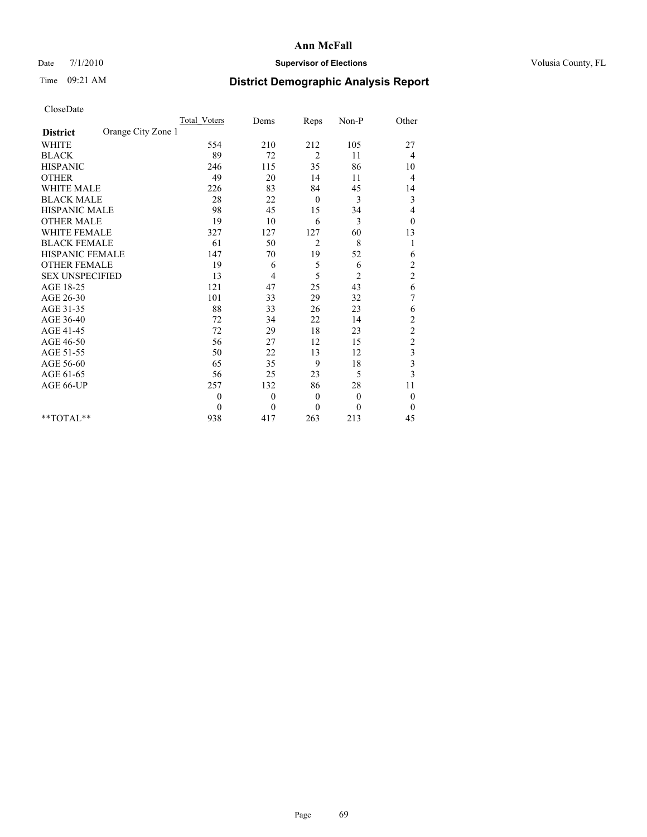## Date 7/1/2010 **Supervisor of Elections Supervisor of Elections** Volusia County, FL

# Time 09:21 AM **District Demographic Analysis Report**

|                                       | <b>Total Voters</b> | Dems         | Reps           | Non-P          | Other                   |
|---------------------------------------|---------------------|--------------|----------------|----------------|-------------------------|
| Orange City Zone 1<br><b>District</b> |                     |              |                |                |                         |
| <b>WHITE</b>                          | 554                 | 210          | 212            | 105            | 27                      |
| <b>BLACK</b>                          | 89                  | 72           | 2              | 11             | 4                       |
| <b>HISPANIC</b>                       | 246                 | 115          | 35             | 86             | 10                      |
| <b>OTHER</b>                          | 49                  | 20           | 14             | 11             | 4                       |
| <b>WHITE MALE</b>                     | 226                 | 83           | 84             | 45             | 14                      |
| <b>BLACK MALE</b>                     | 28                  | 22           | $\theta$       | 3              | 3                       |
| HISPANIC MALE                         | 98                  | 45           | 15             | 34             | 4                       |
| <b>OTHER MALE</b>                     | 19                  | 10           | 6              | 3              | $\mathbf{0}$            |
| <b>WHITE FEMALE</b>                   | 327                 | 127          | 127            | 60             | 13                      |
| <b>BLACK FEMALE</b>                   | 61                  | 50           | $\overline{2}$ | 8              | 1                       |
| HISPANIC FEMALE                       | 147                 | 70           | 19             | 52             | 6                       |
| <b>OTHER FEMALE</b>                   | 19                  | 6            | 5              | 6              | $\frac{2}{2}$           |
| <b>SEX UNSPECIFIED</b>                | 13                  | 4            | 5              | $\overline{c}$ |                         |
| AGE 18-25                             | 121                 | 47           | 25             | 43             | 6                       |
| AGE 26-30                             | 101                 | 33           | 29             | 32             | 7                       |
| AGE 31-35                             | $88\,$              | 33           | 26             | 23             | 6                       |
| AGE 36-40                             | 72                  | 34           | 22             | 14             | $\overline{c}$          |
| AGE 41-45                             | 72                  | 29           | 18             | 23             | $\overline{c}$          |
| AGE 46-50                             | 56                  | 27           | 12             | 15             | $\overline{c}$          |
| AGE 51-55                             | 50                  | 22           | 13             | 12             | 3                       |
| AGE 56-60                             | 65                  | 35           | 9              | 18             | $\overline{\mathbf{3}}$ |
| AGE 61-65                             | 56                  | 25           | 23             | 5              | $\overline{3}$          |
| AGE 66-UP                             | 257                 | 132          | 86             | 28             | 11                      |
|                                       | $\theta$            | $\mathbf{0}$ | $\theta$       | $\theta$       | $\theta$                |
|                                       | $\mathbf{0}$        | $\theta$     | $\mathbf{0}$   | $\mathbf{0}$   | $\overline{0}$          |
| **TOTAL**                             | 938                 | 417          | 263            | 213            | 45                      |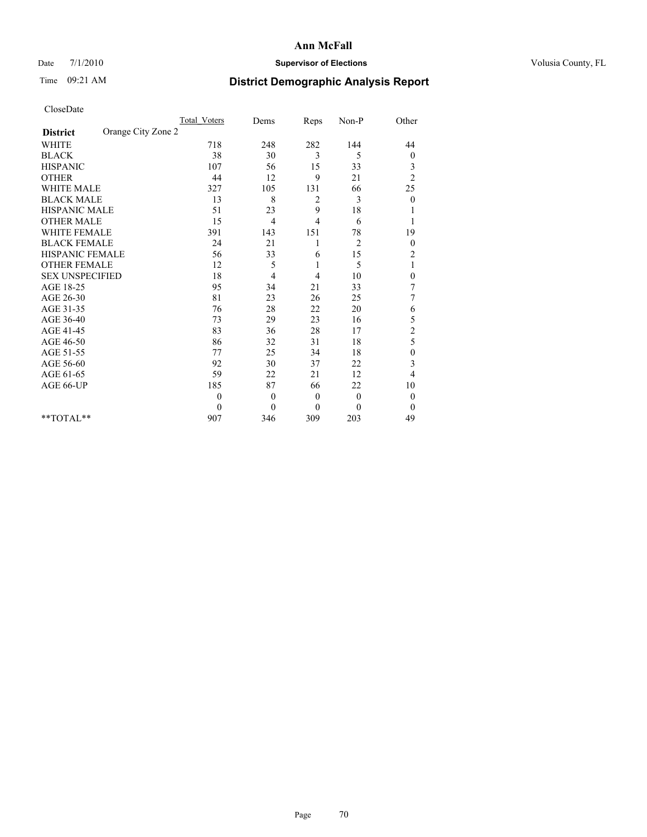## Date 7/1/2010 **Supervisor of Elections Supervisor of Elections** Volusia County, FL

## Time 09:21 AM **District Demographic Analysis Report**

|                                       | <b>Total Voters</b> | Dems         | Reps           | Non-P          | Other            |  |
|---------------------------------------|---------------------|--------------|----------------|----------------|------------------|--|
| Orange City Zone 2<br><b>District</b> |                     |              |                |                |                  |  |
| <b>WHITE</b>                          | 718                 | 248          | 282            | 144            | 44               |  |
| <b>BLACK</b>                          | 38                  | 30           | 3              | 5              | $\boldsymbol{0}$ |  |
| <b>HISPANIC</b>                       | 107                 | 56           | 15             | 33             | 3                |  |
| <b>OTHER</b>                          | 44                  | 12           | 9              | 21             | $\overline{c}$   |  |
| <b>WHITE MALE</b>                     | 327                 | 105          | 131            | 66             | 25               |  |
| <b>BLACK MALE</b>                     | 13                  | 8            | 2              | 3              | $\mathbf{0}$     |  |
| HISPANIC MALE                         | 51                  | 23           | 9              | 18             |                  |  |
| <b>OTHER MALE</b>                     | 15                  | 4            | $\overline{4}$ | 6              |                  |  |
| <b>WHITE FEMALE</b>                   | 391                 | 143          | 151            | 78             | 19               |  |
| <b>BLACK FEMALE</b>                   | 24                  | 21           |                | $\overline{2}$ | $\boldsymbol{0}$ |  |
| HISPANIC FEMALE                       | 56                  | 33           | 6              | 15             | $\overline{c}$   |  |
| <b>OTHER FEMALE</b>                   | 12                  | 5            | 1              | 5              | 1                |  |
| <b>SEX UNSPECIFIED</b>                | 18                  | 4            | 4              | 10             | $\boldsymbol{0}$ |  |
| AGE 18-25                             | 95                  | 34           | 21             | 33             | 7                |  |
| AGE 26-30                             | 81                  | 23           | 26             | 25             | 7                |  |
| AGE 31-35                             | 76                  | 28           | 22             | 20             | 6                |  |
| AGE 36-40                             | 73                  | 29           | 23             | 16             | 5                |  |
| AGE 41-45                             | 83                  | 36           | 28             | 17             | $\overline{c}$   |  |
| AGE 46-50                             | 86                  | 32           | 31             | 18             | 5                |  |
| AGE 51-55                             | 77                  | 25           | 34             | 18             | 0                |  |
| AGE 56-60                             | 92                  | 30           | 37             | 22             | 3                |  |
| AGE 61-65                             | 59                  | 22           | 21             | 12             | 4                |  |
| AGE 66-UP                             | 185                 | 87           | 66             | 22             | 10               |  |
|                                       | $\theta$            | $\theta$     | $\theta$       | $\mathbf{0}$   | $\boldsymbol{0}$ |  |
|                                       | $\mathbf{0}$        | $\mathbf{0}$ | $\mathbf{0}$   | $\mathbf{0}$   | $\mathbf{0}$     |  |
| $*$ TOTAL $*$                         | 907                 | 346          | 309            | 203            | 49               |  |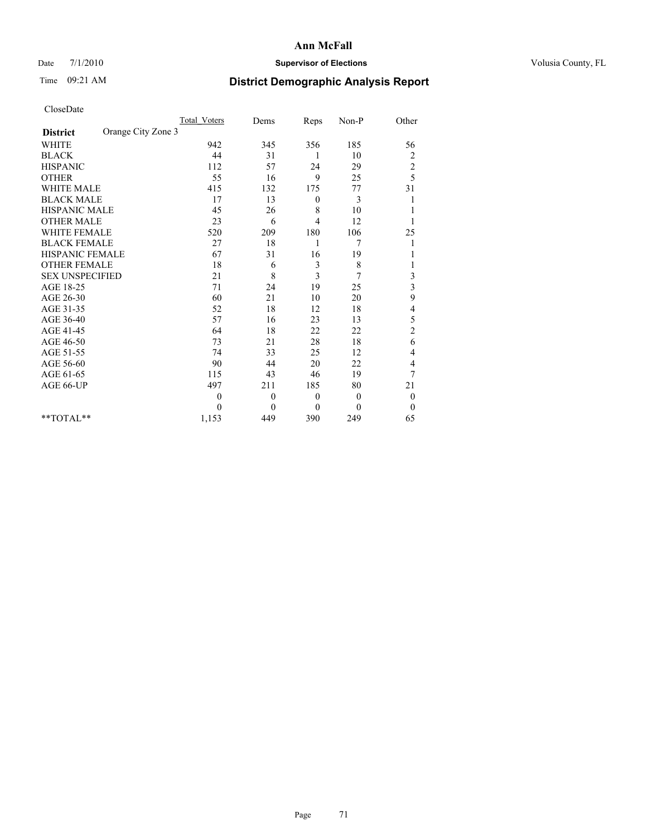## Date 7/1/2010 **Supervisor of Elections Supervisor of Elections** Volusia County, FL

# Time 09:21 AM **District Demographic Analysis Report**

|                                       | Total Voters   | Dems         | Reps             | $Non-P$  | Other                   |  |
|---------------------------------------|----------------|--------------|------------------|----------|-------------------------|--|
| Orange City Zone 3<br><b>District</b> |                |              |                  |          |                         |  |
| <b>WHITE</b>                          | 942            | 345          | 356              | 185      | 56                      |  |
| <b>BLACK</b>                          | 44             | 31           | 1                | 10       | $\overline{\mathbf{c}}$ |  |
| <b>HISPANIC</b>                       | 112            | 57           | 24               | 29       | $\overline{c}$          |  |
| <b>OTHER</b>                          | 55             | 16           | 9                | 25       | 5                       |  |
| <b>WHITE MALE</b>                     | 415            | 132          | 175              | 77       | 31                      |  |
| <b>BLACK MALE</b>                     | 17             | 13           | $\mathbf{0}$     | 3        |                         |  |
| <b>HISPANIC MALE</b>                  | 45             | 26           | 8                | 10       |                         |  |
| <b>OTHER MALE</b>                     | 23             | 6            | 4                | 12       |                         |  |
| <b>WHITE FEMALE</b>                   | 520            | 209          | 180              | 106      | 25                      |  |
| <b>BLACK FEMALE</b>                   | $27\,$         | 18           | 1                | 7        |                         |  |
| HISPANIC FEMALE                       | 67             | 31           | 16               | 19       |                         |  |
| <b>OTHER FEMALE</b>                   | 18             | 6            | 3                | 8        |                         |  |
| <b>SEX UNSPECIFIED</b>                | 21             | 8            | 3                | 7        | 3                       |  |
| AGE 18-25                             | 71             | 24           | 19               | 25       | 3                       |  |
| AGE 26-30                             | 60             | 21           | 10               | 20       | 9                       |  |
| AGE 31-35                             | 52             | 18           | 12               | 18       | 4                       |  |
| AGE 36-40                             | 57             | 16           | 23               | 13       | 5                       |  |
| AGE 41-45                             | 64             | 18           | 22               | 22       | $\overline{c}$          |  |
| AGE 46-50                             | 73             | 21           | 28               | 18       | 6                       |  |
| AGE 51-55                             | 74             | 33           | 25               | 12       | 4                       |  |
| AGE 56-60                             | 90             | 44           | 20               | 22       | 4                       |  |
| AGE 61-65                             | 115            | 43           | 46               | 19       | 7                       |  |
| AGE 66-UP                             | 497            | 211          | 185              | 80       | 21                      |  |
|                                       | $\overline{0}$ | $\mathbf{0}$ | $\boldsymbol{0}$ | $\theta$ | $\boldsymbol{0}$        |  |
|                                       | $\Omega$       | $\Omega$     | $\theta$         | $\theta$ | $\overline{0}$          |  |
| $*$ $TOTAI.**$                        | 1,153          | 449          | 390              | 249      | 65                      |  |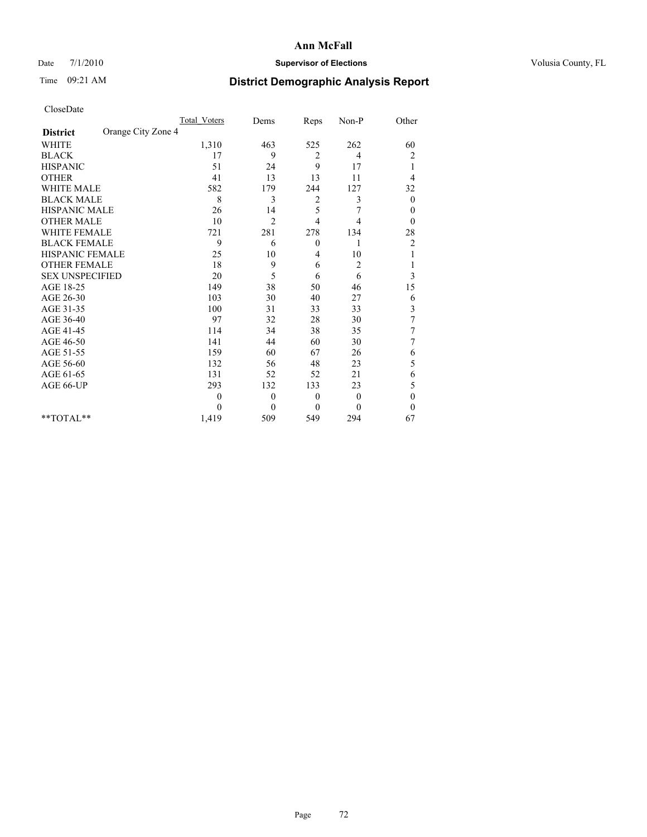## Date 7/1/2010 **Supervisor of Elections Supervisor of Elections** Volusia County, FL

## Time 09:21 AM **District Demographic Analysis Report**

|                                       | <b>Total Voters</b> | Dems         | Reps         | Non-P          | Other            |
|---------------------------------------|---------------------|--------------|--------------|----------------|------------------|
| Orange City Zone 4<br><b>District</b> |                     |              |              |                |                  |
| <b>WHITE</b>                          | 1,310               | 463          | 525          | 262            | 60               |
| <b>BLACK</b>                          | 17                  | 9            | 2            | 4              | 2                |
| <b>HISPANIC</b>                       | 51                  | 24           | 9            | 17             | 1                |
| <b>OTHER</b>                          | 41                  | 13           | 13           | 11             | 4                |
| <b>WHITE MALE</b>                     | 582                 | 179          | 244          | 127            | 32               |
| <b>BLACK MALE</b>                     | 8                   | 3            | 2            | 3              | $\boldsymbol{0}$ |
| HISPANIC MALE                         | 26                  | 14           | 5            |                | $\boldsymbol{0}$ |
| <b>OTHER MALE</b>                     | 10                  | 2            | 4            | 4              | $\theta$         |
| <b>WHITE FEMALE</b>                   | 721                 | 281          | 278          | 134            | 28               |
| <b>BLACK FEMALE</b>                   | 9                   | 6            | $\theta$     | 1              | $\overline{c}$   |
| HISPANIC FEMALE                       | 25                  | 10           | 4            | 10             |                  |
| <b>OTHER FEMALE</b>                   | 18                  | 9            | 6            | 2              |                  |
| <b>SEX UNSPECIFIED</b>                | 20                  | 5            | 6            | 6              | 3                |
| AGE 18-25                             | 149                 | 38           | 50           | 46             | 15               |
| AGE 26-30                             | 103                 | 30           | 40           | 27             | 6                |
| AGE 31-35                             | 100                 | 31           | 33           | 33             | 3                |
| AGE 36-40                             | 97                  | 32           | 28           | 30             | $\boldsymbol{7}$ |
| AGE 41-45                             | 114                 | 34           | 38           | 35             | 7                |
| AGE 46-50                             | 141                 | 44           | 60           | 30             | 7                |
| AGE 51-55                             | 159                 | 60           | 67           | 26             | 6                |
| AGE 56-60                             | 132                 | 56           | 48           | 23             | 5                |
| AGE 61-65                             | 131                 | 52           | 52           | 21             | 6                |
| AGE 66-UP                             | 293                 | 132          | 133          | 23             | 5                |
|                                       | $\theta$            | $\mathbf{0}$ | $\theta$     | $\overline{0}$ | $\mathbf{0}$     |
|                                       | $\Omega$            | $\mathbf{0}$ | $\mathbf{0}$ | $\theta$       | $\theta$         |
| **TOTAL**                             | 1,419               | 509          | 549          | 294            | 67               |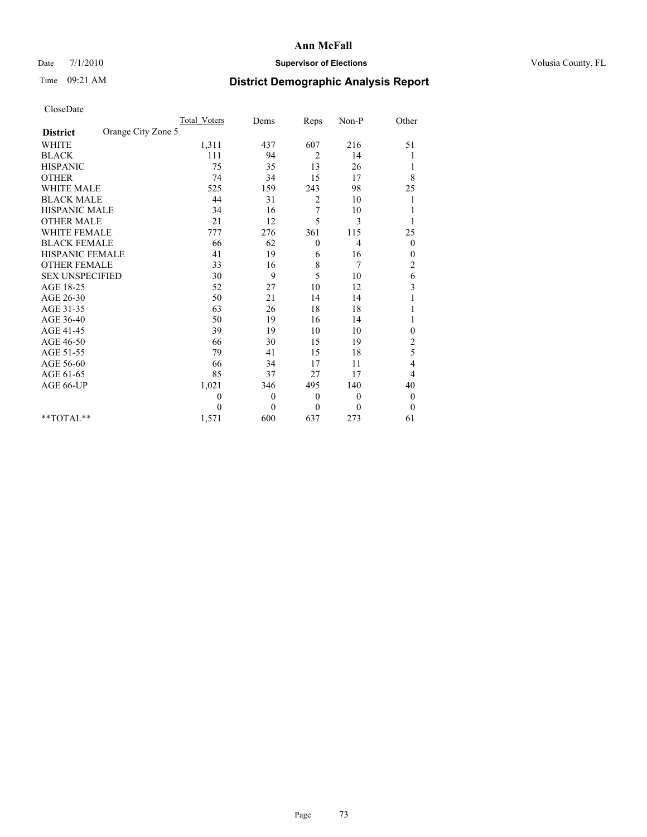## Date 7/1/2010 **Supervisor of Elections Supervisor of Elections** Volusia County, FL

# Time 09:21 AM **District Demographic Analysis Report**

|                                       | <b>Total Voters</b> | Dems     | Reps             | Non-P        | Other                   |
|---------------------------------------|---------------------|----------|------------------|--------------|-------------------------|
| Orange City Zone 5<br><b>District</b> |                     |          |                  |              |                         |
| <b>WHITE</b>                          | 1,311               | 437      | 607              | 216          | 51                      |
| <b>BLACK</b>                          | 111                 | 94       | $\overline{2}$   | 14           |                         |
| <b>HISPANIC</b>                       | 75                  | 35       | 13               | 26           | 1                       |
| <b>OTHER</b>                          | 74                  | 34       | 15               | 17           | 8                       |
| <b>WHITE MALE</b>                     | 525                 | 159      | 243              | 98           | 25                      |
| <b>BLACK MALE</b>                     | 44                  | 31       | 2                | 10           |                         |
| <b>HISPANIC MALE</b>                  | 34                  | 16       | 7                | 10           |                         |
| <b>OTHER MALE</b>                     | 21                  | 12       | 5                | 3            |                         |
| <b>WHITE FEMALE</b>                   | 777                 | 276      | 361              | 115          | 25                      |
| <b>BLACK FEMALE</b>                   | 66                  | 62       | $\boldsymbol{0}$ | 4            | $\boldsymbol{0}$        |
| HISPANIC FEMALE                       | 41                  | 19       | 6                | 16           | 0                       |
| <b>OTHER FEMALE</b>                   | 33                  | 16       | $\,$ 8 $\,$      | 7            | $\overline{c}$          |
| <b>SEX UNSPECIFIED</b>                | 30                  | 9        | 5                | 10           | 6                       |
| AGE 18-25                             | 52                  | 27       | 10               | 12           | $\overline{\mathbf{3}}$ |
| AGE 26-30                             | 50                  | 21       | 14               | 14           |                         |
| AGE 31-35                             | 63                  | 26       | 18               | 18           |                         |
| AGE 36-40                             | 50                  | 19       | 16               | 14           |                         |
| AGE 41-45                             | 39                  | 19       | 10               | 10           | 0                       |
| AGE 46-50                             | 66                  | 30       | 15               | 19           | $\overline{c}$          |
| AGE 51-55                             | 79                  | 41       | 15               | 18           | 5                       |
| AGE 56-60                             | 66                  | 34       | 17               | 11           | 4                       |
| AGE 61-65                             | 85                  | 37       | 27               | 17           | 4                       |
| AGE 66-UP                             | 1,021               | 346      | 495              | 140          | 40                      |
|                                       | $\mathbf{0}$        | $\theta$ | $\mathbf{0}$     | $\mathbf{0}$ | $\boldsymbol{0}$        |
|                                       | $\theta$            | $\theta$ | $\mathbf{0}$     | $\mathbf{0}$ | $\boldsymbol{0}$        |
| $*$ TOTAL $*$                         | 1,571               | 600      | 637              | 273          | 61                      |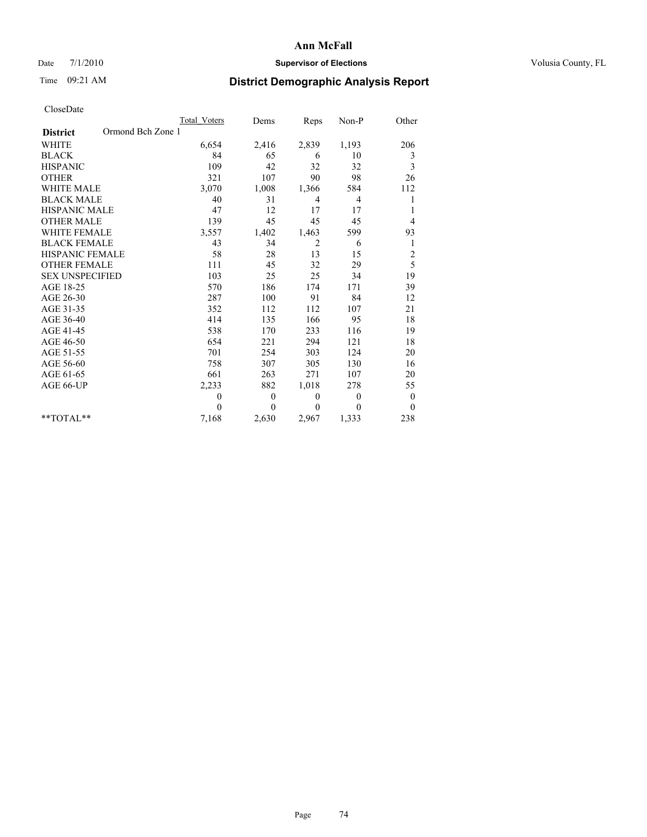## Date 7/1/2010 **Supervisor of Elections Supervisor of Elections** Volusia County, FL

# Time 09:21 AM **District Demographic Analysis Report**

|                                      | <b>Total Voters</b> | Dems         | Reps           | Non-P          | Other                   |
|--------------------------------------|---------------------|--------------|----------------|----------------|-------------------------|
| Ormond Bch Zone 1<br><b>District</b> |                     |              |                |                |                         |
| <b>WHITE</b>                         | 6,654               | 2,416        | 2,839          | 1,193          | 206                     |
| <b>BLACK</b>                         | 84                  | 65           | 6              | 10             | 3                       |
| <b>HISPANIC</b>                      | 109                 | 42           | 32             | 32             | 3                       |
| <b>OTHER</b>                         | 321                 | 107          | 90             | 98             | 26                      |
| <b>WHITE MALE</b>                    | 3,070               | 1,008        | 1,366          | 584            | 112                     |
| <b>BLACK MALE</b>                    | 40                  | 31           | $\overline{4}$ | 4              | 1                       |
| <b>HISPANIC MALE</b>                 | 47                  | 12           | 17             | 17             | 1                       |
| <b>OTHER MALE</b>                    | 139                 | 45           | 45             | 45             | 4                       |
| WHITE FEMALE                         | 3,557               | 1,402        | 1,463          | 599            | 93                      |
| <b>BLACK FEMALE</b>                  | 43                  | 34           | 2              | 6              | 1                       |
| HISPANIC FEMALE                      | 58                  | 28           | 13             | 15             | $\overline{\mathbf{c}}$ |
| <b>OTHER FEMALE</b>                  | 111                 | 45           | 32             | 29             | 5                       |
| <b>SEX UNSPECIFIED</b>               | 103                 | 25           | 25             | 34             | 19                      |
| AGE 18-25                            | 570                 | 186          | 174            | 171            | 39                      |
| AGE 26-30                            | 287                 | 100          | 91             | 84             | 12                      |
| AGE 31-35                            | 352                 | 112          | 112            | 107            | 21                      |
| AGE 36-40                            | 414                 | 135          | 166            | 95             | 18                      |
| AGE 41-45                            | 538                 | 170          | 233            | 116            | 19                      |
| AGE 46-50                            | 654                 | 221          | 294            | 121            | 18                      |
| AGE 51-55                            | 701                 | 254          | 303            | 124            | 20                      |
| AGE 56-60                            | 758                 | 307          | 305            | 130            | 16                      |
| AGE 61-65                            | 661                 | 263          | 271            | 107            | 20                      |
| AGE 66-UP                            | 2,233               | 882          | 1,018          | 278            | 55                      |
|                                      | $\theta$            | $\mathbf{0}$ | $\mathbf{0}$   | $\overline{0}$ | $\boldsymbol{0}$        |
|                                      | $\theta$            | $\mathbf{0}$ | $\theta$       | $\theta$       | $\theta$                |
| $*$ TOTAL $*$                        | 7,168               | 2,630        | 2,967          | 1,333          | 238                     |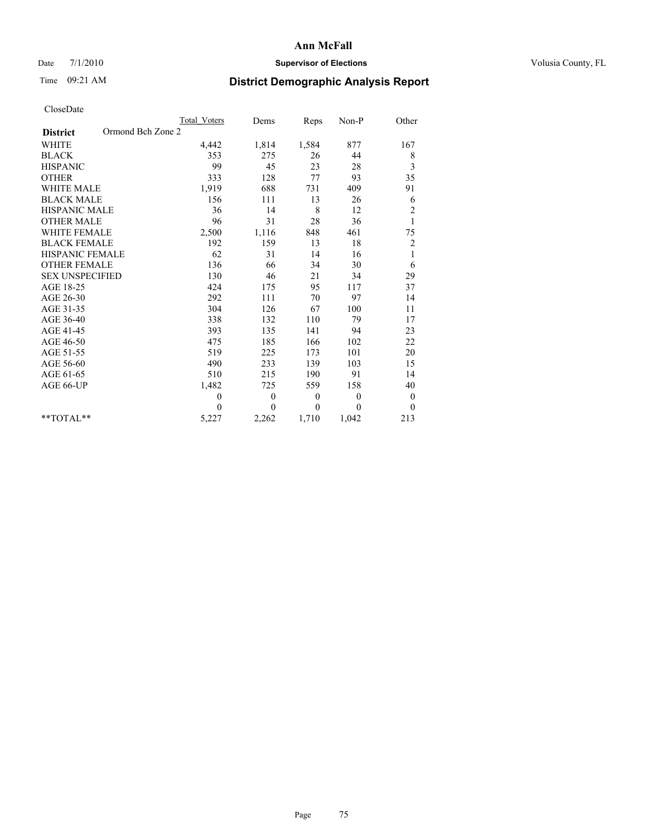## Date 7/1/2010 **Supervisor of Elections Supervisor of Elections** Volusia County, FL

# Time 09:21 AM **District Demographic Analysis Report**

|                                      | Total Voters | Dems           | Reps         | Non-P          | Other            |
|--------------------------------------|--------------|----------------|--------------|----------------|------------------|
| Ormond Bch Zone 2<br><b>District</b> |              |                |              |                |                  |
| <b>WHITE</b>                         | 4,442        | 1,814          | 1,584        | 877            | 167              |
| <b>BLACK</b>                         | 353          | 275            | 26           | 44             | 8                |
| <b>HISPANIC</b>                      | 99           | 45             | 23           | 28             | 3                |
| <b>OTHER</b>                         | 333          | 128            | 77           | 93             | 35               |
| <b>WHITE MALE</b>                    | 1,919        | 688            | 731          | 409            | 91               |
| <b>BLACK MALE</b>                    | 156          | 111            | 13           | 26             | 6                |
| HISPANIC MALE                        | 36           | 14             | 8            | 12             | $\overline{c}$   |
| <b>OTHER MALE</b>                    | 96           | 31             | 28           | 36             | $\mathbf{1}$     |
| WHITE FEMALE                         | 2,500        | 1,116          | 848          | 461            | 75               |
| <b>BLACK FEMALE</b>                  | 192          | 159            | 13           | 18             | $\overline{c}$   |
| HISPANIC FEMALE                      | 62           | 31             | 14           | 16             | $\mathbf{1}$     |
| <b>OTHER FEMALE</b>                  | 136          | 66             | 34           | 30             | 6                |
| <b>SEX UNSPECIFIED</b>               | 130          | 46             | 21           | 34             | 29               |
| AGE 18-25                            | 424          | 175            | 95           | 117            | 37               |
| AGE 26-30                            | 292          | 111            | 70           | 97             | 14               |
| AGE 31-35                            | 304          | 126            | 67           | 100            | 11               |
| AGE 36-40                            | 338          | 132            | 110          | 79             | 17               |
| AGE 41-45                            | 393          | 135            | 141          | 94             | 23               |
| AGE 46-50                            | 475          | 185            | 166          | 102            | 22               |
| AGE 51-55                            | 519          | 225            | 173          | 101            | 20               |
| AGE 56-60                            | 490          | 233            | 139          | 103            | 15               |
| AGE 61-65                            | 510          | 215            | 190          | 91             | 14               |
| AGE 66-UP                            | 1,482        | 725            | 559          | 158            | 40               |
|                                      | $\theta$     | $\overline{0}$ | $\mathbf{0}$ | $\overline{0}$ | $\boldsymbol{0}$ |
|                                      | $\Omega$     | $\overline{0}$ | $\theta$     | $\theta$       | $\theta$         |
| $*$ $TOTAI.**$                       | 5,227        | 2,262          | 1,710        | 1,042          | 213              |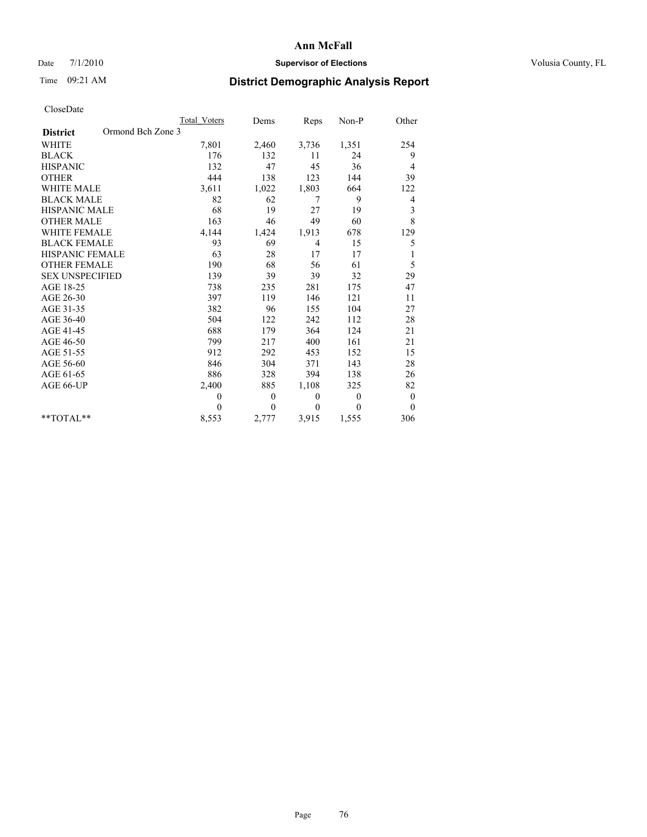## Date 7/1/2010 **Supervisor of Elections Supervisor of Elections** Volusia County, FL

# Time 09:21 AM **District Demographic Analysis Report**

|                                      | Total Voters | Dems         | <b>Reps</b>  | Non-P        | Other            |  |
|--------------------------------------|--------------|--------------|--------------|--------------|------------------|--|
| Ormond Bch Zone 3<br><b>District</b> |              |              |              |              |                  |  |
| <b>WHITE</b>                         | 7,801        | 2,460        | 3,736        | 1,351        | 254              |  |
| <b>BLACK</b>                         | 176          | 132          | 11           | 24           | 9                |  |
| <b>HISPANIC</b>                      | 132          | 47           | 45           | 36           | 4                |  |
| <b>OTHER</b>                         | 444          | 138          | 123          | 144          | 39               |  |
| WHITE MALE                           | 3,611        | 1,022        | 1,803        | 664          | 122              |  |
| <b>BLACK MALE</b>                    | 82           | 62           | 7            | 9            | 4                |  |
| <b>HISPANIC MALE</b>                 | 68           | 19           | 27           | 19           | 3                |  |
| <b>OTHER MALE</b>                    | 163          | 46           | 49           | 60           | 8                |  |
| <b>WHITE FEMALE</b>                  | 4,144        | 1,424        | 1,913        | 678          | 129              |  |
| <b>BLACK FEMALE</b>                  | 93           | 69           | 4            | 15           | 5                |  |
| <b>HISPANIC FEMALE</b>               | 63           | 28           | 17           | 17           |                  |  |
| <b>OTHER FEMALE</b>                  | 190          | 68           | 56           | 61           | 5                |  |
| <b>SEX UNSPECIFIED</b>               | 139          | 39           | 39           | 32           | 29               |  |
| AGE 18-25                            | 738          | 235          | 281          | 175          | 47               |  |
| AGE 26-30                            | 397          | 119          | 146          | 121          | 11               |  |
| AGE 31-35                            | 382          | 96           | 155          | 104          | 27               |  |
| AGE 36-40                            | 504          | 122          | 242          | 112          | 28               |  |
| AGE 41-45                            | 688          | 179          | 364          | 124          | 21               |  |
| AGE 46-50                            | 799          | 217          | 400          | 161          | 21               |  |
| AGE 51-55                            | 912          | 292          | 453          | 152          | 15               |  |
| AGE 56-60                            | 846          | 304          | 371          | 143          | 28               |  |
| AGE 61-65                            | 886          | 328          | 394          | 138          | 26               |  |
| AGE 66-UP                            | 2,400        | 885          | 1,108        | 325          | 82               |  |
|                                      | $\theta$     | $\mathbf{0}$ | $\mathbf{0}$ | $\mathbf{0}$ | $\boldsymbol{0}$ |  |
|                                      | $\theta$     | $\theta$     | $\theta$     | $\theta$     | $\mathbf{0}$     |  |
| **TOTAL**                            | 8,553        | 2,777        | 3,915        | 1,555        | 306              |  |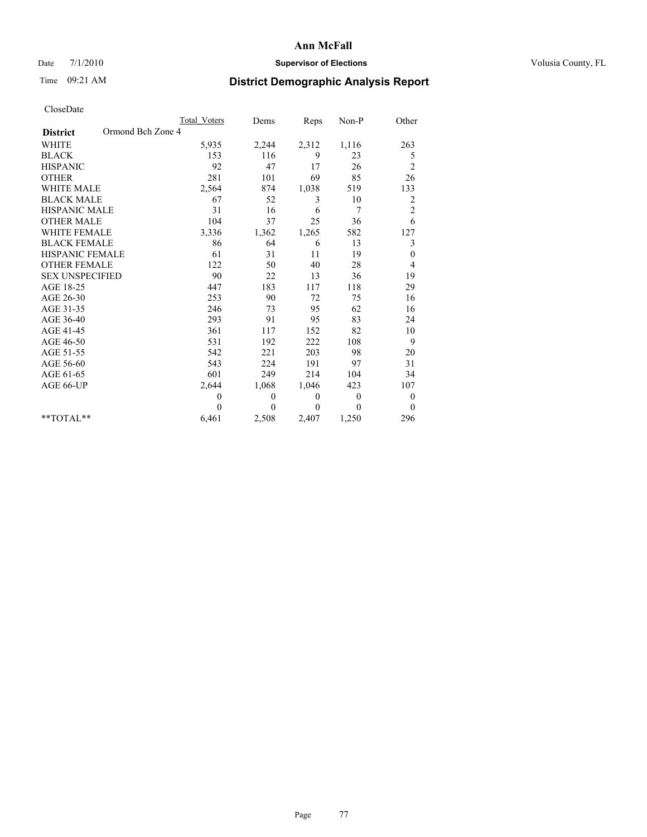## Date 7/1/2010 **Supervisor of Elections Supervisor of Elections** Volusia County, FL

# Time 09:21 AM **District Demographic Analysis Report**

|                                      | Total Voters | Dems         | Reps         | $Non-P$        | Other            |
|--------------------------------------|--------------|--------------|--------------|----------------|------------------|
| Ormond Bch Zone 4<br><b>District</b> |              |              |              |                |                  |
| <b>WHITE</b>                         | 5,935        | 2,244        | 2,312        | 1,116          | 263              |
| <b>BLACK</b>                         | 153          | 116          | 9            | 23             | 5                |
| <b>HISPANIC</b>                      | 92           | 47           | 17           | 26             | $\overline{c}$   |
| <b>OTHER</b>                         | 281          | 101          | 69           | 85             | 26               |
| <b>WHITE MALE</b>                    | 2,564        | 874          | 1,038        | 519            | 133              |
| <b>BLACK MALE</b>                    | 67           | 52           | 3            | 10             | 2                |
| <b>HISPANIC MALE</b>                 | 31           | 16           | 6            | 7              | $\overline{c}$   |
| <b>OTHER MALE</b>                    | 104          | 37           | 25           | 36             | 6                |
| <b>WHITE FEMALE</b>                  | 3,336        | 1,362        | 1,265        | 582            | 127              |
| <b>BLACK FEMALE</b>                  | 86           | 64           | 6            | 13             | 3                |
| HISPANIC FEMALE                      | 61           | 31           | 11           | 19             | $\boldsymbol{0}$ |
| <b>OTHER FEMALE</b>                  | 122          | 50           | 40           | 28             | 4                |
| <b>SEX UNSPECIFIED</b>               | 90           | 22           | 13           | 36             | 19               |
| AGE 18-25                            | 447          | 183          | 117          | 118            | 29               |
| AGE 26-30                            | 253          | 90           | 72           | 75             | 16               |
| AGE 31-35                            | 246          | 73           | 95           | 62             | 16               |
| AGE 36-40                            | 293          | 91           | 95           | 83             | 24               |
| AGE 41-45                            | 361          | 117          | 152          | 82             | 10               |
| AGE 46-50                            | 531          | 192          | 222          | 108            | 9                |
| AGE 51-55                            | 542          | 221          | 203          | 98             | 20               |
| AGE 56-60                            | 543          | 224          | 191          | 97             | 31               |
| AGE 61-65                            | 601          | 249          | 214          | 104            | 34               |
| AGE 66-UP                            | 2,644        | 1,068        | 1,046        | 423            | 107              |
|                                      | $\mathbf{0}$ | $\mathbf{0}$ | $\mathbf{0}$ | $\overline{0}$ | $\boldsymbol{0}$ |
|                                      | $\theta$     | $\theta$     | $\Omega$     | $\theta$       | $\theta$         |
| $*$ TOTAL $*$                        | 6,461        | 2,508        | 2,407        | 1,250          | 296              |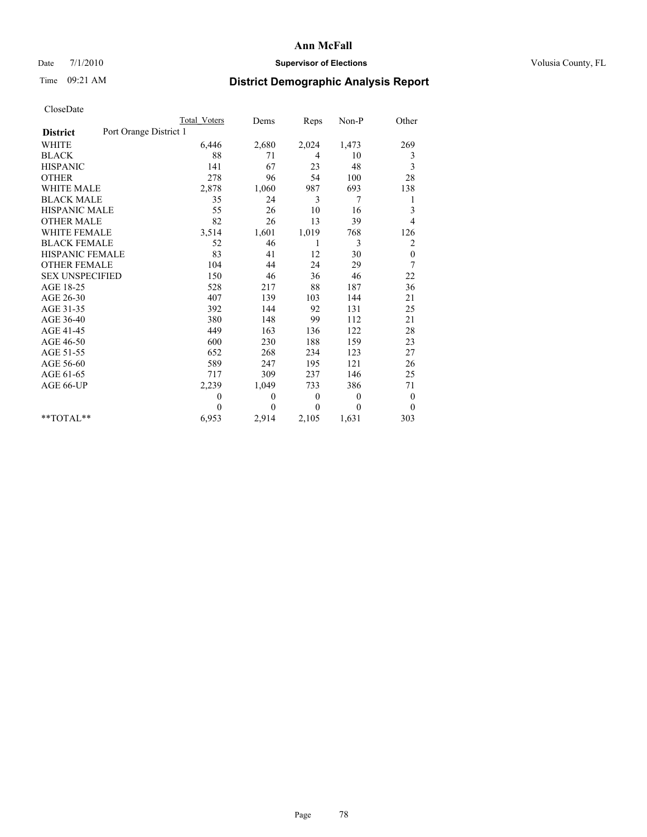## Date 7/1/2010 **Supervisor of Elections Supervisor of Elections** Volusia County, FL

# Time 09:21 AM **District Demographic Analysis Report**

|                                           | Total Voters | Dems     | <b>Reps</b>  | Non-P          | Other            |
|-------------------------------------------|--------------|----------|--------------|----------------|------------------|
| Port Orange District 1<br><b>District</b> |              |          |              |                |                  |
| <b>WHITE</b>                              | 6,446        | 2,680    | 2,024        | 1,473          | 269              |
| <b>BLACK</b>                              | 88           | 71       | 4            | 10             | 3                |
| <b>HISPANIC</b>                           | 141          | 67       | 23           | 48             | 3                |
| <b>OTHER</b>                              | 278          | 96       | 54           | 100            | 28               |
| <b>WHITE MALE</b>                         | 2,878        | 1,060    | 987          | 693            | 138              |
| <b>BLACK MALE</b>                         | 35           | 24       | 3            | 7              | 1                |
| <b>HISPANIC MALE</b>                      | 55           | 26       | 10           | 16             | 3                |
| <b>OTHER MALE</b>                         | 82           | 26       | 13           | 39             | 4                |
| <b>WHITE FEMALE</b>                       | 3,514        | 1,601    | 1,019        | 768            | 126              |
| <b>BLACK FEMALE</b>                       | 52           | 46       | 1            | 3              | $\overline{c}$   |
| HISPANIC FEMALE                           | 83           | 41       | 12           | 30             | $\boldsymbol{0}$ |
| <b>OTHER FEMALE</b>                       | 104          | 44       | 24           | 29             | 7                |
| <b>SEX UNSPECIFIED</b>                    | 150          | 46       | 36           | 46             | 22               |
| AGE 18-25                                 | 528          | 217      | 88           | 187            | 36               |
| AGE 26-30                                 | 407          | 139      | 103          | 144            | 21               |
| AGE 31-35                                 | 392          | 144      | 92           | 131            | 25               |
| AGE 36-40                                 | 380          | 148      | 99           | 112            | 21               |
| AGE 41-45                                 | 449          | 163      | 136          | 122            | 28               |
| AGE 46-50                                 | 600          | 230      | 188          | 159            | 23               |
| AGE 51-55                                 | 652          | 268      | 234          | 123            | 27               |
| AGE 56-60                                 | 589          | 247      | 195          | 121            | 26               |
| AGE 61-65                                 | 717          | 309      | 237          | 146            | 25               |
| AGE 66-UP                                 | 2,239        | 1,049    | 733          | 386            | 71               |
|                                           | $\theta$     | $\theta$ | $\mathbf{0}$ | $\overline{0}$ | $\boldsymbol{0}$ |
|                                           | $\theta$     | $\theta$ | $\Omega$     | $\mathbf{0}$   | $\mathbf{0}$     |
| $*$ $TOTAI.**$                            | 6,953        | 2,914    | 2,105        | 1,631          | 303              |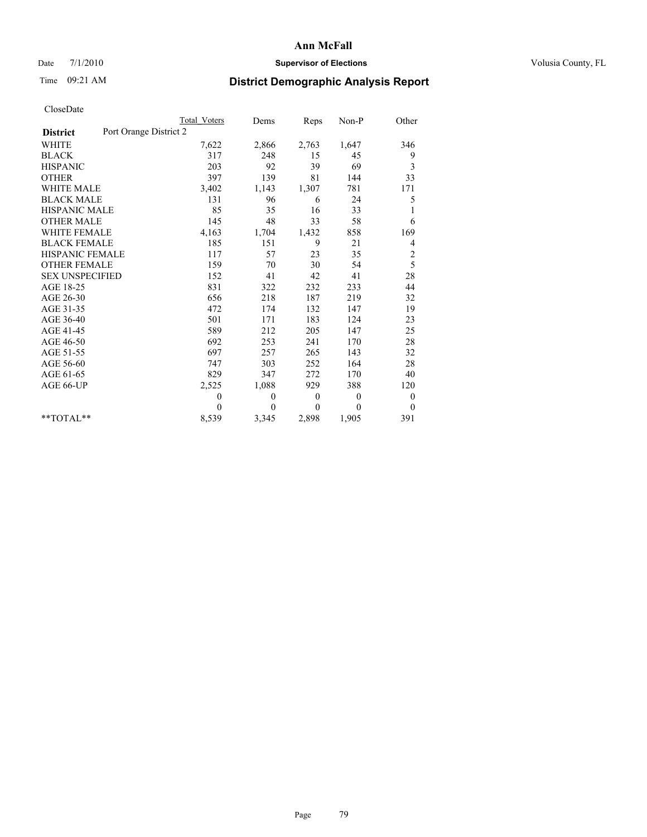## Date 7/1/2010 **Supervisor of Elections Supervisor of Elections** Volusia County, FL

# Time 09:21 AM **District Demographic Analysis Report**

|                                           | Total Voters | Dems         | Reps     | $Non-P$      | Other                   |
|-------------------------------------------|--------------|--------------|----------|--------------|-------------------------|
| Port Orange District 2<br><b>District</b> |              |              |          |              |                         |
| <b>WHITE</b>                              | 7,622        | 2,866        | 2,763    | 1,647        | 346                     |
| <b>BLACK</b>                              | 317          | 248          | 15       | 45           | 9                       |
| <b>HISPANIC</b>                           | 203          | 92           | 39       | 69           | 3                       |
| <b>OTHER</b>                              | 397          | 139          | 81       | 144          | 33                      |
| <b>WHITE MALE</b>                         | 3,402        | 1,143        | 1,307    | 781          | 171                     |
| <b>BLACK MALE</b>                         | 131          | 96           | 6        | 24           | 5                       |
| <b>HISPANIC MALE</b>                      | 85           | 35           | 16       | 33           | 1                       |
| <b>OTHER MALE</b>                         | 145          | 48           | 33       | 58           | 6                       |
| <b>WHITE FEMALE</b>                       | 4,163        | 1,704        | 1,432    | 858          | 169                     |
| <b>BLACK FEMALE</b>                       | 185          | 151          | 9        | 21           | 4                       |
| HISPANIC FEMALE                           | 117          | 57           | 23       | 35           | $\overline{\mathbf{c}}$ |
| <b>OTHER FEMALE</b>                       | 159          | 70           | 30       | 54           | 5                       |
| <b>SEX UNSPECIFIED</b>                    | 152          | 41           | 42       | 41           | 28                      |
| AGE 18-25                                 | 831          | 322          | 232      | 233          | 44                      |
| AGE 26-30                                 | 656          | 218          | 187      | 219          | 32                      |
| AGE 31-35                                 | 472          | 174          | 132      | 147          | 19                      |
| AGE 36-40                                 | 501          | 171          | 183      | 124          | 23                      |
| AGE 41-45                                 | 589          | 212          | 205      | 147          | 25                      |
| AGE 46-50                                 | 692          | 253          | 241      | 170          | $28\,$                  |
| AGE 51-55                                 | 697          | 257          | 265      | 143          | 32                      |
| AGE 56-60                                 | 747          | 303          | 252      | 164          | 28                      |
| AGE 61-65                                 | 829          | 347          | 272      | 170          | 40                      |
| AGE 66-UP                                 | 2,525        | 1,088        | 929      | 388          | 120                     |
|                                           | $\theta$     | $\mathbf{0}$ | $\theta$ | $\mathbf{0}$ | $\boldsymbol{0}$        |
|                                           | $\theta$     | $\theta$     | $\theta$ | $\theta$     | $\theta$                |
| $*$ $TOTAI.**$                            | 8,539        | 3,345        | 2,898    | 1,905        | 391                     |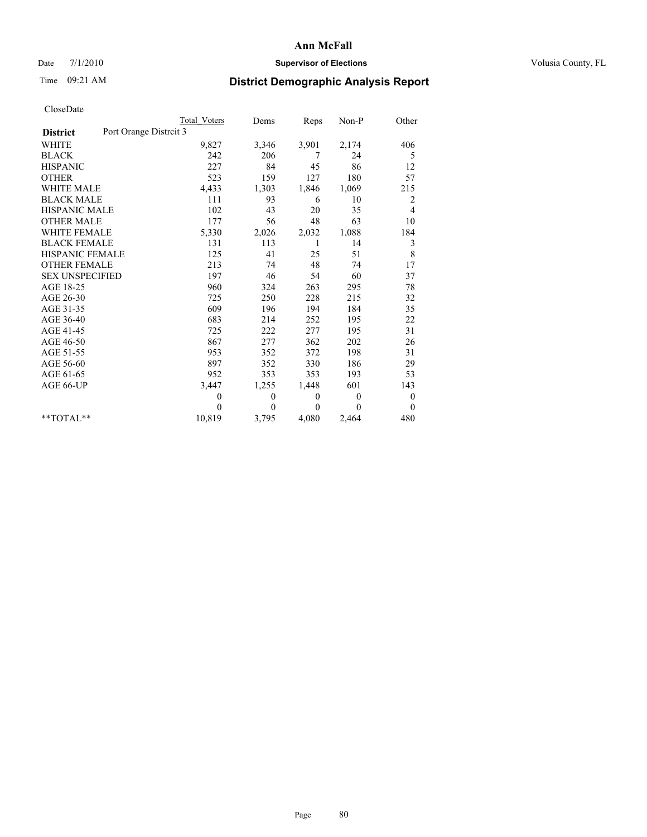#### Date  $7/1/2010$  **Supervisor of Elections Supervisor of Elections** Volusia County, FL

# Time 09:21 AM **District Demographic Analysis Report**

|                                           | Total Voters | Dems     | Reps     | $Non-P$          | Other            |  |
|-------------------------------------------|--------------|----------|----------|------------------|------------------|--|
| Port Orange Distrcit 3<br><b>District</b> |              |          |          |                  |                  |  |
| <b>WHITE</b>                              | 9,827        | 3,346    | 3,901    | 2,174            | 406              |  |
| <b>BLACK</b>                              | 242          | 206      | 7        | 24               | 5                |  |
| <b>HISPANIC</b>                           | 227          | 84       | 45       | 86               | 12               |  |
| <b>OTHER</b>                              | 523          | 159      | 127      | 180              | 57               |  |
| <b>WHITE MALE</b>                         | 4,433        | 1,303    | 1,846    | 1,069            | 215              |  |
| <b>BLACK MALE</b>                         | 111          | 93       | 6        | 10               | 2                |  |
| <b>HISPANIC MALE</b>                      | 102          | 43       | 20       | 35               | 4                |  |
| <b>OTHER MALE</b>                         | 177          | 56       | 48       | 63               | 10               |  |
| <b>WHITE FEMALE</b>                       | 5,330        | 2,026    | 2,032    | 1,088            | 184              |  |
| <b>BLACK FEMALE</b>                       | 131          | 113      | 1        | 14               | 3                |  |
| HISPANIC FEMALE                           | 125          | 41       | 25       | 51               | 8                |  |
| <b>OTHER FEMALE</b>                       | 213          | 74       | 48       | 74               | 17               |  |
| <b>SEX UNSPECIFIED</b>                    | 197          | 46       | 54       | 60               | 37               |  |
| AGE 18-25                                 | 960          | 324      | 263      | 295              | 78               |  |
| AGE 26-30                                 | 725          | 250      | 228      | 215              | 32               |  |
| AGE 31-35                                 | 609          | 196      | 194      | 184              | 35               |  |
| AGE 36-40                                 | 683          | 214      | 252      | 195              | 22               |  |
| AGE 41-45                                 | 725          | 222      | 277      | 195              | 31               |  |
| AGE 46-50                                 | 867          | 277      | 362      | 202              | 26               |  |
| AGE 51-55                                 | 953          | 352      | 372      | 198              | 31               |  |
| AGE 56-60                                 | 897          | 352      | 330      | 186              | 29               |  |
| AGE 61-65                                 | 952          | 353      | 353      | 193              | 53               |  |
| AGE 66-UP                                 | 3,447        | 1,255    | 1,448    | 601              | 143              |  |
|                                           | $\theta$     | 0        | 0        | $\mathbf{0}$     | $\boldsymbol{0}$ |  |
|                                           | $\Omega$     | $\theta$ | $\theta$ | $\boldsymbol{0}$ | $\mathbf{0}$     |  |
| $*$ $TOTAI.**$                            | 10,819       | 3,795    | 4,080    | 2,464            | 480              |  |